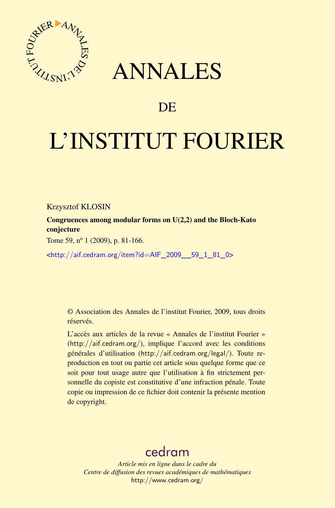

## ANNALES

## **DE**

# L'INSTITUT FOURIER

Krzysztof KLOSIN

Congruences among modular forms on U(2,2) and the Bloch-Kato conjecture

Tome 59,  $n^{\circ}$  1 (2009), p. 81-166.

<[http://aif.cedram.org/item?id=AIF\\_2009\\_\\_59\\_1\\_81\\_0](http://aif.cedram.org/item?id=AIF_2009__59_1_81_0)>

© Association des Annales de l'institut Fourier, 2009, tous droits réservés.

L'accès aux articles de la revue « Annales de l'institut Fourier » (<http://aif.cedram.org/>), implique l'accord avec les conditions générales d'utilisation (<http://aif.cedram.org/legal/>). Toute reproduction en tout ou partie cet article sous quelque forme que ce soit pour tout usage autre que l'utilisation à fin strictement personnelle du copiste est constitutive d'une infraction pénale. Toute copie ou impression de ce fichier doit contenir la présente mention de copyright.

## [cedram](http://www.cedram.org/)

*Article mis en ligne dans le cadre du Centre de diffusion des revues académiques de mathématiques* <http://www.cedram.org/>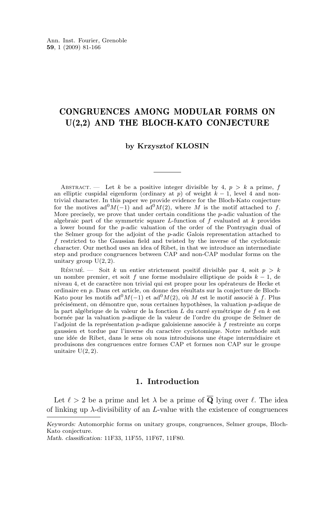### CONGRUENCES AMONG MODULAR FORMS ON U(2,2) AND THE BLOCH-KATO CONJECTURE

#### **by Krzysztof KLOSIN**

ABSTRACT. — Let k be a positive integer divisible by 4,  $p > k$  a prime, f an elliptic cuspidal eigenform (ordinary at p) of weight  $k - 1$ , level 4 and nontrivial character. In this paper we provide evidence for the Bloch-Kato conjecture for the motives  $ad^{0}M(-1)$  and  $ad^{0}M(2)$ , where M is the motif attached to f. More precisely, we prove that under certain conditions the p-adic valuation of the algebraic part of the symmetric square  $L$ -function of  $f$  evaluated at  $k$  provides a lower bound for the p-adic valuation of the order of the Pontryagin dual of the Selmer group for the adjoint of the p-adic Galois representation attached to f restricted to the Gaussian field and twisted by the inverse of the cyclotomic character. Our method uses an idea of Ribet, in that we introduce an intermediate step and produce congruences between CAP and non-CAP modular forms on the unitary group  $U(2, 2)$ .

RÉSUMÉ. — Soit k un entier strictement positif divisible par 4, soit  $p > k$ un nombre premier, et soit f une forme modulaire elliptique de poids  $k - 1$ , de niveau 4, et de caractère non trivial qui est propre pour les opérateurs de Hecke et ordinaire en p. Dans cet article, on donne des résultats sur la conjecture de Bloch-Kato pour les motifs  $ad^{0}M(-1)$  et  $ad^{0}M(2)$ , où M est le motif associé à f. Plus précisément, on démontre que, sous certaines hypothèses, la valuation p-adique de la part algébrique de la valeur de la fonction L du carré symétrique de f en k est bornée par la valuation p-adique de la valeur de l'ordre du groupe de Selmer de l'adjoint de la représentation p-adique galoisienne associée à f restreinte au corps gaussien et tordue par l'inverse du caractère cyclotomique. Notre méthode suit une idée de Ribet, dans le sens où nous introduisons une étape intermédiaire et produisons des congruences entre formes CAP et formes non CAP sur le groupe unitaire  $U(2, 2)$ .

#### **1. Introduction**

Let  $\ell > 2$  be a prime and let  $\lambda$  be a prime of  $\overline{Q}$  lying over  $\ell$ . The idea of linking up  $\lambda$ -divisibility of an L-value with the existence of congruences

*Keywords:* Automorphic forms on unitary groups, congruences, Selmer groups, Bloch-Kato conjecture.

*Math. classification:* 11F33, 11F55, 11F67, 11F80.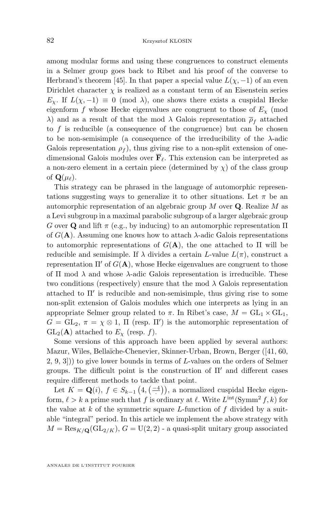among modular forms and using these congruences to construct elements in a Selmer group goes back to Ribet and his proof of the converse to Herbrand's theorem [\[45\]](#page-85-0). In that paper a special value  $L(\chi, -1)$  of an even Dirichlet character  $\chi$  is realized as a constant term of an Eisenstein series  $E_{\chi}$ . If  $L(\chi, -1) \equiv 0 \pmod{\lambda}$ , one shows there exists a cuspidal Hecke eigenform f whose Hecke eigenvalues are congruent to those of  $E_{\chi}$  (mod λ) and as a result of that the mod λ Galois representation  $\bar{\rho}_f$  attached to  $f$  is reducible (a consequence of the congruence) but can be chosen to be non-semisimple (a consequence of the irreducibility of the  $\lambda$ -adic Galois representation  $\rho_f$ , thus giving rise to a non-split extension of onedimensional Galois modules over  $\overline{\mathbf{F}}_{\ell}$ . This extension can be interpreted as a non-zero element in a certain piece (determined by  $\chi$ ) of the class group of  $\mathbf{Q}(\mu_{\ell}).$ 

This strategy can be phrased in the language of automorphic representations suggesting ways to generalize it to other situations. Let  $\pi$  be an automorphic representation of an algebraic group  $M$  over  $Q$ . Realize  $M$  as a Levi subgroup in a maximal parabolic subgroup of a larger algebraic group G over Q and lift  $\pi$  (e.g., by inducing) to an automorphic representation  $\Pi$ of  $G(A)$ . Assuming one knows how to attach  $\lambda$ -adic Galois representations to automorphic representations of  $G(A)$ , the one attached to  $\Pi$  will be reducible and semisimple. If  $\lambda$  divides a certain L-value  $L(\pi)$ , construct a representation  $\Pi'$  of  $G(A)$ , whose Hecke eigenvalues are congruent to those of  $\Pi$  mod  $\lambda$  and whose  $\lambda$ -adic Galois representation is irreducible. These two conditions (respectively) ensure that the mod  $\lambda$  Galois representation attached to  $\Pi'$  is reducible and non-semisimple, thus giving rise to some non-split extension of Galois modules which one interprets as lying in an appropriate Selmer group related to  $\pi$ . In Ribet's case,  $M = GL_1 \times GL_1$ ,  $G = GL_2, \pi = \chi \otimes 1$ ,  $\Pi$  (resp.  $\Pi'$ ) is the automorphic representation of  $GL_2(A)$  attached to  $E_\gamma$  (resp. f).

Some versions of this approach have been applied by several authors: Mazur, Wiles, Bellaïche-Chenevier, Skinner-Urban, Brown, Berger ([\[41,](#page-85-0) [60,](#page-85-0) [2,](#page-83-0) [9,](#page-83-0) [3\]](#page-83-0))) to give lower bounds in terms of L-values on the orders of Selmer groups. The difficult point is the construction of  $\Pi'$  and different cases require different methods to tackle that point.

Let  $K = \mathbf{Q}(i)$ ,  $f \in S_{k-1}\left(4, \left(\frac{-4}{\cdot}\right)\right)$ , a normalized cuspidal Hecke eigenform,  $\ell > k$  a prime such that f is ordinary at  $\ell$ . Write  $L^{int}(\mathrm{Symm}^2 f, k)$  for the value at k of the symmetric square L-function of f divided by a suitable "integral" period. In this article we implement the above strategy with  $M = \text{Res}_{K/\mathbf{Q}}(\text{GL}_{2/K}), G = U(2, 2)$  - a quasi-split unitary group associated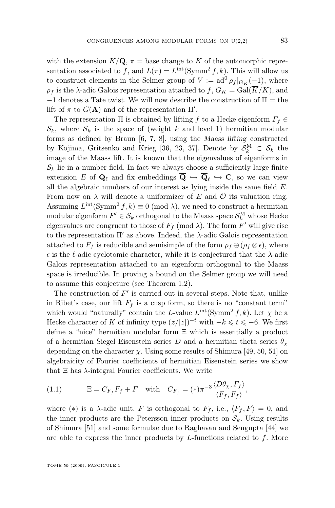<span id="page-3-0"></span>with the extension  $K/\mathbf{Q}$ ,  $\pi =$  base change to K of the automorphic representation associated to f, and  $L(\pi) = L^{\text{int}}(\text{Symm}^2 f, k)$ . This will allow us to construct elements in the Selmer group of  $V := ad^0 \rho_f |_{G_K}(-1)$ , where  $\rho_f$  is the  $\lambda$ -adic Galois representation attached to  $f, G_K = \text{Gal}(\overline{K}/K)$ , and −1 denotes a Tate twist. We will now describe the construction of Π = the lift of  $\pi$  to  $G(A)$  and of the representation  $\Pi'$ .

The representation  $\Pi$  is obtained by lifting f to a Hecke eigenform  $F_f \in$  $\mathcal{S}_k$ , where  $\mathcal{S}_k$  is the space of (weight k and level 1) hermitian modular forms as defined by Braun [\[6,](#page-83-0) [7,](#page-83-0) [8\]](#page-83-0), using the *Maass lifting* constructed by Kojima, Gritsenko and Krieg [\[36,](#page-84-0) [23,](#page-84-0) [37\]](#page-84-0). Denote by  $S_k^M \subset S_k$  the image of the Maass lift. It is known that the eigenvalues of eigenforms in  $\mathcal{S}_k$  lie in a number field. In fact we always choose a sufficiently large finite extension E of  $\mathbf{Q}_{\ell}$  and fix embeddings  $\mathbf{Q} \hookrightarrow \mathbf{Q}_{\ell} \hookrightarrow \mathbf{C}$ , so we can view all the algebraic numbers of our interest as lying inside the same field E. From now on  $\lambda$  will denote a uniformizer of E and O its valuation ring. Assuming  $L^{\text{int}}(\text{Symm}^2 f, k) \equiv 0 \pmod{\lambda}$ , we need to construct a hermitian modular eigenform  $F' \in \mathcal{S}_k$  orthogonal to the Maass space  $\mathcal{S}_k^{\text{M}}$  whose Hecke eigenvalues are congruent to those of  $F_f \pmod{\lambda}$ . The form  $F'$  will give rise to the representation  $\Pi'$  as above. Indeed, the  $\lambda$ -adic Galois representation attached to  $F_f$  is reducible and semisimple of the form  $\rho_f \oplus (\rho_f \otimes \epsilon)$ , where  $\epsilon$  is the  $\ell$ -adic cyclotomic character, while it is conjectured that the  $\lambda$ -adic Galois representation attached to an eigenform orthogonal to the Maass space is irreducible. In proving a bound on the Selmer group we will need to assume this conjecture (see Theorem [1.2\)](#page-5-0).

The construction of  $F'$  is carried out in several steps. Note that, unlike in Ribet's case, our lift  $F_f$  is a cusp form, so there is no "constant term" which would "naturally" contain the L-value  $L^{\text{int}}(\text{Symm}^2 f, k)$ . Let  $\chi$  be a Hecke character of K of infinity type  $(z/|z|)^{-t}$  with  $-k \leq t \leq -6$ . We first define a "nice" hermitian modular form Ξ which is essentially a product of a hermitian Siegel Eisenstein series D and a hermitian theta series  $\theta_{\chi}$ depending on the character  $\chi$ . Using some results of Shimura [\[49,](#page-85-0) [50,](#page-85-0) [51\]](#page-85-0) on algebraicity of Fourier coefficients of hermitian Eisenstein series we show that  $\Xi$  has  $\lambda$ -integral Fourier coefficients. We write

(1.1) 
$$
\Xi = C_{F_f} F_f + F \text{ with } C_{F_f} = (*) \pi^{-3} \frac{\langle D\theta_\chi, F_f \rangle}{\langle F_f, F_f \rangle},
$$

where (\*) is a  $\lambda$ -adic unit, F is orthogonal to  $F_f$ , i.e.,  $\langle F_f, F \rangle = 0$ , and the inner products are the Petersson inner products on  $\mathcal{S}_k$ . Using results of Shimura [\[51\]](#page-85-0) and some formulae due to Raghavan and Sengupta [\[44\]](#page-85-0) we are able to express the inner products by  $L$ -functions related to  $f$ . More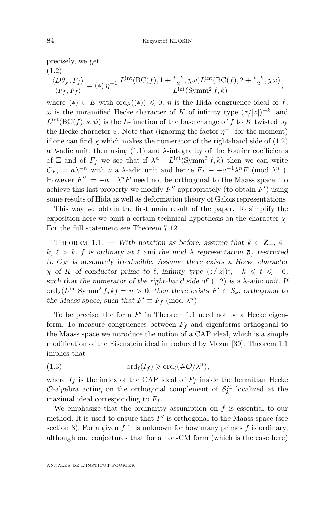<span id="page-4-0"></span>precisely, we get (1.2)

$$
\frac{\langle D\theta_{\chi}, F_f \rangle}{\langle F_f, F_f \rangle} = (*) \eta^{-1} \frac{L^{\text{int}}(\text{BC}(f), 1 + \frac{t+k}{2}, \overline{\chi\omega}) L^{\text{int}}(\text{BC}(f), 2 + \frac{t+k}{2}, \overline{\chi\omega})}{L^{\text{int}}(\text{Symm}^2 f, k)},
$$

where  $(*) \in E$  with  $\text{ord}_{\lambda}(\ast) \leq 0$ ,  $\eta$  is the Hida congruence ideal of f,  $\omega$  is the unramified Hecke character of K of infinity type  $(z/|z|)^{-k}$ , and  $L<sup>int</sup>(BC(f), s, \psi)$  is the L-function of the base change of f to K twisted by the Hecke character  $\psi$ . Note that (ignoring the factor  $\eta^{-1}$  for the moment) if one can find  $\chi$  which makes the numerator of the right-hand side of (1.2) a  $\lambda$ -adic unit, then using [\(1.1\)](#page-3-0) and  $\lambda$ -integrality of the Fourier coefficients of  $\Xi$  and of  $F_f$  we see that if  $\lambda^n \mid L^{\text{int}}(\text{Symm}^2 f, k)$  then we can write  $C_{F_f} = a\lambda^{-n}$  with a a  $\lambda$ -adic unit and hence  $F_f \equiv -a^{-1}\lambda^n F \pmod{\lambda^n}$ . However  $F'' := -a^{-1}\lambda^n F$  need not be orthogonal to the Maass space. To achieve this last property we modify  $F''$  appropriately (to obtain  $F'$ ) using some results of Hida as well as deformation theory of Galois representations.

This way we obtain the first main result of the paper. To simplify the exposition here we omit a certain technical hypothesis on the character  $\chi$ . For the full statement see Theorem [7.12.](#page-55-0)

THEOREM 1.1. — *With notation as before, assume that*  $k \in \mathbb{Z}_+$ , 4  $k, \ell > k, f$  is ordinary at  $\ell$  and the mod  $\lambda$  representation  $\overline{\rho}_f$  restricted to  $G_K$  is absolutely irreducible. Assume there exists a Hecke character  $\chi$  *of* K *of conductor prime to*  $\ell$ *, infinity type*  $(z/|z|)^t$ ,  $-k \leq t \leq -6$ , such that the numerator of the right-hand side of  $(1.2)$  is a  $\lambda$ -adic unit. If  $\text{ord}_{\lambda}(L^{\text{int}} \text{Symm}^2 f, k) = n > 0$ , then there exists  $F' \in \mathcal{S}_k$ , orthogonal to *the Maass space, such that*  $F' \equiv F_f \pmod{\lambda^n}$ *.* 

To be precise, the form  $F'$  in Theorem 1.1 need not be a Hecke eigenform. To measure congruences between  $F_f$  and eigenforms orthogonal to the Maass space we introduce the notion of a CAP ideal, which is a simple modification of the Eisenstein ideal introduced by Mazur [\[39\]](#page-85-0). Theorem 1.1 implies that

(1.3) 
$$
\mathrm{ord}_{\ell}(I_f) \geqslant \mathrm{ord}_{\ell}(\#\mathcal{O}/\lambda^n),
$$

where  $I_f$  is the index of the CAP ideal of  $F_f$  inside the hermitian Hecke  $\mathcal{O}$ -algebra acting on the orthogonal complement of  $\mathcal{S}_k^{\text{M}}$  localized at the maximal ideal corresponding to  $F_f$ .

We emphasize that the ordinarity assumption on  $f$  is essential to our method. It is used to ensure that  $F'$  is orthogonal to the Maass space (see section [8\)](#page-58-0). For a given f it is unknown for how many primes f is ordinary, although one conjectures that for a non-CM form (which is the case here)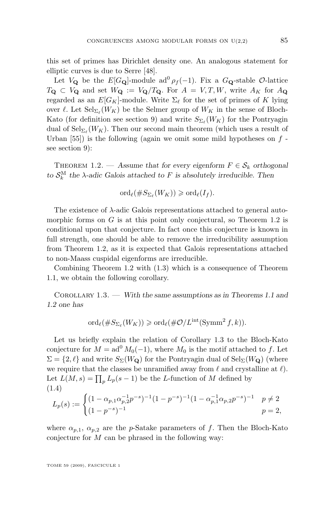<span id="page-5-0"></span>this set of primes has Dirichlet density one. An analogous statement for elliptic curves is due to Serre [\[48\]](#page-85-0).

Let  $V_{\mathbf{Q}}$  be the  $E[G_{\mathbf{Q}}]$ -module ad<sup>0</sup>  $\rho_f(-1)$ . Fix a  $G_{\mathbf{Q}}$ -stable  $\mathcal{O}$ -lattice  $T_{\mathbf{Q}} \subset V_{\mathbf{Q}}$  and set  $W_{\mathbf{Q}} := V_{\mathbf{Q}}/T_{\mathbf{Q}}$ . For  $A = V, T, W$ , write  $A_K$  for  $A_{\mathbf{Q}}$ regarded as an  $E[G_K]$ -module. Write  $\Sigma_\ell$  for the set of primes of K lying over  $\ell$ . Let  $\operatorname{Sel}_{\Sigma_{\ell}}(W_K)$  be the Selmer group of  $W_K$  in the sense of Bloch-Kato (for definition see section [9\)](#page-66-0) and write  $S_{\Sigma_{\ell}}(W_K)$  for the Pontryagin dual of  $\operatorname{Sel}_{\Sigma_{\ell}}(W_K)$ . Then our second main theorem (which uses a result of Urban  $[55]$ ) is the following (again we omit some mild hypotheses on f see section [9\)](#page-66-0):

THEOREM 1.2. — Assume that for every eigenform  $F \in \mathcal{S}_k$  orthogonal *to*  $S_k^M$  the  $\lambda$ -adic Galois attached to F is absolutely irreducible. Then

$$
\mathrm{ord}_{\ell}(\#S_{\Sigma_{\ell}}(W_K))\geqslant \mathrm{ord}_{\ell}(I_f).
$$

The existence of  $\lambda$ -adic Galois representations attached to general automorphic forms on  $G$  is at this point only conjectural, so Theorem 1.2 is conditional upon that conjecture. In fact once this conjecture is known in full strength, one should be able to remove the irreducibility assumption from Theorem 1.2, as it is expected that Galois representations attached to non-Maass cuspidal eigenforms are irreducible.

Combining Theorem 1.2 with [\(1.3\)](#page-4-0) which is a consequence of Theorem [1.1,](#page-4-0) we obtain the following corollary.

Corollary 1.3. — *With the same assumptions as in Theorems [1.1](#page-4-0) and 1.2 one has*

$$
\mathrm{ord}_{\ell}(\#S_{\Sigma_{\ell}}(W_K))\geqslant \mathrm{ord}_{\ell}(\#\mathcal{O}/L^{\mathrm{int}}(\mathrm{Symm}^2 f,k)).
$$

Let us briefly explain the relation of Corollary 1.3 to the Bloch-Kato conjecture for  $M = ad^0 M_0(-1)$ , where  $M_0$  is the motif attached to f. Let  $\Sigma = \{2, \ell\}$  and write  $S_{\Sigma}(W_{\mathbf{Q}})$  for the Pontryagin dual of  $\text{Sel}_{\Sigma}(W_{\mathbf{Q}})$  (where we require that the classes be unramified away from  $\ell$  and crystalline at  $\ell$ . Let  $L(M, s) = \prod_p L_p(s-1)$  be the L-function of M defined by (1.4)

$$
L_p(s) := \begin{cases} (1 - \alpha_{p,1}\alpha_{p,2}^{-1}p^{-s})^{-1}(1 - p^{-s})^{-1}(1 - \alpha_{p,1}^{-1}\alpha_{p,2}p^{-s})^{-1} & p \neq 2\\ (1 - p^{-s})^{-1} & p = 2, \end{cases}
$$

where  $\alpha_{p,1}, \alpha_{p,2}$  are the p-Satake parameters of f. Then the Bloch-Kato conjecture for M can be phrased in the following way: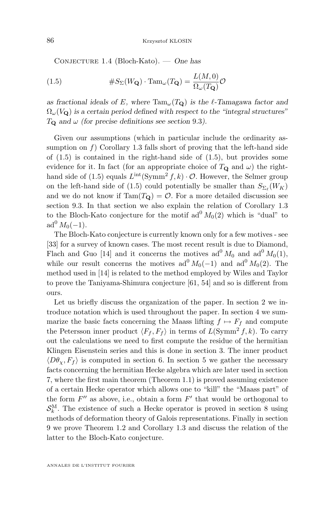Conjecture 1.4 (Bloch-Kato). — *One has*

(1.5) 
$$
\#S_{\Sigma}(W_{\mathbf{Q}}) \cdot \mathrm{Tam}_{\omega}(T_{\mathbf{Q}}) = \frac{L(M,0)}{\Omega_{\omega}(T_{\mathbf{Q}})} \mathcal{O}
$$

as fractional ideals of E, where  $\text{Tam}_{\omega}(T_{\mathbf{Q}})$  is the  $\ell$ -Tamagawa factor and  $\Omega_{\omega}(V_{\mathbf{Q}})$  is a certain period defined with respect to the "integral structures"  $T_{\mathbf{Q}}$  and  $\omega$  (for precise definitions see section [9.3](#page-70-0)).

Given our assumptions (which in particular include the ordinarity assumption on  $f$ ) Corollary [1.3](#page-5-0) falls short of proving that the left-hand side of  $(1.5)$  is contained in the right-hand side of  $(1.5)$ , but provides some evidence for it. In fact (for an appropriate choice of  $T_{\mathbf{Q}}$  and  $\omega$ ) the righthand side of (1.5) equals  $L^{int}(\text{Symm}^2 f, k) \cdot \mathcal{O}$ . However, the Selmer group on the left-hand side of (1.5) could potentially be smaller than  $S_{\Sigma_{\ell}}(W_K)$ and we do not know if  $\text{Tam}(T_{\mathbf{Q}}) = \mathcal{O}$ . For a more detailed discussion see section [9.3.](#page-70-0) In that section we also explain the relation of Corollary [1.3](#page-5-0) to the Bloch-Kato conjecture for the motif  $ad^0 M_0(2)$  which is "dual" to  $ad^{0} M_{0}(-1)$ .

The Bloch-Kato conjecture is currently known only for a few motives - see [\[33\]](#page-84-0) for a survey of known cases. The most recent result is due to Diamond, Flach and Guo [\[14\]](#page-83-0) and it concerns the motives  $\text{ad}^0 M_0$  and  $\text{ad}^0 M_0(1)$ , while our result concerns the motives ad<sup>0</sup>  $M_0(-1)$  and ad<sup>0</sup>  $M_0(2)$ . The method used in [\[14\]](#page-83-0) is related to the method employed by Wiles and Taylor to prove the Taniyama-Shimura conjecture [\[61,](#page-86-0) [54\]](#page-85-0) and so is different from ours.

Let us briefly discuss the organization of the paper. In section [2](#page-7-0) we introduce notation which is used throughout the paper. In section [4](#page-27-0) we summarize the basic facts concerning the Maass lifting  $f \mapsto F_f$  and compute the Petersson inner product  $\langle F_f, F_f \rangle$  in terms of  $L(\text{Symm}^2 f, k)$ . To carry out the calculations we need to first compute the residue of the hermitian Klingen Eisenstein series and this is done in section [3.](#page-14-0) The inner product  $\langle D\theta_{\chi}, F_{f} \rangle$  is computed in section [6.](#page-43-0) In section [5](#page-34-0) we gather the necessary facts concerning the hermitian Hecke algebra which are later used in section [7,](#page-45-0) where the first main theorem (Theorem [1.1\)](#page-4-0) is proved assuming existence of a certain Hecke operator which allows one to "kill" the "Maass part" of the form  $F''$  as above, i.e., obtain a form  $F'$  that would be orthogonal to  $\mathcal{S}_k^{\text{M}}$ . The existence of such a Hecke operator is proved in section [8](#page-58-0) using methods of deformation theory of Galois representations. Finally in section [9](#page-66-0) we prove Theorem [1.2](#page-5-0) and Corollary [1.3](#page-5-0) and discuss the relation of the latter to the Bloch-Kato conjecture.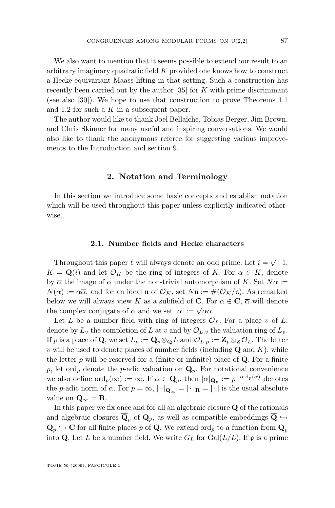<span id="page-7-0"></span>We also want to mention that it seems possible to extend our result to an arbitrary imaginary quadratic field K provided one knows how to construct a Hecke-equivariant Maass lifting in that setting. Such a construction has recently been carried out by the author  $[35]$  for K with prime discriminant (see also [\[30\]](#page-84-0)). We hope to use that construction to prove Theorems [1.1](#page-4-0) and [1.2](#page-5-0) for such a  $K$  in a subsequent paper.

The author would like to thank Joel Bellaïche, Tobias Berger, Jim Brown, and Chris Skinner for many useful and inspiring conversations. We would also like to thank the anonymous referee for suggesting various improvements to the Introduction and section [9.](#page-66-0)

#### **2. Notation and Terminology**

In this section we introduce some basic concepts and establish notation which will be used throughout this paper unless explicitly indicated otherwise.

#### **2.1. Number fields and Hecke characters**

Throughout this paper  $\ell$  will always denote an odd prime. Let  $i = \sqrt{-1}$ ,  $K = \mathbf{Q}(i)$  and let  $\mathcal{O}_K$  be the ring of integers of K. For  $\alpha \in K$ , denote by  $\overline{\alpha}$  the image of  $\alpha$  under the non-trivial automorphism of K. Set  $N\alpha$  :=  $N(\alpha) := \alpha \overline{\alpha}$ , and for an ideal **n** of  $\mathcal{O}_K$ , set  $N\mathfrak{n} := \#(\mathcal{O}_K/\mathfrak{n})$ . As remarked below we will always view K as a subfield of C. For  $\alpha \in \mathbb{C}$ ,  $\overline{\alpha}$  will denote the complex conjugate of  $\alpha$  and we set  $|\alpha| := \sqrt{\alpha \overline{\alpha}}$ .

Let L be a number field with ring of integers  $\mathcal{O}_L$ . For a place v of L, denote by  $L_v$  the completion of L at v and by  $\mathcal{O}_{L,v}$  the valuation ring of  $L_v$ . If p is a place of Q, we set  $L_p := \mathbf{Q}_p \otimes_{\mathbf{Q}} L$  and  $\mathcal{O}_{L,p} := \mathbf{Z}_p \otimes_{\mathbf{Z}} \mathcal{O}_L$ . The letter  $v$  will be used to denote places of number fields (including  $\mathbf Q$  and  $K$ ), while the letter  $p$  will be reserved for a (finite or infinite) place of  $Q$ . For a finite p, let ord<sub>p</sub> denote the p-adic valuation on  $\mathbf{Q}_p$ . For notational convenience we also define  $\text{ord}_p(\infty) := \infty$ . If  $\alpha \in \mathbf{Q}_p$ , then  $|\alpha|_{\mathbf{Q}_p} := p^{-\text{ord}_p(\alpha)}$  denotes the p-adic norm of  $\alpha$ . For  $p = \infty$ ,  $|\cdot|_{\mathbf{Q}_{\infty}} = |\cdot|_{\mathbf{R}} = |\cdot|$  is the usual absolute value on  $\mathbf{Q}_{\infty} = \mathbf{R}$ .

In this paper we fix once and for all an algebraic closure  $\overline{Q}$  of the rationals and algebraic closures  $\overline{\mathbf{Q}}_p$  of  $\mathbf{Q}_p$ , as well as compatible embeddings  $\overline{\mathbf{Q}} \hookrightarrow$  $\mathbf{Q}_p \hookrightarrow \mathbf{C}$  for all finite places p of  $\mathbf{Q}$ . We extend  $\text{ord}_p$  to a function from  $\mathbf{Q}_p$ into Q. Let L be a number field. We write  $G_L$  for  $Gal(\overline{L}/L)$ . If p is a prime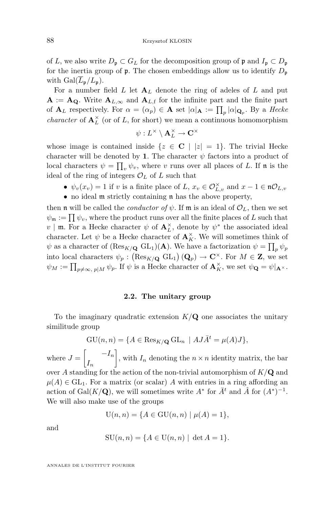<span id="page-8-0"></span>of L, we also write  $D_p \subset G_L$  for the decomposition group of p and  $I_p \subset D_p$ for the inertia group of  $\mathfrak p$ . The chosen embeddings allow us to identify  $D_{\mathfrak p}$ with  $Gal(L_{\mathfrak{p}}/L_{\mathfrak{p}}).$ 

For a number field  $L$  let  $A_L$  denote the ring of adeles of  $L$  and put  $A := A_{Q}$ . Write  $A_{L,\infty}$  and  $A_{L,f}$  for the infinite part and the finite part of  $\mathbf{A}_L$  respectively. For  $\alpha = (\alpha_p) \in \mathbf{A}$  set  $|\alpha|_{\mathbf{A}} := \prod_p |\alpha|_{\mathbf{Q}_p}$ . By a *Hecke character* of  $\mathbf{A}_{L}^{\times}$  (or of L, for short) we mean a continuous homomorphism

$$
\psi: L^\times \setminus \mathbf{A}_L^\times \to \mathbf{C}^\times
$$

whose image is contained inside  $\{z \in \mathbb{C} \mid |z| = 1\}$ . The trivial Hecke character will be denoted by 1. The character  $\psi$  factors into a product of local characters  $\psi = \prod_v \psi_v$ , where v runs over all places of L. If n is the ideal of the ring of integers  $\mathcal{O}_L$  of L such that

- $\psi_v(x_v) = 1$  if v is a finite place of L,  $x_v \in \mathcal{O}_{L,v}^{\times}$  and  $x 1 \in \mathfrak{n} \mathcal{O}_{L,v}$
- no ideal m strictly containing n has the above property,

then **n** will be called the *conductor of*  $\psi$ . If **m** is an ideal of  $\mathcal{O}_L$ , then we set  $\psi_{\mathfrak{m}} := \prod \psi_v$ , where the product runs over all the finite places of L such that  $v \mid \mathfrak{m}$ . For a Hecke character  $\psi$  of  $\mathbf{A}^{\times}_L$ , denote by  $\psi^*$  the associated ideal character. Let  $\psi$  be a Hecke character of  $\mathbf{A}_K^{\times}$ . We will sometimes think of  $\psi$  as a character of  $(\text{Res}_{K/\mathbf{Q}} \text{ GL}_1)(\mathbf{A})$ . We have a factorization  $\psi = \prod_p \psi_p$ into local characters  $\psi_p : (\text{Res}_{K/\mathbf{Q}} \text{ GL}_1) (\mathbf{Q}_p) \to \mathbf{C}^{\times}$ . For  $M \in \mathbf{Z}$ , we set  $\psi_M := \prod_{p \neq \infty, p \mid M} \psi_p$ . If  $\psi$  is a Hecke character of  $\mathbf{A}_K^{\times}$ , we set  $\psi_{\mathbf{Q}} = \psi|_{\mathbf{A}^{\times}}$ .

#### **2.2. The unitary group**

To the imaginary quadratic extension  $K/Q$  one associates the unitary similitude group

$$
GU(n, n) = \{ A \in \text{Res}_{K/\mathbf{Q}} GL_n \mid AJ\bar{A}^t = \mu(A)J \},
$$

where  $J = \begin{bmatrix} -I_n \end{bmatrix}$  $I_n$ , with  $I_n$  denoting the  $n \times n$  identity matrix, the bar over A standing for the action of the non-trivial automorphism of  $K/Q$  and  $\mu(A) \in GL_1$ . For a matrix (or scalar) A with entries in a ring affording an action of Gal $(K/\mathbf{Q})$ , we will sometimes write  $A^*$  for  $\bar{A}^t$  and  $\hat{A}$  for  $(A^*)^{-1}$ . We will also make use of the groups

$$
U(n, n) = \{ A \in GU(n, n) \mid \mu(A) = 1 \},
$$

and

$$
SU(n, n) = \{ A \in U(n, n) \mid \det A = 1 \}.
$$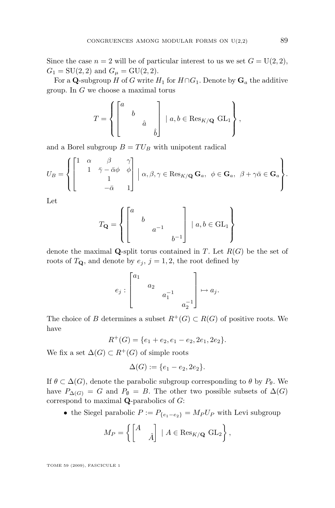Since the case  $n = 2$  will be of particular interest to us we set  $G = U(2, 2)$ ,  $G_1 = SU(2, 2)$  and  $G_{\mu} = GU(2, 2)$ .

For a Q-subgroup H of G write  $H_1$  for  $H \cap G_1$ . Denote by  $\mathbf{G}_a$  the additive group. In G we choose a maximal torus

$$
T = \left\{ \begin{bmatrix} a & & \\ & b & & \\ & & \hat{a} & \\ & & & \hat{b} \end{bmatrix} \mid a, b \in \text{Res}_{K/\mathbf{Q}} \text{ GL}_1 \right\},\
$$

and a Borel subgroup  $B = TU_B$  with unipotent radical

$$
U_B = \begin{cases} \begin{bmatrix} 1 & \alpha & \beta & \gamma \\ & 1 & \bar{\gamma} - \bar{\alpha}\phi & \phi \\ & & 1 & \\ & & -\bar{\alpha} & 1 \end{bmatrix} & \alpha, \beta, \gamma \in \operatorname{Res}_{K/\mathbf{Q}} \mathbf{G}_a, \ \ \phi \in \mathbf{G}_a, \ \ \beta + \gamma\bar{\alpha} \in \mathbf{G}_a \end{bmatrix}.
$$

Let

$$
T_{\mathbf{Q}} = \left\{ \begin{bmatrix} a & & \\ & b & & \\ & & a^{-1} & \\ & & & b^{-1} \end{bmatrix} \mid a, b \in \text{GL}_1 \right\}
$$

denote the maximal **Q**-split torus contained in T. Let  $R(G)$  be the set of roots of  $T_{\mathbf{Q}}$ , and denote by  $e_j$ ,  $j = 1, 2$ , the root defined by

$$
e_j : \begin{bmatrix} a_1 & & & \\ & a_2 & & \\ & & a_1^{-1} & \\ & & & a_2^{-1} \end{bmatrix} \mapsto a_j.
$$

The choice of B determines a subset  $R^+(G) \subset R(G)$  of positive roots. We have

 $R^+(G) = \{e_1 + e_2, e_1 - e_2, 2e_1, 2e_2\}.$ 

We fix a set  $\Delta(G) \subset R^+(G)$  of simple roots

$$
\Delta(G) := \{e_1 - e_2, 2e_2\}.
$$

If  $\theta \subset \Delta(G)$ , denote the parabolic subgroup corresponding to  $\theta$  by  $P_{\theta}$ . We have  $P_{\Delta(G)} = G$  and  $P_{\emptyset} = B$ . The other two possible subsets of  $\Delta(G)$ correspond to maximal Q-parabolics of G:

• the Siegel parabolic  $P := P_{\{e_1-e_2\}} = M_P U_P$  with Levi subgroup

$$
M_P = \left\{ \begin{bmatrix} A & \\ & \hat{A} \end{bmatrix} \mid A \in \text{Res}_{K/\mathbf{Q}} \text{ GL}_2 \right\},
$$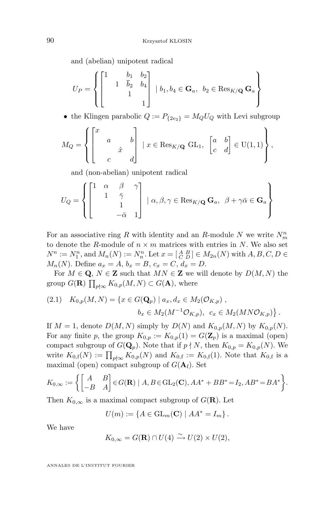and (abelian) unipotent radical

$$
U_P = \left\{ \begin{bmatrix} 1 & b_1 & b_2 \\ & 1 & \overline{b}_2 & b_4 \\ & & 1 & 1 \end{bmatrix} \mid b_1, b_4 \in \mathbf{G}_a, \ b_2 \in \text{Res}_{K/\mathbf{Q}} \mathbf{G}_a \right\}
$$

• the Klingen parabolic  $Q := P_{\{2e_2\}} = M_Q U_Q$  with Levi subgroup

$$
M_Q = \left\{ \begin{bmatrix} x & & & b \\ & a & & b \\ & & \hat{x} & \\ & & & d \end{bmatrix} \mid x \in \text{Res}_{K/\mathbf{Q}} \text{ GL}_1, \begin{bmatrix} a & b \\ c & d \end{bmatrix} \in \text{U}(1,1) \right\},
$$

and (non-abelian) unipotent radical

$$
U_Q = \left\{ \begin{bmatrix} 1 & \alpha & \beta & \gamma \\ & 1 & \bar{\gamma} & \\ & & 1 & \\ & & -\bar{\alpha} & 1 \end{bmatrix} \; \vert \; \alpha,\beta,\gamma \in \operatorname{Res}_{K/{\mathbf{Q}}} {\mathbf{G}}_a, \;\; \beta + \gamma \bar{\alpha} \in {\mathbf{G}}_a \right\}
$$

For an associative ring R with identity and an R-module N we write  $N_m^n$ to denote the R-module of  $n \times m$  matrices with entries in N. We also set  $N^{n} := N_{1}^{n}$ , and  $M_{n}(N) := N_{n}^{n}$ . Let  $x = \begin{bmatrix} A & B \\ C & D \end{bmatrix} \in M_{2n}(N)$  with  $A, B, C, D \in$  $M_n(N)$ . Define  $a_x = A, b_x = B, c_x = C, d_x = D$ .

For  $M \in \mathbf{Q}, N \in \mathbf{Z}$  such that  $MN \in \mathbf{Z}$  we will denote by  $D(M, N)$  the group  $G(\mathbf{R}) \prod_{p \nmid \infty} K_{0,p}(M,N) \subset G(\mathbf{A}),$  where

$$
(2.1) \quad K_{0,p}(M,N) = \{ x \in G(\mathbf{Q}_p) \mid a_x, d_x \in M_2(\mathcal{O}_{K,p}), b_x \in M_2(M^{-1}\mathcal{O}_{K,p}), \ c_x \in M_2(MN\mathcal{O}_{K,p}) \}.
$$

If  $M = 1$ , denote  $D(M, N)$  simply by  $D(N)$  and  $K_{0,p}(M, N)$  by  $K_{0,p}(N)$ . For any finite p, the group  $K_{0,p} := K_{0,p}(1) = G(\mathbf{Z}_p)$  is a maximal (open) compact subgroup of  $G(\mathbf{Q}_p)$ . Note that if  $p \nmid N$ , then  $K_{0,p} = K_{0,p}(N)$ . We write  $K_{0,\mathfrak{f}}(N) := \prod_{p \nmid \infty} K_{0,p}(N)$  and  $K_{0,\mathfrak{f}} := K_{0,\mathfrak{f}}(1)$ . Note that  $K_{0,\mathfrak{f}}$  is a maximal (open) compact subgroup of  $G(\mathbf{A}_f)$ . Set

$$
K_{0,\infty} := \left\{ \begin{bmatrix} A & B \\ -B & A \end{bmatrix} \in G(\mathbf{R}) \mid A, B \in \text{GL}_2(\mathbf{C}), AA^* + BB^* = I_2, AB^* = BA^* \right\}.
$$

Then  $K_{0,\infty}$  is a maximal compact subgroup of  $G(\mathbf{R})$ . Let

$$
U(m) := \{ A \in \mathrm{GL}_m(\mathbf{C}) \mid AA^* = I_m \}.
$$

We have

$$
K_{0,\infty}=G(\mathbf{R})\cap U(4)\xrightarrow{\sim} U(2)\times U(2),
$$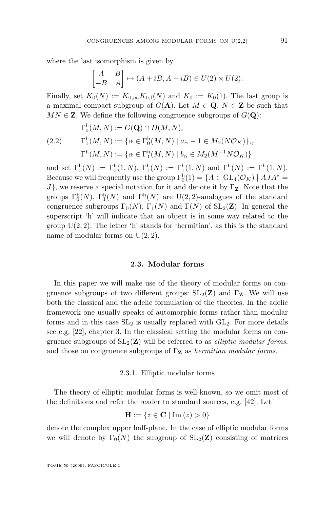where the last isomorphism is given by

$$
\begin{bmatrix} A & B \\ -B & A \end{bmatrix} \mapsto (A + iB, A - iB) \in U(2) \times U(2).
$$

Finally, set  $K_0(N) := K_{0,\infty} K_{0,\mathbf{f}}(N)$  and  $K_0 := K_0(1)$ . The last group is a maximal compact subgroup of  $G(A)$ . Let  $M \in \mathbf{Q}, N \in \mathbf{Z}$  be such that  $MN \in \mathbf{Z}$ . We define the following congruence subgroups of  $G(\mathbf{Q})$ :

$$
\Gamma_0^{\mathrm{h}}(M, N) := G(\mathbf{Q}) \cap D(M, N), \n(2.2) \qquad \Gamma_1^{\mathrm{h}}(M, N) := \{ \alpha \in \Gamma_0^{\mathrm{h}}(M, N) \mid a_\alpha - 1 \in M_2(N\mathcal{O}_K) \}, \n\Gamma^{\mathrm{h}}(M, N) := \{ \alpha \in \Gamma_1^{\mathrm{h}}(M, N) \mid b_\alpha \in M_2(M^{-1}N\mathcal{O}_K) \}
$$

and set  $\Gamma_0^{\rm h}(N) := \Gamma_0^{\rm h}(1,N), \Gamma_1^{\rm h}(N) := \Gamma_1^{\rm h}(1,N)$  and  $\Gamma^{\rm h}(N) := \Gamma^{\rm h}(1,N)$ . Because we will frequently use the group  $\Gamma_0^h(1) = \{A \in GL_4(\mathcal{O}_K) \mid AJA^* =$  $J$ , we reserve a special notation for it and denote it by  $\Gamma$ **z**. Note that the groups  $\Gamma_0^{\rm h}(N)$ ,  $\Gamma_1^{\rm h}(N)$  and  $\Gamma^{\rm h}(N)$  are U(2, 2)-analogues of the standard congruence subgroups  $\Gamma_0(N)$ ,  $\Gamma_1(N)$  and  $\Gamma(N)$  of  $SL_2(\mathbf{Z})$ . In general the superscript 'h' will indicate that an object is in some way related to the group  $U(2, 2)$ . The letter 'h' stands for 'hermitian', as this is the standard name of modular forms on  $U(2, 2)$ .

#### **2.3. Modular forms**

In this paper we will make use of the theory of modular forms on congruence subgroups of two different groups:  $SL_2(\mathbf{Z})$  and  $\Gamma_{\mathbf{Z}}$ . We will use both the classical and the adelic formulation of the theories. In the adelic framework one usually speaks of automorphic forms rather than modular forms and in this case  $SL_2$  is usually replaced with  $GL_2$ . For more details see e.g. [\[22\]](#page-84-0), chapter 3. In the classical setting the modular forms on congruence subgroups of  $SL_2(\mathbf{Z})$  will be referred to as *elliptic modular forms*, and those on congruence subgroups of  $\Gamma$ **z** as *hermitian modular forms*.

#### 2.3.1. Elliptic modular forms

The theory of elliptic modular forms is well-known, so we omit most of the definitions and refer the reader to standard sources, e.g. [\[42\]](#page-85-0). Let

$$
\mathbf{H} := \{ z \in \mathbf{C} \mid \text{Im}(z) > 0 \}
$$

denote the complex upper half-plane. In the case of elliptic modular forms we will denote by  $\Gamma_0(N)$  the subgroup of  $SL_2(\mathbf{Z})$  consisting of matrices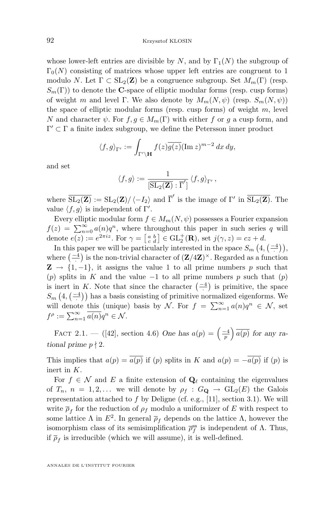whose lower-left entries are divisible by  $N$ , and by  $\Gamma_1(N)$  the subgroup of  $\Gamma_0(N)$  consisting of matrices whose upper left entries are congruent to 1 modulo N. Let  $\Gamma \subset SL_2(\mathbf{Z})$  be a congruence subgroup. Set  $M_m(\Gamma)$  (resp.  $S_m(\Gamma)$ ) to denote the **C**-space of elliptic modular forms (resp. cusp forms) of weight m and level Γ. We also denote by  $M_m(N, \psi)$  (resp.  $S_m(N, \psi)$ ) the space of elliptic modular forms (resp. cusp forms) of weight  $m$ , level N and character  $\psi$ . For  $f, g \in M_m(\Gamma)$  with either f or g a cusp form, and  $\Gamma' \subset \Gamma$  a finite index subgroup, we define the Petersson inner product

$$
\langle f, g \rangle_{\Gamma'} := \int_{\Gamma' \backslash \mathbf{H}} f(z) \overline{g(z)} (\operatorname{Im} z)^{m-2} dx dy,
$$

and set

$$
\langle f, g \rangle := \frac{1}{\left[ \overline{\operatorname{SL}_2(\mathbf{Z})} : \overline{\Gamma}' \right]} \langle f, g \rangle_{\Gamma'},
$$

where  $\overline{{\rm SL}_2(\mathbf{Z})} := {\rm SL}_2(\mathbf{Z}) / \langle -I_2 \rangle$  and  $\overline{\Gamma}'$  is the image of  $\Gamma'$  in  $\overline{{\rm SL}_2(\mathbf{Z})}$ . The value  $\langle f, g \rangle$  is independent of Γ'.

Every elliptic modular form  $f \in M_m(N, \psi)$  possesses a Fourier expansion  $f(z) = \sum_{n=0}^{\infty} a(n)q^n$ , where throughout this paper in such series q will denote  $e(z) := e^{2\pi i z}$ . For  $\gamma = \begin{bmatrix} a & b \\ c & d \end{bmatrix} \in \text{GL}_2^+(\mathbf{R})$ , set  $j(\gamma, z) = cz + d$ .

In this paper we will be particularly interested in the space  $S_m(4, \left( \frac{-4}{\cdot} \right)),$ where  $\left( \frac{-4}{\cdot} \right)$  is the non-trivial character of  $\left( \mathbf{Z}/4\mathbf{Z} \right)$ <sup>×</sup>. Regarded as a function  $\mathbf{Z} \rightarrow \{1,-1\}$ , it assigns the value 1 to all prime numbers p such that (p) splits in K and the value  $-1$  to all prime numbers p such that  $(p)$ is inert in K. Note that since the character  $\left( \frac{-4}{\cdot} \right)$  is primitive, the space  $S_m\left(4, \left(\frac{-4}{\cdot}\right)\right)$  has a basis consisting of primitive normalized eigenforms. We will denote this (unique) basis by N. For  $f = \sum_{n=1}^{\infty} a(n)q^n \in \mathcal{N}$ , set  $f^{\rho} := \sum_{n=1}^{\infty} \overline{a(n)} q^n \in \mathcal{N}.$ 

FACT 2.1. – ([\[42\]](#page-85-0), section 4.6) *One has*  $a(p) = \left(\frac{-4}{p}\right) \overline{a(p)}$  for any ra*tional prime*  $p \nmid 2$ *.* 

This implies that  $a(p) = \overline{a(p)}$  if (p) splits in K and  $a(p) = -\overline{a(p)}$  if (p) is inert in K.

For  $f \in \mathcal{N}$  and E a finite extension of  $\mathbf{Q}_{\ell}$  containing the eigenvalues of  $T_n$ ,  $n = 1, 2, \ldots$  we will denote by  $\rho_f : G_{\mathbf{Q}} \to GL_2(E)$  the Galois representation attached to  $f$  by Deligne (cf. e.g., [\[11\]](#page-83-0), section 3.1). We will write  $\overline{\rho}_f$  for the reduction of  $\rho_f$  modulo a uniformizer of E with respect to some lattice  $\Lambda$  in  $E^2$ . In general  $\overline{\rho}_f$  depends on the lattice  $\Lambda$ , however the isomorphism class of its semisimplification  $\bar{\rho}_f^{\rm ss}$  is independent of  $\Lambda$ . Thus, if  $\overline{\rho}_f$  is irreducible (which we will assume), it is well-defined.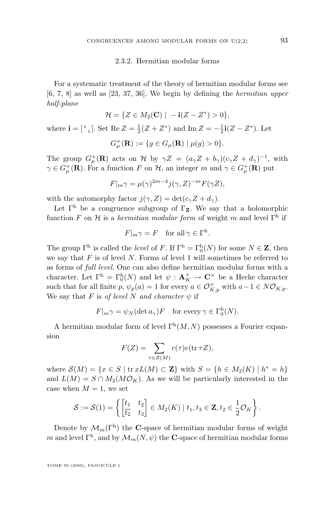#### 2.3.2. Hermitian modular forms

For a systematic treatment of the theory of hermitian modular forms see [\[6,](#page-83-0) [7,](#page-83-0) [8\]](#page-83-0) as well as [\[23,](#page-84-0) [37,](#page-84-0) [36\]](#page-84-0). We begin by defining the *hermitian upper half-plane*

$$
\mathcal{H} = \{ Z \in M_2(\mathbf{C}) \mid -\mathbf{i}(Z - Z^*) > 0 \},
$$
  
where  $\mathbf{i} = \begin{bmatrix} i \\ i \end{bmatrix}$ . Set Re  $Z = \frac{1}{2}(Z + Z^*)$  and Im  $Z = -\frac{1}{2}\mathbf{i}(Z - Z^*)$ . Let  

$$
G^+_{\mu}(\mathbf{R}) := \{ g \in G_{\mu}(\mathbf{R}) \mid \mu(g) > 0 \}.
$$

The group  $G^+_{\mu}(\mathbf{R})$  acts on H by  $\gamma Z = (a_{\gamma}Z + b_{\gamma})(c_{\gamma}Z + d_{\gamma})^{-1}$ , with  $\gamma \in G_{\mu}^{+}(\mathbf{R})$ . For a function F on  $\mathcal{H}$ , an integer m and  $\gamma \in G_{\mu}^{+}(\mathbf{R})$  put

$$
F|_{m}\gamma = \mu(\gamma)^{2m-4}j(\gamma, Z)^{-m}F(\gamma Z),
$$

with the automorphy factor  $j(\gamma, Z) = \det(c_{\gamma}Z + d_{\gamma}).$ 

Let  $\Gamma^h$  be a congruence subgroup of  $\Gamma_Z$ . We say that a holomorphic function F on H is a *hermitian modular form* of weight m and level  $\Gamma^{\text{h}}$  if

$$
F|_{m}\gamma = F \quad \text{for all } \gamma \in \Gamma^{\mathrm{h}}.
$$

The group  $\Gamma^{\text{h}}$  is called the *level* of F. If  $\Gamma^{\text{h}} = \Gamma_0^{\text{h}}(N)$  for some  $N \in \mathbb{Z}$ , then we say that  $F$  is of level  $N$ . Forms of level 1 will sometimes be referred to as forms of *full level*. One can also define hermitian modular forms with a character. Let  $\Gamma^{\rm h} = \Gamma_0^{\rm h}(N)$  and let  $\psi : \mathbf{A}_K^{\times} \to \mathbf{C}^{\times}$  be a Hecke character such that for all finite p,  $\psi_p(a) = 1$  for every  $a \in \mathcal{O}_{K,p}^{\times}$  with  $a - 1 \in N\mathcal{O}_{K,p}$ . We say that F is *of level* N *and character*  $\psi$  if

$$
F|_{m}\gamma = \psi_{N}(\det a_{\gamma})F \text{ for every } \gamma \in \Gamma_{0}^{h}(N).
$$

A hermitian modular form of level  $\Gamma^{h}(M, N)$  possesses a Fourier expansion

$$
F(Z) = \sum_{\tau \in \mathcal{S}(M)} c(\tau) e(\text{tr}\,\tau Z),
$$

where  $\mathcal{S}(M) = \{x \in S \mid \text{tr } xL(M) \subset \mathbf{Z}\}\$  with  $S = \{h \in M_2(K) \mid h^* = h\}\$ and  $L(M) = S \cap M_2(M\mathcal{O}_K)$ . As we will be particularly interested in the case when  $M = 1$ , we set

$$
\mathcal{S} := \mathcal{S}(1) = \left\{ \begin{bmatrix} t_1 & t_2 \\ t_2 & t_3 \end{bmatrix} \in M_2(K) \mid t_1, t_3 \in \mathbf{Z}, t_2 \in \frac{1}{2} \mathcal{O}_K \right\}.
$$

Denote by  $\mathcal{M}_m(\Gamma^{\text{h}})$  the C-space of hermitian modular forms of weight m and level  $\Gamma^{\text{h}}$ , and by  $\mathcal{M}_m(N, \psi)$  the **C**-space of hermitian modular forms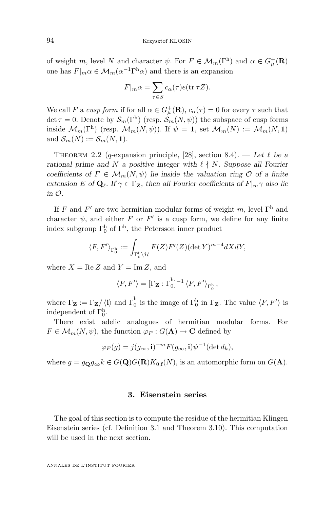<span id="page-14-0"></span>of weight m, level N and character  $\psi$ . For  $F \in M_m(\Gamma^h)$  and  $\alpha \in G^+_{\mu}(\mathbf{R})$ one has  $F|_{m} \alpha \in \mathcal{M}_{m}(\alpha^{-1} \Gamma^{\hat{\mathbf{h}}}\alpha)$  and there is an expansion

$$
F|_m \alpha = \sum_{\tau \in S} c_{\alpha}(\tau) e(\text{tr } \tau Z).
$$

We call F a cusp form if for all  $\alpha \in G_{\mu}^{+}(\mathbf{R}), c_{\alpha}(\tau) = 0$  for every  $\tau$  such that det  $\tau = 0$ . Denote by  $\mathcal{S}_m(\Gamma^{\text{h}})$  (resp.  $\mathcal{S}_m(N, \psi)$ ) the subspace of cusp forms inside  $\mathcal{M}_m(\Gamma^h)$  (resp.  $\mathcal{M}_m(N,\psi)$ ). If  $\psi = 1$ , set  $\mathcal{M}_m(N) := \mathcal{M}_m(N,1)$ and  $\mathcal{S}_m(N) := \mathcal{S}_m(N, 1)$ .

THEOREM 2.2 (q-expansion principle, [\[28\]](#page-84-0), section 8.4). — Let  $\ell$  be a *rational prime and* N *a positive integer with*  $\ell \nmid N$ . Suppose all Fourier *coefficients of*  $F \in \mathcal{M}_m(N, \psi)$  *lie inside the valuation ring*  $\mathcal{O}$  *of a finite extension* E of  $\mathbf{Q}_\ell$ . If  $\gamma \in \Gamma$ **z**, then all Fourier coefficients of  $F|_{m\gamma}$  also lie *in* O*.*

If F and F' are two hermitian modular forms of weight m, level  $\Gamma<sup>h</sup>$  and character  $\psi$ , and either F or F' is a cusp form, we define for any finite index subgroup  $\Gamma_0^{\rm h}$  of  $\Gamma^{\rm h}$ , the Petersson inner product

$$
\langle F, F' \rangle_{\Gamma_0^{\mathbf{h}}} := \int_{\Gamma_0^{\mathbf{h}} \backslash \mathcal{H}} F(Z) \overline{F'(Z)} (\det Y)^{m-4} dX dY,
$$

where  $X = \text{Re } Z$  and  $Y = \text{Im } Z$ , and

$$
\langle F, F' \rangle = [\overline{\Gamma}_{\mathbf{Z}} : \overline{\Gamma}_0^{\mathrm{h}}]^{-1} \langle F, F' \rangle_{\Gamma_0^{\mathrm{h}}},
$$

where  $\overline{\Gamma}_{\mathbf{Z}} := \Gamma_{\mathbf{Z}} / \langle \mathbf{i} \rangle$  and  $\overline{\Gamma}_{0}^{\text{h}}$  $\overline{0}$  is the image of  $\Gamma_0^h$  in  $\overline{\Gamma}_{\mathbf{Z}}$ . The value  $\langle F, F' \rangle$  is independent of  $\Gamma_0^h$ .

There exist adelic analogues of hermitian modular forms. For  $F \in \mathcal{M}_m(N, \psi)$ , the function  $\varphi_F : G(\mathbf{A}) \to \mathbf{C}$  defined by

$$
\varphi_F(g) = j(g_{\infty}, \mathbf{i})^{-m} F(g_{\infty}, \mathbf{i}) \psi^{-1}(\det d_k),
$$

where  $g = g_{\mathbf{Q}}g_{\infty}k \in G(\mathbf{Q})G(\mathbf{R})K_{0,\mathrm{f}}(N)$ , is an automorphic form on  $G(\mathbf{A})$ .

#### **3. Eisenstein series**

The goal of this section is to compute the residue of the hermitian Klingen Eisenstein series (cf. Definition [3.1](#page-15-0) and Theorem [3.10\)](#page-20-0). This computation will be used in the next section.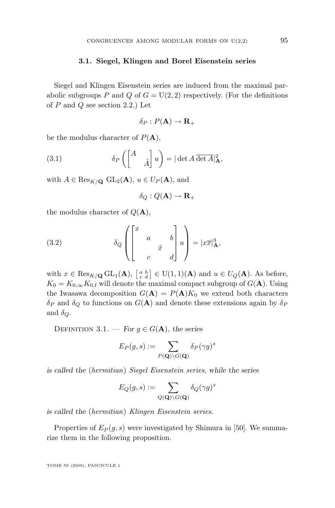#### **3.1. Siegel, Klingen and Borel Eisenstein series**

<span id="page-15-0"></span>Siegel and Klingen Eisenstein series are induced from the maximal parabolic subgroups P and Q of  $G = U(2, 2)$  respectively. (For the definitions of  $P$  and  $Q$  see section [2.2.](#page-8-0)) Let

$$
\delta_P: P(\mathbf{A}) \to \mathbf{R}_+
$$

be the modulus character of  $P(A)$ ,

(3.1) 
$$
\delta_P \left( \begin{bmatrix} A & \\ & \hat{A} \end{bmatrix} u \right) = |\det A \overline{\det A}|^2_{\mathbf{A}},
$$

with  $A \in \text{Res}_{K/\mathbf{Q}}$   $\text{GL}_2(\mathbf{A}), u \in U_P(\mathbf{A}),$  and

$$
\delta_Q: Q(\mathbf{A}) \to \mathbf{R}_+
$$

the modulus character of  $Q(\mathbf{A}),$ 

(3.2) 
$$
\delta_Q \left( \begin{bmatrix} x & & & \\ & a & & b \\ & & \hat{x} & \\ & & & d \end{bmatrix} u \right) = |x\overline{x}|^3_{\mathbf{A}},
$$

with  $x \in \text{Res}_{K/\mathbf{Q}} \text{GL}_1(\mathbf{A}), \begin{bmatrix} a & b \\ c & d \end{bmatrix} \in \text{U}(1,1)(\mathbf{A})$  and  $u \in U_Q(\mathbf{A})$ . As before,  $K_0 = K_{0,\infty} K_{0,\text{f}}$  will denote the maximal compact subgroup of  $G(\mathbf{A})$ . Using the Iwasawa decomposition  $G(\mathbf{A}) = P(\mathbf{A})K_0$  we extend both characters  $\delta_P$  and  $\delta_Q$  to functions on  $G(\mathbf{A})$  and denote these extensions again by  $\delta_P$ and  $\delta_Q$ .

DEFINITION 3.1. — *For*  $q \in G(A)$ *, the series* 

$$
E_P(g, s) := \sum_{P(\mathbf{Q}) \backslash G(\mathbf{Q})} \delta_P(\gamma g)^s
$$

*is called the* (*hermitian*) *Siegel Eisenstein series, while the series*

$$
E_Q(g,s) := \sum_{Q(\mathbf{Q}) \backslash G(\mathbf{Q})} \delta_Q(\gamma g)^s
$$

*is called the* (*hermitian*) *Klingen Eisenstein series.*

Properties of  $E_P(q, s)$  were investigated by Shimura in [\[50\]](#page-85-0). We summarize them in the following proposition.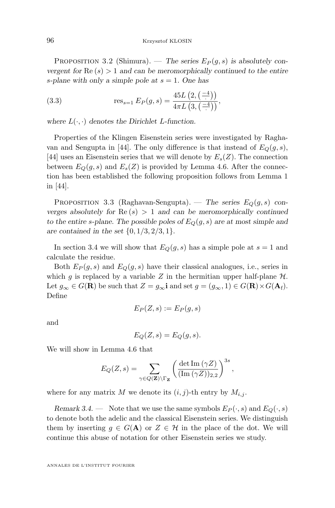PROPOSITION 3.2 (Shimura). — *The series*  $E_P(g, s)$  *is absolutely convergent for*  $\text{Re}(s) > 1$  *and can be meromorphically continued to the entire* s*-plane with only a simple pole at* s = 1*. One has*

(3.3) 
$$
\operatorname{res}_{s=1} E_P(g, s) = \frac{45L(2, (\frac{-4}{\cdot}))}{4\pi L(3, (\frac{-4}{\cdot}))},
$$

where  $L(\cdot, \cdot)$  denotes the Dirichlet L-function.

Properties of the Klingen Eisenstein series were investigated by Ragha-van and Sengupta in [\[44\]](#page-85-0). The only difference is that instead of  $E_O(g, s)$ , [\[44\]](#page-85-0) uses an Eisenstein series that we will denote by  $E_s(Z)$ . The connection between  $E_O(q, s)$  and  $E_s(Z)$  is provided by Lemma [4.6.](#page-29-0) After the connection has been established the following proposition follows from Lemma 1 in [\[44\]](#page-85-0).

PROPOSITION 3.3 (Raghavan-Sengupta). — *The series*  $E_Q(g, s)$  con*verges absolutely for*  $\text{Re}(s) > 1$  *and can be meromorphically continued* to the entire s-plane. The possible poles of  $E_Q(g, s)$  are at most simple and *are contained in the set* {0, 1/3, 2/3, 1}.

In section [3.4](#page-20-0) we will show that  $E_Q(g, s)$  has a simple pole at  $s = 1$  and calculate the residue.

Both  $E_P(g, s)$  and  $E_Q(g, s)$  have their classical analogues, i.e., series in which g is replaced by a variable Z in the hermitian upper half-plane  $\mathcal{H}$ . Let  $g_{\infty} \in G(\mathbf{R})$  be such that  $Z = g_{\infty}$ **i** and set  $g = (g_{\infty}, 1) \in G(\mathbf{R}) \times G(\mathbf{A}_{f}).$ Define

$$
E_P(Z,s) := E_P(g,s)
$$

and

$$
E_Q(Z,s) = E_Q(g,s).
$$

We will show in Lemma [4.6](#page-29-0) that

$$
E_Q(Z,s) = \sum_{\gamma \in Q(\mathbf{Z}) \backslash \Gamma_{\mathbf{Z}}} \left( \frac{\det \mathrm{Im}(\gamma Z)}{(\mathrm{Im}(\gamma Z))_{2,2}} \right)^{3s},
$$

where for any matrix M we denote its  $(i, j)$ -th entry by  $M_{i,j}$ .

*Remark 3.4.* — Note that we use the same symbols  $E_P(\cdot, s)$  and  $E_Q(\cdot, s)$ to denote both the adelic and the classical Eisenstein series. We distinguish them by inserting  $g \in G(\mathbf{A})$  or  $Z \in \mathcal{H}$  in the place of the dot. We will continue this abuse of notation for other Eisenstein series we study.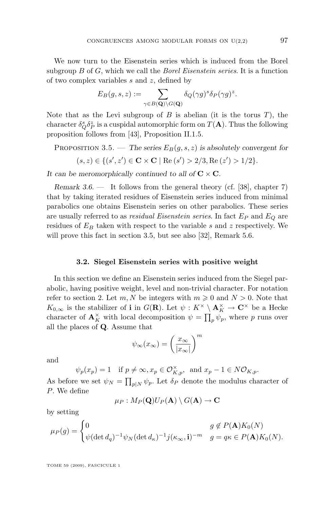<span id="page-17-0"></span>We now turn to the Eisenstein series which is induced from the Borel subgroup B of G, which we call the *Borel Eisenstein series*. It is a function of two complex variables s and z, defined by

$$
E_B(g, s, z) := \sum_{\gamma \in B(\mathbf{Q}) \backslash G(\mathbf{Q})} \delta_Q(\gamma g)^s \delta_P(\gamma g)^z.
$$

Note that as the Levi subgroup of  $B$  is abelian (it is the torus  $T$ ), the character  $\delta_Q^s \delta_P^z$  is a cuspidal automorphic form on  $T({\bf A})$ . Thus the following proposition follows from [\[43\]](#page-85-0), Proposition II.1.5.

PROPOSITION 3.5. — *The series*  $E_B(g, s, z)$  *is absolutely convergent for* 

$$
(s, z) \in \{ (s', z') \in \mathbf{C} \times \mathbf{C} \mid \text{Re}(s') > 2/3, \text{Re}(z') > 1/2 \}.
$$

*It can be meromorphically continued to all of*  $C \times C$ *.* 

*Remark 3.6.* — It follows from the general theory (cf. [\[38\]](#page-85-0), chapter 7) that by taking iterated residues of Eisenstein series induced from minimal parabolics one obtains Eisenstein series on other parabolics. These series are usually referred to as *residual Eisenstein series*. In fact  $E_P$  and  $E_Q$  are residues of  $E_B$  taken with respect to the variable s and z respectively. We will prove this fact in section [3.5,](#page-23-0) but see also [\[32\]](#page-84-0), Remark 5.6.

#### **3.2. Siegel Eisenstein series with positive weight**

In this section we define an Eisenstein series induced from the Siegel parabolic, having positive weight, level and non-trivial character. For notation refer to section [2.](#page-7-0) Let m, N be integers with  $m \geq 0$  and  $N > 0$ . Note that  $K_{0,\infty}$  is the stabilizer of **i** in  $G(\mathbf{R})$ . Let  $\psi: K^{\times} \setminus \mathbf{A}_{K}^{\times} \to \mathbf{C}^{\times}$  be a Hecke character of  $\mathbf{A}_{K}^{\times}$  with local decomposition  $\psi = \prod_{p} \psi_{p}$ , where p runs over all the places of Q. Assume that

$$
\psi_\infty(x_\infty) = \left(\frac{x_\infty}{|x_\infty|}\right)^m
$$

and

$$
\psi_p(x_p) = 1 \quad \text{if } p \neq \infty, x_p \in \mathcal{O}_{K,p}^{\times}, \text{ and } x_p - 1 \in N\mathcal{O}_{K,p}.
$$

As before we set  $\psi_N = \prod_{p|N} \psi_p$ . Let  $\delta_P$  denote the modulus character of P. We define

$$
\mu_P: M_P({\bf Q})U_P(\mathbf{A})\setminus G(\mathbf{A})\to {\bf C}
$$

by setting

$$
\mu_P(g) = \begin{cases} 0 & g \notin P(\mathbf{A})K_0(N) \\ \psi(\det d_q)^{-1} \psi_N(\det d_\kappa)^{-1} j(\kappa_\infty, \mathbf{i})^{-m} & g = q\kappa \in P(\mathbf{A})K_0(N). \end{cases}
$$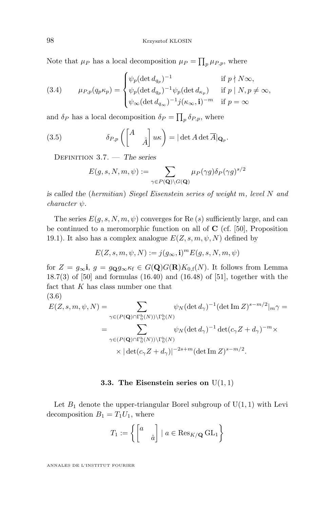<span id="page-18-0"></span>Note that  $\mu_P$  has a local decomposition  $\mu_P = \prod_p \mu_{P,p}$ , where

(3.4) 
$$
\mu_{P,p}(q_p \kappa_p) = \begin{cases} \psi_p (\det d_{q_p})^{-1} & \text{if } p \nmid N \infty, \\ \psi_p (\det d_{q_p})^{-1} \psi_p (\det d_{\kappa_p}) & \text{if } p \mid N, p \neq \infty, \\ \psi_{\infty} (\det d_{q_{\infty}})^{-1} j(\kappa_{\infty}, \mathbf{i})^{-m} & \text{if } p = \infty \end{cases}
$$

and  $\delta_P$  has a local decomposition  $\delta_P = \prod_p \delta_{P,p}$ , where

(3.5) 
$$
\delta_{P,p}\left(\begin{bmatrix} A & \\ & \hat{A} \end{bmatrix} u\kappa\right) = |\det A \det \overline{A}|_{\mathbf{Q}_p}.
$$

Definition 3.7. — *The series*

$$
E(g, s, N, m, \psi) := \sum_{\gamma \in P(\mathbf{Q}) \backslash G(\mathbf{Q})} \mu_P(\gamma g) \delta_P(\gamma g)^{s/2}
$$

*is called the* (*hermitian*) *Siegel Eisenstein series of weight* m*, level* N *and*  $character \psi$ .

The series  $E(g, s, N, m, \psi)$  converges for Re (s) sufficiently large, and can be continued to a meromorphic function on all of  $C$  (cf. [\[50\]](#page-85-0), Proposition 19.1). It also has a complex analogue  $E(Z, s, m, \psi, N)$  defined by

$$
E(Z, s, m, \psi, N) := j(g_{\infty}, \mathbf{i})^m E(g, s, N, m, \psi)
$$

for  $Z = g_{\infty}$ **i**,  $g = g_{\mathbf{Q}}g_{\infty} \kappa_f \in G(\mathbf{Q})G(\mathbf{R})K_{0,f}(N)$ . It follows from Lemma 18.7(3) of [\[50\]](#page-85-0) and formulas (16.40) and (16.48) of [\[51\]](#page-85-0), together with the fact that  $K$  has class number one that (3.6)

$$
E(Z, s, m, \psi, N) = \sum_{\gamma \in (P(\mathbf{Q}) \cap \Gamma_0^h(N)) \backslash \Gamma_0^h(N)} \psi_N(\det d_\gamma)^{-1} (\det \operatorname{Im} Z)^{s - m/2} |_{m} \gamma =
$$
  

$$
= \sum_{\gamma \in (P(\mathbf{Q}) \cap \Gamma_0^h(N)) \backslash \Gamma_0^h(N)} \psi_N(\det d_\gamma)^{-1} \det (c_\gamma Z + d_\gamma)^{-m} \times
$$
  

$$
\times |\det (c_\gamma Z + d_\gamma)|^{-2s + m} (\det \operatorname{Im} Z)^{s - m/2}.
$$

#### **3.3. The Eisenstein series on**  $U(1, 1)$

Let  $B_1$  denote the upper-triangular Borel subgroup of  $U(1, 1)$  with Levi decomposition  $B_1 = T_1 U_1$ , where

$$
T_1 := \left\{ \begin{bmatrix} a & \\ & \hat{a} \end{bmatrix} \mid a \in \text{Res}_{K/\mathbf{Q}} \text{GL}_1 \right\}
$$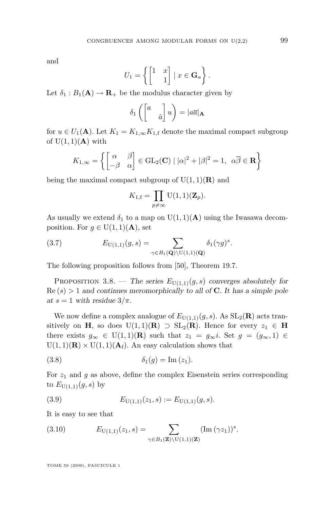<span id="page-19-0"></span>and

$$
U_1 = \left\{ \begin{bmatrix} 1 & x \\ & 1 \end{bmatrix} \mid x \in \mathbf{G}_a \right\}.
$$

Let  $\delta_1 : B_1(\mathbf{A}) \to \mathbf{R}_+$  be the modulus character given by

$$
\delta_1\left(\begin{bmatrix}a&\\&\hat{a}\end{bmatrix}u\right) = |a\overline{a}|_{\mathbf{A}}
$$

for  $u \in U_1(\mathbf{A})$ . Let  $K_1 = K_{1,\infty} K_{1,\mathbf{f}}$  denote the maximal compact subgroup of  $U(1,1)(\mathbf{A})$  with

$$
K_{1,\infty} = \left\{ \begin{bmatrix} \alpha & \beta \\ -\beta & \alpha \end{bmatrix} \in GL_2(\mathbf{C}) \mid |\alpha|^2 + |\beta|^2 = 1, \ \alpha \overline{\beta} \in \mathbf{R} \right\}
$$

being the maximal compact subgroup of  $U(1, 1)(\mathbf{R})$  and

$$
K_{1,\mathbf{f}} = \prod_{p \neq \infty} \mathrm{U}(1,1)(\mathbf{Z}_p).
$$

As usually we extend  $\delta_1$  to a map on  $U(1,1)(\mathbf{A})$  using the Iwasawa decomposition. For  $g \in U(1,1)(\mathbf{A})$ , set

(3.7) 
$$
E_{\mathrm{U}(1,1)}(g,s) = \sum_{\gamma \in B_1(\mathbf{Q}) \backslash \mathrm{U}(1,1)(\mathbf{Q})} \delta_1(\gamma g)^s.
$$

The following proposition follows from [\[50\]](#page-85-0), Theorem 19.7.

PROPOSITION 3.8. — *The series*  $E_{U(1,1)}(g, s)$  *converges absolutely for* Re (s) > 1 *and continues meromorphically to all of* C*. It has a simple pole at*  $s = 1$  *with residue*  $3/\pi$ *.* 

We now define a complex analogue of  $E_{U(1,1)}(g, s)$ . As  $SL_2(\mathbf{R})$  acts transitively on H, so does U(1, 1)(R)  $\supset$  SL<sub>2</sub>(R). Hence for every  $z_1 \in$  H there exists  $g_{\infty} \in U(1,1)(\mathbf{R})$  such that  $z_1 = g_{\infty}i$ . Set  $g = (g_{\infty}, 1) \in$  $U(1, 1)(\mathbf{R}) \times U(1, 1)(\mathbf{A}_{\mathrm{f}})$ . An easy calculation shows that

$$
\delta_1(g) = \text{Im}(z_1).
$$

For  $z_1$  and g as above, define the complex Eisenstein series corresponding to  $E_{U(1,1)}(g, s)$  by

(3.9) 
$$
E_{U(1,1)}(z_1,s) := E_{U(1,1)}(g,s).
$$

It is easy to see that

(3.10) 
$$
E_{U(1,1)}(z_1,s) = \sum_{\gamma \in B_1(\mathbf{Z}) \setminus U(1,1)(\mathbf{Z})} (\text{Im } (\gamma z_1))^s.
$$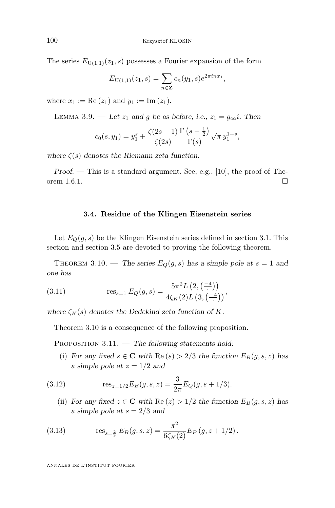The series  $E_{U(1,1)}(z_1, s)$  possesses a Fourier expansion of the form

$$
E_{U(1,1)}(z_1,s) = \sum_{n \in \mathbb{Z}} c_n(y_1,s)e^{2\pi i n x_1},
$$

where  $x_1 := \text{Re}(z_1)$  and  $y_1 := \text{Im}(z_1)$ .

LEMMA 3.9. — Let  $z_1$  and g be as before, i.e.,  $z_1 = g_\infty i$ . Then

$$
c_0(s, y_1) = y_1^s + \frac{\zeta(2s - 1)}{\zeta(2s)} \frac{\Gamma(s - \frac{1}{2})}{\Gamma(s)} \sqrt{\pi} y_1^{1 - s},
$$

*where*  $\zeta(s)$  *denotes the Riemann zeta function.* 

*Proof.* — This is a standard argument. See, e.g., [\[10\]](#page-83-0), the proof of Theorem 1.6.1.  $\square$ 

#### **3.4. Residue of the Klingen Eisenstein series**

Let  $E_Q(g, s)$  be the Klingen Eisenstein series defined in section [3.1.](#page-15-0) This section and section [3.5](#page-23-0) are devoted to proving the following theorem.

THEOREM 3.10. — *The series*  $E_Q(g, s)$  *has a simple pole at*  $s = 1$  *and one has*

(3.11) 
$$
\operatorname{res}_{s=1} E_Q(g, s) = \frac{5\pi^2 L\left(2, \left(\frac{-4}{\cdot}\right)\right)}{4\zeta_K(2)L\left(3, \left(\frac{-4}{\cdot}\right)\right)},
$$

where  $\zeta_K(s)$  denotes the Dedekind zeta function of K.

Theorem 3.10 is a consequence of the following proposition.

Proposition 3.11. — *The following statements hold:*

(i) *For any fixed*  $s \in \mathbb{C}$  *with*  $\text{Re}(s) > 2/3$  *the function*  $E_B(g, s, z)$  *has a* simple pole at  $z = 1/2$  and

(3.12) 
$$
\text{res}_{z=1/2} E_B(g, s, z) = \frac{3}{2\pi} E_Q(g, s+1/3).
$$

(ii) *For any fixed*  $z \in \mathbb{C}$  *with*  $\text{Re}(z) > 1/2$  *the function*  $E_B(g, s, z)$  *has a simple pole at* s = 2/3 *and*

(3.13) 
$$
\operatorname{res}_{s=\frac{2}{3}} E_B(g, s, z) = \frac{\pi^2}{6\zeta_K(2)} E_P(g, z + 1/2).
$$

<span id="page-20-0"></span>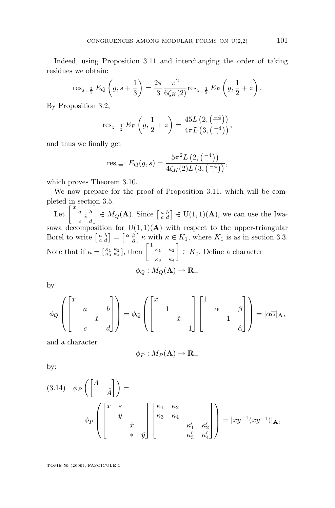Indeed, using Proposition [3.11](#page-20-0) and interchanging the order of taking residues we obtain:

$$
\text{res}_{s=\frac{2}{3}} E_Q\left(g, s+\frac{1}{3}\right) = \frac{2\pi}{3} \frac{\pi^2}{6\zeta_K(2)} \text{res}_{z=\frac{1}{2}} E_P\left(g, \frac{1}{2}+z\right).
$$

By Proposition [3.2,](#page-15-0)

res<sub>$$
z=\frac{1}{2}
$$</sub> E<sub>P</sub>  $\left(g, \frac{1}{2} + z\right) = \frac{45L\left(2, \left(\frac{-4}{2}\right)\right)}{4\pi L\left(3, \left(\frac{-4}{2}\right)\right)},$ 

and thus we finally get

res<sub>s=1</sub> 
$$
E_Q(g, s) = \frac{5\pi^2 L(2, (\frac{-4}{\cdot}))}{4\zeta_K(2)L(3, (\frac{-4}{\cdot}))},
$$

which proves Theorem [3.10.](#page-20-0)

We now prepare for the proof of Proposition [3.11,](#page-20-0) which will be completed in section [3.5.](#page-23-0)

Let  $\begin{bmatrix} x & a & b \\ c & x & d \end{bmatrix} \in M_Q(\mathbf{A})$ . Since  $\begin{bmatrix} a & b \\ c & d \end{bmatrix} \in U(1,1)(\mathbf{A})$ , we can use the Iwasawa decomposition for  $U(1,1)(A)$  with respect to the upper-triangular Borel to write  $\begin{bmatrix} a & b \\ c & d \end{bmatrix} = \begin{bmatrix} \alpha & \beta \\ \hat{\alpha} & \end{bmatrix} \kappa$  with  $\kappa \in K_1$ , where  $K_1$  is as in section [3.3.](#page-18-0) Note that if  $\kappa = \begin{bmatrix} \kappa_1 & \kappa_2 \\ \kappa_3 & \kappa_4 \end{bmatrix}$ , then  $\begin{bmatrix} 1 & \kappa_1 & \kappa_2 \\ \kappa_3 & 1 & \kappa_4 \\ \kappa_3 & \kappa_4 & \kappa_4 \end{bmatrix}$  $\Big] \in K_0$ . Define a character  $\phi_O : M_O(\mathbf{A}) \to \mathbf{R}_+$ 

by

$$
\phi_Q\left(\begin{bmatrix} x & & & \\ & a & & b \\ & & \hat{x} & \\ & & & d \end{bmatrix}\right) = \phi_Q\left(\begin{bmatrix} x & & & \\ & 1 & & \\ & & \hat{x} & \\ & & & 1 \end{bmatrix} \begin{bmatrix} 1 & & & \\ & \alpha & & \beta \\ & & 1 & \\ & & & \hat{\alpha} \end{bmatrix}\right) = |\alpha \overline{\alpha}|_{\mathbf{A}},
$$

and a character

$$
\phi_P: M_P({\bf A}) \to {\bf R}_+
$$

by:

$$
(3.14) \quad \phi_P\left(\begin{bmatrix} A & \\ & \hat{A} \end{bmatrix}\right) = \phi_P\left(\begin{bmatrix} x & * & & \\ & y & & \\ & & \hat{x} & \\ & & & \hat{x} \\ & & & & \hat{y} \end{bmatrix} \begin{bmatrix} \kappa_1 & \kappa_2 & & \\ \kappa_3 & \kappa_4 & & \\ & & & \kappa'_1 & \kappa'_2 \\ & & & & \kappa'_3 & \kappa'_4 \end{bmatrix}\right) = |xy^{-1}(\overline{xy^{-1}})|_{\mathbf{A}},
$$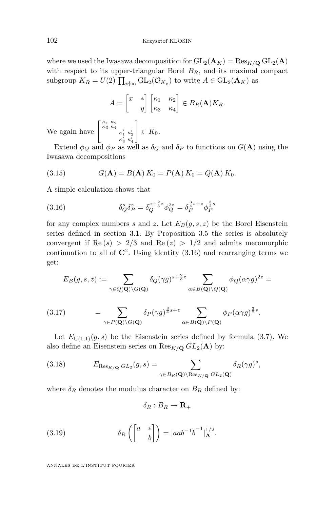<span id="page-22-0"></span>where we used the Iwasawa decomposition for  $GL_2(\mathbf{A}_K) = Res_{K/\mathbf{Q}} GL_2(\mathbf{A})$ with respect to its upper-triangular Borel  $B_R$ , and its maximal compact subgroup  $K_R = U(2) \prod_{v \nmid \infty} \mathrm{GL}_2(\mathcal{O}_{K_v})$  to write  $A \in \mathrm{GL}_2(\mathbf{A}_K)$  as

$$
A = \begin{bmatrix} x & * \\ & y \end{bmatrix} \begin{bmatrix} \kappa_1 & \kappa_2 \\ \kappa_3 & \kappa_4 \end{bmatrix} \in B_R(\mathbf{A}) K_R.
$$

We again have  $\left[ \begin{array}{c} \kappa_1 \kappa_2 \\ \kappa_3 \kappa_4 \\ \kappa'_1 \kappa'_2 \\ \kappa'_3 \kappa'_4 \end{array} \right]$ 1  $\in K_0$ .

Extend  $\phi_Q$  and  $\phi_P$  as well as  $\delta_Q$  and  $\delta_P$  to functions on  $G(\mathbf{A})$  using the Iwasawa decompositions

(3.15) 
$$
G(\mathbf{A}) = B(\mathbf{A}) K_0 = P(\mathbf{A}) K_0 = Q(\mathbf{A}) K_0.
$$

A simple calculation shows that

(3.16) 
$$
\delta_Q^s \delta_P^z = \delta_Q^{s + \frac{2}{3}z} \phi_Q^{2z} = \delta_P^{\frac{3}{4}s + z} \phi_P^{\frac{3}{2}s}
$$

for any complex numbers s and z. Let  $E_B(g, s, z)$  be the Borel Eisenstein series defined in section [3.1.](#page-15-0) By Proposition [3.5](#page-17-0) the series is absolutely convergent if  $\text{Re}(s) > 2/3$  and  $\text{Re}(z) > 1/2$  and admits meromorphic continuation to all of  $\mathbb{C}^2$ . Using identity  $(3.16)$  and rearranging terms we get:

$$
E_B(g,s,z):=\sum_{\gamma\in Q(\mathbf{Q})\backslash G(\mathbf{Q})}\delta_Q(\gamma g)^{s+\frac{2}{3}z}\sum_{\alpha\in B(\mathbf{Q})\backslash Q(\mathbf{Q})}\phi_Q(\alpha\gamma g)^{2z}=
$$

(3.17) 
$$
= \sum_{\gamma \in P(\mathbf{Q}) \backslash G(\mathbf{Q})} \delta_P(\gamma g)^{\frac{3}{4}s+z} \sum_{\alpha \in B(\mathbf{Q}) \backslash P(\mathbf{Q})} \phi_P(\alpha \gamma g)^{\frac{3}{2}s}.
$$

Let  $E_{U(1,1)}(g, s)$  be the Eisenstein series defined by formula [\(3.7\)](#page-19-0). We also define an Eisenstein series on  $\text{Res}_{K/\mathbf{Q}} GL_2(\mathbf{A})$  by:

(3.18) 
$$
E_{\text{Res}_{K/\mathbf{Q}}GL_2}(g,s) = \sum_{\gamma \in B_R(\mathbf{Q}) \backslash \text{Res}_{K/\mathbf{Q}}GL_2(\mathbf{Q})} \delta_R(\gamma g)^s,
$$

where  $\delta_R$  denotes the modulus character on  $B_R$  defined by:

$$
\delta_R:B_R\to{\bf R}_+
$$

(3.19) 
$$
\delta_R \left( \begin{bmatrix} a & * \\ & b \end{bmatrix} \right) = |a\overline{a}b^{-1}\overline{b}^{-1}|_A^{1/2}.
$$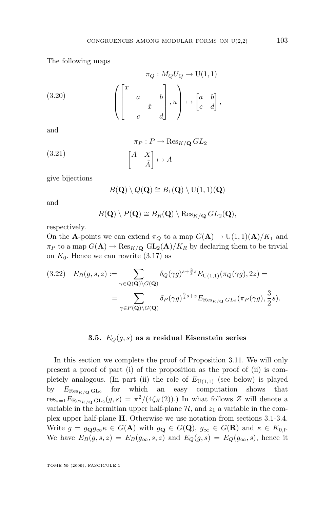<span id="page-23-0"></span>The following maps

(3.20) 
$$
\pi_Q: M_Q U_Q \to \mathrm{U}(1,1)
$$

$$
\begin{pmatrix} x & & \\ & a & & b \\ & & \hat{x} & \\ & & & d \end{pmatrix}, u \to \begin{bmatrix} a & b \\ c & d \end{bmatrix},
$$

and

(3.21) 
$$
\pi_P : P \to \text{Res}_{K/\mathbf{Q}} GL_2
$$

$$
\begin{bmatrix} A & X \\ \hat{A} \end{bmatrix} \mapsto A
$$

give bijections

$$
B(\mathbf{Q}) \setminus Q(\mathbf{Q}) \cong B_1(\mathbf{Q}) \setminus U(1,1)(\mathbf{Q})
$$

and

$$
B(\mathbf{Q})\setminus P(\mathbf{Q})\cong B_R(\mathbf{Q})\setminus \mathrm{Res}_{K/\mathbf{Q}}\,GL_2(\mathbf{Q}),
$$

respectively.

On the A-points we can extend  $\pi_Q$  to a map  $G(A) \to U(1,1)(A)/K_1$  and  $\pi_P$  to a map  $G(\mathbf{A}) \to \text{Res}_{K/\mathbf{Q}}$   $GL_2(\mathbf{A})/K_R$  by declaring them to be trivial on  $K_0$ . Hence we can rewrite  $(3.17)$  as

$$
(3.22) \quad E_B(g, s, z) := \sum_{\gamma \in Q(\mathbf{Q}) \backslash G(\mathbf{Q})} \delta_Q(\gamma g)^{s + \frac{2}{3}z} E_{\mathrm{U}(1,1)}(\pi_Q(\gamma g), 2z) =
$$

$$
= \sum_{\gamma \in P(\mathbf{Q}) \backslash G(\mathbf{Q})} \delta_P(\gamma g)^{\frac{3}{4}s + z} E_{\mathrm{Res}_{K/\mathbf{Q}} \, GL_2}(\pi_P(\gamma g), \frac{3}{2}s).
$$

#### **3.5.**  $E_Q(g, s)$  as a residual Eisenstein series

In this section we complete the proof of Proposition [3.11.](#page-20-0) We will only present a proof of part (i) of the proposition as the proof of (ii) is completely analogous. (In part (ii) the role of  $E_{U(1,1)}$  (see below) is played by  $E_{\text{Res}_{K/\mathbf{Q}}\text{GL}_2}$  for which an easy computation shows that  $res_{s=1} E_{\text{Res}_{K/\mathbf{Q}} \text{GL}_2}(g, s) = \pi^2/(4\zeta_K(2)).$  In what follows Z will denote a variable in the hermitian upper half-plane  $H$ , and  $z_1$  a variable in the complex upper half-plane H. Otherwise we use notation from sections [3.1-](#page-15-0)[3.4.](#page-20-0) Write  $g = g_{\mathbf{Q}} g_{\infty} \kappa \in G(\mathbf{A})$  with  $g_{\mathbf{Q}} \in G(\mathbf{Q}), g_{\infty} \in G(\mathbf{R})$  and  $\kappa \in K_{0,\mathrm{f}}$ . We have  $E_B(g, s, z) = E_B(g_\infty, s, z)$  and  $E_Q(g, s) = E_Q(g_\infty, s)$ , hence it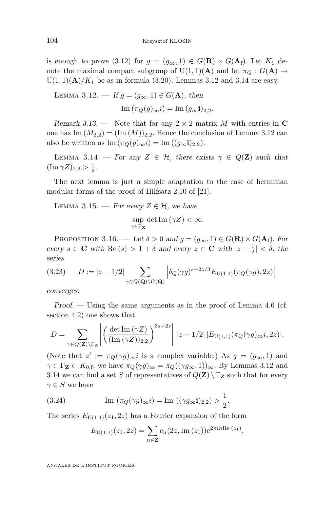<span id="page-24-0"></span>is enough to prove [\(3.12\)](#page-20-0) for  $g = (g_{\infty}, 1) \in G(\mathbf{R}) \times G(\mathbf{A}_{f})$ . Let  $K_1$  denote the maximal compact subgroup of U(1, 1)(A) and let  $\pi_Q : G(A) \to$  $U(1,1)(\mathbf{A})/K_1$  be as in formula [\(3.20\)](#page-23-0). Lemmas 3.12 and 3.14 are easy.

LEMMA 3.12. — If 
$$
g = (g_{\infty}, 1) \in G(\mathbf{A})
$$
, then  
\n
$$
\text{Im}(\pi_Q(g)_{\infty} i) = \text{Im}(g_{\infty} i)_{2,2}.
$$

*Remark 3.13.* — Note that for any  $2 \times 2$  matrix M with entries in C one has Im  $(M_{2,2}) = (\text{Im} (M))_{2,2}$ . Hence the conclusion of Lemma 3.12 can also be written as Im  $(\pi_Q(g)_{\infty} i) = \text{Im} ((g_{\infty} i)_{2,2}).$ 

LEMMA 3.14. — For any  $Z \in \mathcal{H}$ , there exists  $\gamma \in Q(\mathbf{Z})$  such that  $(\text{Im }\gamma Z)_{2,2} > \frac{1}{2}.$ 

The next lemma is just a simple adaptation to the case of hermitian modular forms of the proof of Hilfsatz 2.10 of [\[21\]](#page-84-0).

LEMMA 3.15. — *For every*  $Z \in \mathcal{H}$ *, we have* 

$$
\sup_{\gamma \in \Gamma_{\mathbf{Z}}} \det \mathrm{Im} \left( \gamma Z \right) < \infty.
$$

PROPOSITION 3.16. — Let  $\delta > 0$  and  $g = (g_{\infty}, 1) \in G(\mathbf{R}) \times G(\mathbf{A}_{f})$ . For *every*  $s \in \mathbf{C}$  *with*  $\text{Re}(s) > 1 + \delta$  *and every*  $z \in \mathbf{C}$  *with*  $|z - \frac{1}{2}| < \delta$ *, the series*

$$
(3.23) \qquad D := |z - 1/2| \sum_{\gamma \in Q(\mathbf{Q}) \backslash G(\mathbf{Q})} \left| \delta_Q(\gamma g)^{s + 2z/3} E_{\mathrm{U}(1,1)}(\pi_Q(\gamma g), 2z) \right|
$$

*converges.*

*Proof. —* Using the same arguments as in the proof of Lemma [4.6](#page-29-0) (cf. section [4.2\)](#page-29-0) one shows that

$$
D = \sum_{\gamma \in Q(\mathbf{Z}) \backslash \Gamma_{\mathbf{Z}}} \left| \left( \frac{\det \mathrm{Im}(\gamma Z)}{(\mathrm{Im}(\gamma Z))_{2,2}} \right)^{3s+2z} \right| \, |z - 1/2| \, |E_{\mathrm{U}(1,1)}(\pi_Q(\gamma g)_{\infty} i, 2z)|.
$$

(Note that  $z' := \pi_Q(\gamma g)_{\infty} i$  is a complex variable.) As  $g = (g_{\infty}, 1)$  and  $\gamma \in \Gamma_Z \subset K_{0, \text{f}}$ , we have  $\pi_Q(\gamma g)_{\infty} = \pi_Q((\gamma g_{\infty}, 1))_{\infty}$ . By Lemmas 3.12 and 3.14 we can find a set S of representatives of  $Q(\mathbf{Z}) \setminus \Gamma_{\mathbf{Z}}$  such that for every  $\gamma \in S$  we have

(3.24) 
$$
\operatorname{Im} (\pi_Q(\gamma g)_{\infty} i) = \operatorname{Im} ((\gamma g_{\infty} \mathbf{i})_{2,2}) > \frac{1}{2}.
$$

The series  $E_{U(1,1)}(z_1, 2z)$  has a Fourier expansion of the form

$$
E_{U(1,1)}(z_1,2z) = \sum_{n \in \mathbf{Z}} c_n(2z,\mathrm{Im}(z_1))e^{2\pi i n \mathrm{Re}(z_1)},
$$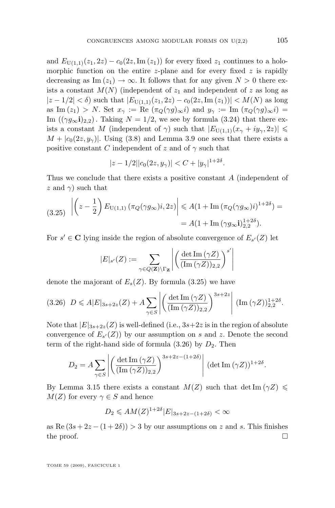and  $E_{U(1,1)}(z_1, 2z) - c_0(2z, \text{Im}(z_1))$  for every fixed  $z_1$  continues to a holomorphic function on the entire z-plane and for every fixed  $z$  is rapidly decreasing as Im  $(z_1) \to \infty$ . It follows that for any given  $N > 0$  there exists a constant  $M(N)$  (independent of  $z_1$  and independent of z as long as  $|z - 1/2| < \delta$ ) such that  $|E_{U(1,1)}(z_1, 2z) - c_0(2z, \text{Im}(z_1))| < M(N)$  as long as Im  $(z_1) > N$ . Set  $x_\gamma := \text{Re} (\pi_Q(\gamma g)_{\infty} i)$  and  $y_\gamma := \text{Im} (\pi_Q(\gamma g)_{\infty} i)$ Im  $((\gamma g_{\infty}i)_{2,2})$ . Taking  $N = 1/2$ , we see by formula [\(3.24\)](#page-24-0) that there exists a constant M (independent of  $\gamma$ ) such that  $|E_{U(1,1)}(x_{\gamma} + iy_{\gamma}, 2z)| \leq$  $M + |c_0(2z, y_\gamma)|$ . Using [\(3.8\)](#page-19-0) and Lemma [3.9](#page-20-0) one sees that there exists a positive constant C independent of z and of  $\gamma$  such that

$$
|z - 1/2||c_0(2z, y_\gamma)| < C + |y_\gamma|^{1+2\delta}.
$$

Thus we conclude that there exists a positive constant A (independent of z and  $\gamma$ ) such that

$$
(3.25) \left| \left( z - \frac{1}{2} \right) E_{\text{U}(1,1)} \left( \pi_Q(\gamma g_\infty) i, 2z \right) \right| \leq A (1 + \text{Im} \left( \pi_Q(\gamma g_\infty) i \right)^{1+2\delta}) =
$$
  
=  $A (1 + \text{Im} \left( \gamma g_\infty \mathbf{i} \right)_{2,2}^{1+2\delta}).$ 

For  $s' \in \mathbb{C}$  lying inside the region of absolute convergence of  $E_{s'}(Z)$  let

$$
|E|_{s'}(Z) := \sum_{\gamma \in Q(\mathbf{Z}) \backslash \Gamma_{\mathbf{Z}}} \left| \left( \frac{\det \mathrm{Im}(\gamma Z)}{(\mathrm{Im}(\gamma Z))_{2,2}} \right)^{s'} \right|
$$

 $\overline{\phantom{a}}$  $\overline{\phantom{a}}$  $\overline{\phantom{a}}$  $\overline{\phantom{a}}$  $\overline{\phantom{a}}$ 

denote the majorant of  $E_s(Z)$ . By formula (3.25) we have

$$
(3.26) \quad D \leqslant A |E|_{3s+2z}(Z) + A \sum_{\gamma \in S} \left| \left( \frac{\det \text{Im}(\gamma Z)}{(\text{Im}(\gamma Z))_{2,2}} \right)^{3s+2z} \right| (\text{Im}(\gamma Z))_{2,2}^{1+2\delta}.
$$

Note that  $|E|_{3s+2z}(Z)$  is well-defined (i.e.,  $3s+2z$  is in the region of absolute convergence of  $E_{s'}(Z)$  by our assumption on s and z. Denote the second term of the right-hand side of formula  $(3.26)$  by  $D_2$ . Then

$$
D_2 = A \sum_{\gamma \in S} \left| \left( \frac{\det \mathrm{Im}(\gamma Z)}{(\mathrm{Im}(\gamma Z))_{2,2}} \right)^{3s+2z-(1+2\delta)} \right| (\det \mathrm{Im}(\gamma Z))^{1+2\delta}.
$$

By Lemma [3.15](#page-24-0) there exists a constant  $M(Z)$  such that det Im  $(\gamma Z) \leq$  $M(Z)$  for every  $\gamma \in S$  and hence

$$
D_2 \leqslant AM(Z)^{1+2\delta} |E|_{3s+2z-(1+2\delta)} < \infty
$$

as Re  $(3s + 2z - (1 + 2\delta)) > 3$  by our assumptions on z and s. This finishes the proof.  $\Box$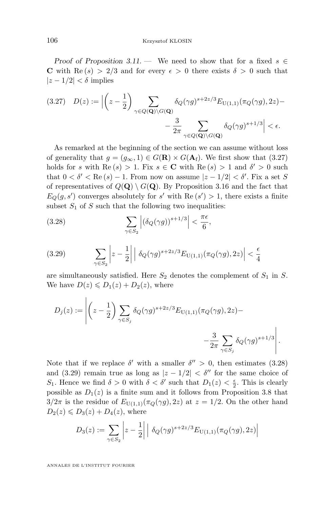*Proof of Proposition* [3.11.](#page-20-0) — We need to show that for a fixed  $s \in$ C with Re  $(s) > 2/3$  and for every  $\epsilon > 0$  there exists  $\delta > 0$  such that  $|z - 1/2| < \delta$  implies

$$
(3.27) \quad D(z) := \left| \left( z - \frac{1}{2} \right) \sum_{\gamma \in Q(\mathbf{Q}) \backslash G(\mathbf{Q})} \delta_Q(\gamma g)^{s+2z/3} E_{\mathbf{U}(1,1)}(\pi_Q(\gamma g), 2z) - \frac{3}{2\pi} \sum_{\gamma \in Q(\mathbf{Q}) \backslash G(\mathbf{Q})} \delta_Q(\gamma g)^{s+1/3} \right| < \epsilon.
$$

As remarked at the beginning of the section we can assume without loss of generality that  $g = (g_{\infty}, 1) \in G(\mathbf{R}) \times G(\mathbf{A}_{f})$ . We first show that (3.27) holds for s with  $\text{Re}(s) > 1$ . Fix  $s \in \mathbb{C}$  with  $\text{Re}(s) > 1$  and  $\delta' > 0$  such that  $0 < \delta' < \text{Re}(s) - 1$ . From now on assume  $|z - 1/2| < \delta'$ . Fix a set S of representatives of  $Q(\mathbf{Q}) \setminus G(\mathbf{Q})$ . By Proposition [3.16](#page-24-0) and the fact that  $E_Q(g, s')$  converges absolutely for s' with Re  $(s') > 1$ , there exists a finite subset  $S_1$  of S such that the following two inequalities:

(3.28) 
$$
\sum_{\gamma \in S_2} \left| \left( \delta_Q(\gamma g) \right)^{s+1/3} \right| < \frac{\pi \epsilon}{6},
$$

$$
(3.29) \qquad \sum_{\gamma \in S_2} \left| z - \frac{1}{2} \right| \left| \delta_Q(\gamma g)^{s+2z/3} E_{\text{U}(1,1)}(\pi_Q(\gamma g), 2z) \right| < \frac{\epsilon}{4}
$$

are simultaneously satisfied. Here  $S_2$  denotes the complement of  $S_1$  in S. We have  $D(z) \le D_1(z) + D_2(z)$ , where

$$
D_j(z) := \left| \left( z - \frac{1}{2} \right) \sum_{\gamma \in S_j} \delta_Q(\gamma g)^{s+2z/3} E_{\text{U}(1,1)}(\pi_Q(\gamma g), 2z) - \frac{3}{2\pi \sum_{\gamma \in S_j} \delta_Q(\gamma g)^{s+1/3}} \right|.
$$

Note that if we replace  $\delta'$  with a smaller  $\delta'' > 0$ , then estimates (3.28) and (3.29) remain true as long as  $|z - 1/2| < \delta''$  for the same choice of S<sub>1</sub>. Hence we find  $\delta > 0$  with  $\delta < \delta'$  such that  $D_1(z) < \frac{\epsilon}{2}$ . This is clearly possible as  $D_1(z)$  is a finite sum and it follows from Proposition [3.8](#page-19-0) that  $3/2\pi$  is the residue of  $E_{U(1,1)}(\pi_Q(\gamma g), 2z)$  at  $z = 1/2$ . On the other hand  $D_2(z) \leqslant D_3(z) + D_4(z)$ , where

$$
D_3(z) := \sum_{\gamma \in S_2} \left| z - \frac{1}{2} \right| \left| \delta_Q(\gamma g)^{s+2z/3} E_{U(1,1)}(\pi_Q(\gamma g), 2z) \right|
$$

<span id="page-26-0"></span>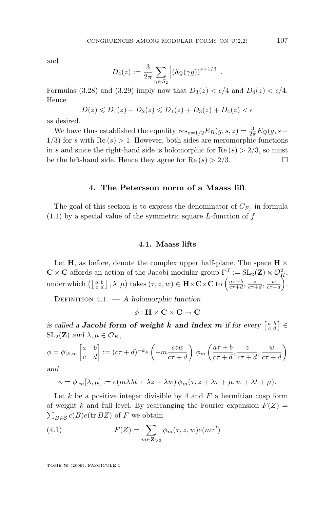<span id="page-27-0"></span>and

$$
D_4(z) := \frac{3}{2\pi} \sum_{\gamma \in S_2} \left| (\delta_Q(\gamma g))^{s+1/3} \right|.
$$

Formulas [\(3.28\)](#page-26-0) and [\(3.29\)](#page-26-0) imply now that  $D_3(z) < \epsilon/4$  and  $D_4(z) < \epsilon/4$ . Hence

$$
D(z) \le D_1(z) + D_2(z) \le D_1(z) + D_3(z) + D_4(z) < \epsilon
$$

as desired.

We have thus established the equality  $res_{z=1/2} E_B(g, s, z) = \frac{3}{2\pi} E_Q(g, s +$  $1/3$ ) for s with Re  $(s) > 1$ . However, both sides are meromorphic functions in s and since the right-hand side is holomorphic for Re  $(s) > 2/3$ , so must be the left-hand side. Hence they agree for  $\text{Re}(s) > 2/3$ .

#### **4. The Petersson norm of a Maass lift**

The goal of this section is to express the denominator of  $C_{F_f}$  in formula  $(1.1)$  by a special value of the symmetric square L-function of f.

#### **4.1. Maass lifts**

Let H, as before, denote the complex upper half-plane. The space  $H \times$  $\mathbf{C} \times \mathbf{C}$  affords an action of the Jacobi modular group  $\Gamma^J := SL_2(\mathbf{Z}) \ltimes \mathcal{O}_K^2$ , under which  $\left(\begin{bmatrix} a & b \\ c & d \end{bmatrix}, \lambda, \mu\right)$  takes  $(\tau, z, w) \in \mathbf{H} \times \mathbf{C} \times \mathbf{C}$  to  $\left(\frac{a\tau+b}{c\tau+d}, \frac{z}{c\tau+d}, \frac{w}{c\tau+d}\right)$ .

Definition 4.1. — *A holomorphic function*

 $\phi : H \times C \times C \rightarrow C$ 

 $i$  *is called a Jacobi form of weight k and index m if for every*  $\begin{bmatrix} a & b \ c & d \end{bmatrix} \in$  $\operatorname{SL}_2(\mathbf{Z})$  *and*  $\lambda, \mu \in \mathcal{O}_K$ *,* 

$$
\phi = \phi|_{k,m} \begin{bmatrix} a & b \\ c & d \end{bmatrix} := (c\tau + d)^{-k} e\left(-m \frac{czw}{c\tau + d}\right) \phi_m\left(\frac{a\tau + b}{c\tau + d}, \frac{z}{c\tau + d}, \frac{w}{c\tau + d}\right)
$$

*and*

$$
\phi = \phi|_m[\lambda, \mu] := e(m\lambda \overline{\lambda} t + \overline{\lambda} z + \lambda w) \phi_m(\tau, z + \lambda \tau + \mu, w + \overline{\lambda} t + \overline{\mu}).
$$

Let  $k$  be a positive integer divisible by 4 and  $F$  a hermitian cusp form of weight k and full level. By rearranging the Fourier expansion  $F(Z) =$  $\sum_{B \in \mathcal{S}} c(B)e(\text{tr } BZ)$  of F we obtain

(4.1) 
$$
F(Z) = \sum_{m \in \mathbf{Z}_{>0}} \phi_m(\tau, z, w) e(m\tau')
$$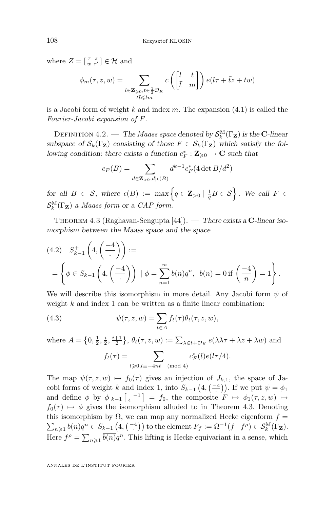where  $Z = \begin{bmatrix} \tau & z \\ w & \tau' \end{bmatrix} \in \mathcal{H}$  and

$$
\phi_m(\tau, z, w) = \sum_{\substack{l \in \mathbf{Z}_{\geq 0}, t \in \frac{1}{2} \mathcal{O}_K \\ t\bar{t} \leq l m}} c\left(\begin{bmatrix} l & t \\ \bar{t} & m \end{bmatrix}\right) e(l\tau + \bar{t}z + tw)
$$

is a Jacobi form of weight k and index m. The expansion  $(4.1)$  is called the *Fourier-Jacobi expansion of* F.

DEFINITION 4.2. — *The Maass space denoted by*  $\mathcal{S}_k^{\text{M}}(\Gamma_\mathbf{Z})$  *is the* C-linear subspace of  $\mathcal{S}_k(\Gamma_Z)$  consisting of those  $F \in \mathcal{S}_k(\Gamma_Z)$  which satisfy the fol*lowing condition: there exists a function*  $c_F^* : \mathbb{Z}_{\geqslant 0} \to \mathbb{C}$  such that

$$
c_F(B) = \sum_{d \in \mathbf{Z}_{>0}, d \mid \epsilon(B)} d^{k-1} c_F^*(4 \det B/d^2)
$$

 $f$  *for all*  $B \in \mathcal{S}$ *, where*  $\epsilon(B) := \max \left\{ q \in \mathbf{Z}_{>0} \mid \frac{1}{q} B \in \mathcal{S} \right\}$ *. We call*  $F \in$  $\mathcal{S}_k^{\text{M}}(\Gamma_\mathbf{Z})$  *a Maass form or a CAP form.* 

Theorem 4.3 (Raghavan-Sengupta [\[44\]](#page-85-0)). — *There exists a* C*-linear isomorphism between the Maass space and the space*

$$
(4.2) \quad S_{k-1}^{+}\left(4, \left(\frac{-4}{\cdot}\right)\right) :=
$$
\n
$$
= \left\{\phi \in S_{k-1}\left(4, \left(\frac{-4}{\cdot}\right)\right) \mid \phi = \sum_{n=1}^{\infty} b(n)q^n, \ b(n) = 0 \text{ if } \left(\frac{-4}{n}\right) = 1\right\}.
$$

We will describe this isomorphism in more detail. Any Jacobi form  $\psi$  of weight  $k$  and index 1 can be written as a finite linear combination:

(4.3) 
$$
\psi(\tau, z, w) = \sum_{t \in A} f_t(\tau) \theta_t(\tau, z, w),
$$

where  $A = \left\{0, \frac{1}{2}, \frac{i}{2}, \frac{i+1}{2}\right\}, \theta_t(\tau, z, w) := \sum_{\lambda \in t + \mathcal{O}_K} e(\lambda \overline{\lambda} \tau + \lambda \overline{z} + \lambda w)$  and  $f_t(\tau) = \sum$  $l\geqslant0,l\equiv-4nt \pmod{4}$  $c_F^*(l)e(l\tau/4).$ 

The map  $\psi(\tau, z, w) \mapsto f_0(\tau)$  gives an injection of  $J_{k,1}$ , the space of Jacobi forms of weight k and index 1, into  $S_{k-1}(4, \left( \frac{-4}{\cdot} \right))$ . If we put  $\psi = \phi_1$ and define  $\phi$  by  $\phi|_{k-1} \left[ \begin{smallmatrix} 1 & -1 \\ 4 & 1 \end{smallmatrix} \right] = f_0$ , the composite  $F \mapsto \phi_1(\tau, z, w) \mapsto$  $f_0(\tau) \mapsto \phi$  gives the isomorphism alluded to in Theorem 4.3. Denoting this isomorphism by  $\Omega$ , we can map any normalized Hecke eigenform  $f =$  $\sum_{n\geqslant 1} b(n)q^n \in S_{k-1}\left(4, \left(\frac{-4}{\cdot}\right)\right)$  to the element  $F_f := \Omega^{-1}(f - f^{\rho}) \in \mathcal{S}_k^{\mathcal{M}}(\Gamma_{\mathbf{Z}})$ . Here  $f^{\rho} = \sum_{n\geqslant 1} \overline{b(n)}q^n$ . This lifting is Hecke equivariant in a sense, which

<span id="page-28-0"></span>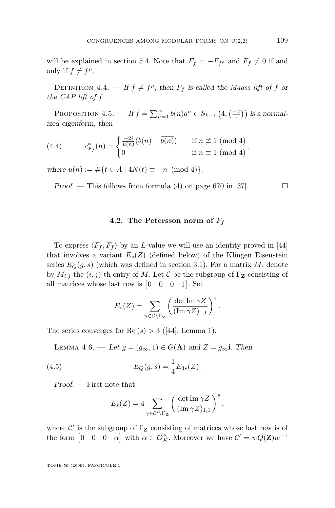<span id="page-29-0"></span>will be explained in section [5.4.](#page-39-0) Note that  $F_f = -F_{f\rho}$  and  $F_f \neq 0$  if and only if  $f \neq f^{\rho}$ .

DEFINITION 4.4. — If  $f \neq f^{\rho}$ , then  $F_f$  is called the *Maass lift of* f or *the CAP lift of* f*.*

PROPOSITION  $4.5.$  — If  $f = \sum_{n=1}^{\infty} b(n)q^n \in S_{k-1}(4, \left(\frac{-4}{\cdot}\right))$  is a normal*ized eigenform, then*

(4.4) 
$$
c_{F_f}^*(n) = \begin{cases} \frac{-2i}{u(n)}(b(n) - \overline{b(n)}) & \text{if } n \not\equiv 1 \pmod{4} \\ 0 & \text{if } n \equiv 1 \pmod{4} \end{cases},
$$

*where*  $u(n) := \#\{t \in A \mid 4N(t) \equiv -n \pmod{4}\}.$ 

*Proof.* — This follows from formula (4) on page 670 in [\[37\]](#page-84-0).  $\Box$ 

#### **4.2. The Petersson norm of**  $F_f$

To express  $\langle F_f, F_f \rangle$  by an *L*-value we will use an identity proved in [\[44\]](#page-85-0) that involves a variant  $E_s(Z)$  (defined below) of the Klingen Eisenstein series  $E_Q(g, s)$  (which was defined in section [3.1\)](#page-15-0). For a matrix M, denote by  $M_{i,j}$  the  $(i, j)$ -th entry of M. Let C be the subgroup of  $\Gamma$ **z** consisting of all matrices whose last row is  $\begin{bmatrix} 0 & 0 & 0 & 1 \end{bmatrix}$ . Set

$$
E_s(Z) = \sum_{\gamma \in \mathcal{C} \backslash \Gamma_{\mathbf{Z}}} \left( \frac{\det \operatorname{Im} \gamma Z}{(\operatorname{Im} \gamma Z)_{1,1}} \right)^s.
$$

The series converges for  $\text{Re}(s) > 3$  ([\[44\]](#page-85-0), Lemma 1).

LEMMA 4.6. — Let  $g = (g_{\infty}, 1) \in G(\mathbf{A})$  and  $Z = g_{\infty}$ **i**. Then

(4.5) 
$$
E_Q(g, s) = \frac{1}{4} E_{3s}(Z).
$$

*Proof. —* First note that

$$
E_s(Z) = 4 \sum_{\gamma \in \mathcal{C}' \backslash \Gamma_{\mathbf{Z}}} \left( \frac{\det \operatorname{Im} \gamma Z}{(\operatorname{Im} \gamma Z)_{1,1}} \right)^s,
$$

where  $\mathcal{C}'$  is the subgroup of  $\Gamma_{\mathbf{Z}}$  consisting of matrices whose last row is of the form  $\begin{bmatrix} 0 & 0 & 0 & \alpha \end{bmatrix}$  with  $\alpha \in \mathcal{O}_K^{\times}$ . Moreover we have  $\mathcal{C}' = wQ(\mathbf{Z})w^{-1}$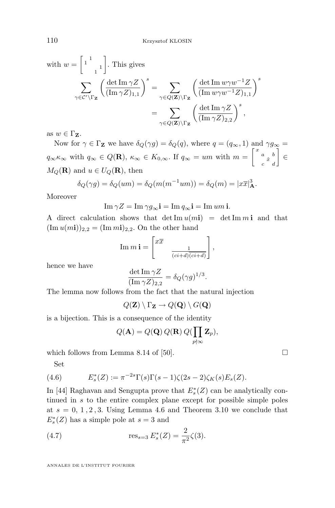with 
$$
w = \begin{bmatrix} 1 & 1 \ 1 & 1 \end{bmatrix}
$$
. This gives  

$$
\sum_{\gamma \in \mathcal{C}' \backslash \Gamma_{\mathbf{Z}}} \left( \frac{\det \operatorname{Im} \gamma Z}{(\operatorname{Im} \gamma Z)_{1,1}} \right)^s = \sum_{\gamma \in Q(\mathbf{Z}) \backslash \Gamma_{\mathbf{Z}}} \left( \frac{\det \operatorname{Im} w \gamma w^{-1} Z}{(\operatorname{Im} w \gamma w^{-1} Z)_{1,1}} \right)^s
$$

$$
= \sum_{\gamma \in Q(\mathbf{Z}) \backslash \Gamma_{\mathbf{Z}}} \left( \frac{\det \operatorname{Im} \gamma Z}{(\operatorname{Im} \gamma Z)_{2,2}} \right)^s,
$$

as  $w \in \Gamma_{\mathbf{Z}}$ .

Now for  $\gamma \in \Gamma$ **z** we have  $\delta_Q(\gamma g) = \delta_Q(q)$ , where  $q = (q_\infty, 1)$  and  $\gamma g_\infty =$  $q_{\infty} \kappa_{\infty}$  with  $q_{\infty} \in Q(\mathbf{R})$ ,  $\kappa_{\infty} \in K_{0,\infty}$ . If  $q_{\infty} = um$  with  $m = \begin{bmatrix} x & b \\ c & d \end{bmatrix} \in$  $M_Q(\mathbf{R})$  and  $u \in U_Q(\mathbf{R})$ , then

$$
\delta_Q(\gamma g) = \delta_Q(um) = \delta_Q(m(m^{-1}um)) = \delta_Q(m) = |x\overline{x}|_A^3.
$$

Moreover

$$
\operatorname{Im}\gamma Z = \operatorname{Im}\gamma g_{\infty} \mathbf{i} = \operatorname{Im} q_{\infty} \mathbf{i} = \operatorname{Im} um \mathbf{i}.
$$

A direct calculation shows that det Im  $u(m_i)$  = det Im m i and that  $(\text{Im }u(m\textbf{i}))_{2,2} = (\text{Im }m\textbf{i})_{2,2}.$  On the other hand

$$
\operatorname{Im} m \mathbf{i} = \begin{bmatrix} x\overline{x} \\ & \frac{1}{(ci+d)(ci+d)} \end{bmatrix},
$$

hence we have

$$
\frac{\det \mathrm{Im}\,\gamma Z}{(\mathrm{Im}\,\gamma Z)_{2,2}} = \delta_Q(\gamma g)^{1/3}.
$$

The lemma now follows from the fact that the natural injection

$$
Q(\mathbf{Z}) \setminus \Gamma_{\mathbf{Z}} \to Q(\mathbf{Q}) \setminus G(\mathbf{Q})
$$

is a bijection. This is a consequence of the identity

$$
Q(\mathbf{A}) = Q(\mathbf{Q}) Q(\mathbf{R}) Q(\prod_{p \nmid \infty} \mathbf{Z}_p),
$$

which follows from Lemma 8.14 of [\[50\]](#page-85-0).  $\Box$ 

Set

(4.6) 
$$
E_s^*(Z) := \pi^{-2s} \Gamma(s) \Gamma(s-1) \zeta(2s-2) \zeta_K(s) E_s(Z).
$$

In [\[44\]](#page-85-0) Raghavan and Sengupta prove that  $E_s^*(Z)$  can be analytically continued in s to the entire complex plane except for possible simple poles at  $s = 0, 1, 2, 3$ . Using Lemma [4.6](#page-29-0) and Theorem [3.10](#page-20-0) we conclude that  $E_s^*(Z)$  has a simple pole at  $s=3$  and

(4.7) 
$$
\text{res}_{s=3} E_s^*(Z) = \frac{2}{\pi^2} \zeta(3).
$$

<span id="page-30-0"></span>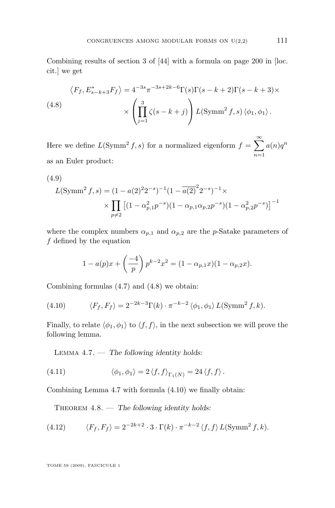<span id="page-31-0"></span>Combining results of section 3 of [\[44\]](#page-85-0) with a formula on page 200 in [loc. cit.] we get

(4.8)  
\n
$$
\langle F_f, E_{s-k+3}^* F_f \rangle = 4^{-3s} \pi^{-3s+2k-6} \Gamma(s) \Gamma(s-k+2) \Gamma(s-k+3) \times \left( \prod_{j=1}^3 \zeta(s-k+j) \right) L(\text{Symm}^2 f, s) \langle \phi_1, \phi_1 \rangle.
$$

Here we define  $L(\text{Symm}^2 f, s)$  for a normalized eigenform  $f = \sum_{n=1}^{\infty}$  $n=1$  $a(n)q^n$ as an Euler product:

(4.9)  
\n
$$
L(\text{Symm}^2 f, s) = (1 - a(2)^2 2^{-s})^{-1} (1 - \overline{a(2)}^2 2^{-s})^{-1} \times \left[ \prod_{p \neq 2} \left[ (1 - \alpha_{p,1}^2 p^{-s}) (1 - \alpha_{p,1} \alpha_{p,2} p^{-s}) (1 - \alpha_{p,2}^2 p^{-s}) \right]^{-1} \right]
$$

where the complex numbers  $\alpha_{p,1}$  and  $\alpha_{p,2}$  are the p-Satake parameters of f defined by the equation

$$
1 - a(p)x + \left(\frac{-4}{p}\right)p^{k-2}x^{2} = (1 - \alpha_{p,1}x)(1 - \alpha_{p,2}x).
$$

Combining formulas [\(4.7\)](#page-30-0) and (4.8) we obtain:

(4.10) 
$$
\langle F_f, F_f \rangle = 2^{-2k-3} \Gamma(k) \cdot \pi^{-k-2} \langle \phi_1, \phi_1 \rangle L(\text{Symm}^2 f, k).
$$

Finally, to relate  $\langle \phi_1, \phi_1 \rangle$  to  $\langle f, f \rangle$ , in the next subsection we will prove the following lemma.

Lemma 4.7. — *The following identity holds:*

(4.11) 
$$
\langle \phi_1, \phi_1 \rangle = 2 \langle f, f \rangle_{\Gamma_1(N)} = 24 \langle f, f \rangle.
$$

Combining Lemma 4.7 with formula (4.10) we finally obtain:

THEOREM  $4.8.$  — *The following identity holds:* 

(4.12) 
$$
\langle F_f, F_f \rangle = 2^{-2k+2} \cdot 3 \cdot \Gamma(k) \cdot \pi^{-k-2} \langle f, f \rangle L(\text{Symm}^2 f, k).
$$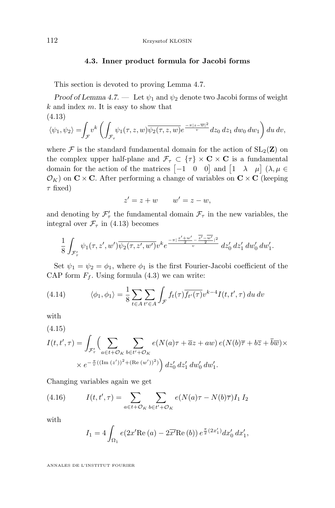#### **4.3. Inner product formula for Jacobi forms**

<span id="page-32-0"></span>This section is devoted to proving Lemma [4.7.](#page-31-0)

*Proof of Lemma* [4.7.](#page-31-0) — Let  $\psi_1$  and  $\psi_2$  denote two Jacobi forms of weight  $k$  and index  $m$ . It is easy to show that (4.13)

$$
\langle \psi_1, \psi_2 \rangle = \int_{\mathcal{F}} v^k \left( \int_{\mathcal{F}_{\tau}} \psi_1(\tau, z, w) \overline{\psi_2(\tau, z, w)} e^{\frac{-\pi |z - \overline{w}|^2}{v}} dz_0 dz_1 dw_0 dw_1 \right) du dv,
$$

where  $\mathcal F$  is the standard fundamental domain for the action of  $SL_2(\mathbf{Z})$  on the complex upper half-plane and  $\mathcal{F}_{\tau} \subset {\tau} \times {\bf C} \times {\bf C}$  is a fundamental domain for the action of the matrices  $\begin{bmatrix} -1 & 0 & 0 \end{bmatrix}$  and  $\begin{bmatrix} 1 & \lambda & \mu \end{bmatrix}$   $(\lambda, \mu \in$  $\mathcal{O}_K$ ) on  $\mathbf{C} \times \mathbf{C}$ . After performing a change of variables on  $\mathbf{C} \times \mathbf{C}$  (keeping  $\tau$  fixed)

$$
z' = z + w \qquad w' = z - w,
$$

and denoting by  $\mathcal{F}'_{\tau}$  the fundamental domain  $\mathcal{F}_{\tau}$  in the new variables, the integral over  $\mathcal{F}_{\tau}$  in (4.13) becomes

$$
\frac{1}{8}\int_{\mathcal{F}'_{\tau}}\psi_1(\tau,z',w')\overline{\psi_2(\tau,z',w')}v^ke^{\frac{-\pi\mid z'+w'-\frac{\overline{z'}-w'}{2}\mid^2}{v}}\,dz'_0\,dz'_1\,dw'_0\,dw'_1.
$$

Set  $\psi_1 = \psi_2 = \phi_1$ , where  $\phi_1$  is the first Fourier-Jacobi coefficient of the CAP form  $F_f$ . Using formula [\(4.3\)](#page-28-0) we can write:

(4.14) 
$$
\langle \phi_1, \phi_1 \rangle = \frac{1}{8} \sum_{t \in A} \sum_{t' \in A} \int_{\mathcal{F}} f_t(\tau) \overline{f_{t'}(\tau)} v^{k-4} I(t, t', \tau) du dv
$$

with

(4.15)

$$
I(t, t', \tau) = \int_{\mathcal{F}'_{\tau}} \left( \sum_{a \in t + \mathcal{O}_K} \sum_{b \in t' + \mathcal{O}_K} e(N(a)\tau + \overline{a}z + aw) e(N(b)\overline{\tau} + b\overline{z} + \overline{b}\overline{w}) \times \right. \times e^{-\frac{\pi}{\overline{v}}((\text{Im } (z'))^2 + (\text{Re } (w'))^2)} dz'_0 dz'_1 dw'_0 dw'_1.
$$

Changing variables again we get

(4.16) 
$$
I(t, t', \tau) = \sum_{a \in t + \mathcal{O}_K} \sum_{b \in t' + \mathcal{O}_K} e(N(a)\tau - N(b)\overline{\tau}) I_1 I_2
$$

with

$$
I_1 = 4 \int_{\Omega_1} e(2x' \text{Re}(a) - 2\overline{x'} \text{Re}(b)) e^{\frac{\pi}{2}(2x'_1)} dx'_0 dx'_1,
$$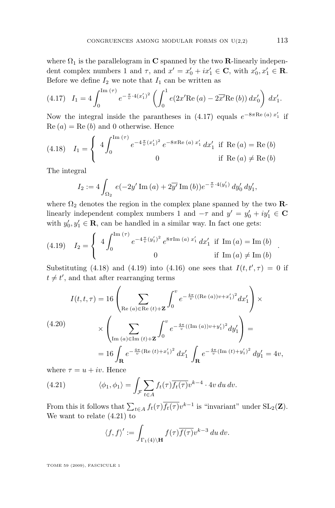where  $\Omega_1$  is the parallelogram in C spanned by the two R-linearly independent complex numbers 1 and  $\tau$ , and  $x' = x'_0 + ix'_1 \in \mathbf{C}$ , with  $x'_0, x'_1 \in \mathbf{R}$ . Before we define  $I_2$  we note that  $I_1$  can be written as

$$
(4.17) \quad I_1 = 4 \int_0^{\text{Im}(\tau)} e^{-\frac{\pi}{v} \cdot 4(x_1')^2} \left( \int_0^1 e(2x' \text{Re}(a) - 2\overline{x'} \text{Re}(b)) dx_0' \right) dx_1'.
$$

Now the integral inside the parantheses in (4.17) equals  $e^{-8\pi \text{Re}(a) x_1'}$  if  $\text{Re}(a) = \text{Re}(b)$  and 0 otherwise. Hence

(4.18) 
$$
I_1 = \begin{cases} 4 \int_0^{\text{Im}(\tau)} e^{-4\frac{\pi}{v}(x_1')^2} e^{-8\pi \text{Re}(a) x_1'} dx_1' & \text{if } \text{Re}(a) = \text{Re}(b) \\ 0 & \text{if } \text{Re}(a) \neq \text{Re}(b) \end{cases}
$$

The integral

$$
I_2 := 4 \int_{\Omega_2} e(-2y' \operatorname{Im} (a) + 2\overline{y'} \operatorname{Im} (b)) e^{-\frac{\pi}{v} \cdot 4(y'_1)} dy'_0 dy'_1,
$$

where  $\Omega_2$  denotes the region in the complex plane spanned by the two **R**linearly independent complex numbers 1 and  $-\tau$  and  $y' = y'_0 + iy'_1 \in \mathbf{C}$ with  $y'_0, y'_1 \in \mathbf{R}$ , can be handled in a similar way. In fact one gets:

(4.19) 
$$
I_2 = \begin{cases} 4 \int_0^{\text{Im}(\tau)} e^{-4\frac{\pi}{v}(y_1')^2} e^{8\pi \text{Im}(a) x_1'} dx_1' & \text{if } \text{Im}(a) = \text{Im}(b) \\ 0 & \text{if } \text{Im}(a) \neq \text{Im}(b) \end{cases}
$$

Substituting (4.18) and (4.19) into [\(4.16\)](#page-32-0) one sees that  $I(t, t', \tau) = 0$  if  $t \neq t'$ , and that after rearranging terms

$$
I(t, t, \tau) = 16 \left( \sum_{\text{Re } (a) \in \text{Re } (t) + \mathbf{Z}} \int_0^v e^{-\frac{4\pi}{v} ((\text{Re } (a))v + x_1')^2} dx_1' \right) \times
$$
  
\n
$$
\times \left( \sum_{\text{Im } (a) \in \text{Im } (t) + \mathbf{Z}} \int_0^v e^{-\frac{4\pi}{v} ((\text{Im } (a))v + y_1')^2} dy_1' \right) =
$$
  
\n
$$
= 16 \int_{\mathbf{R}} e^{-\frac{4\pi}{v} (\text{Re } (t) + x_1')^2} dx_1' \int_{\mathbf{R}} e^{-\frac{4\pi}{v} (\text{Im } (t) + y_1')^2} dy_1' = 4v,
$$

where  $\tau = u + iv$ . Hence

(4.21) 
$$
\langle \phi_1, \phi_1 \rangle = \int_{\mathcal{F}} \sum_{t \in A} f_t(\tau) \overline{f_t(\tau)} v^{k-4} \cdot 4v \, du \, dv.
$$

From this it follows that  $\sum_{t\in A} f_t(\tau) \overline{f_t(\tau)} v^{k-1}$  is "invariant" under  $SL_2(\mathbf{Z})$ . We want to relate (4.21) to

$$
\langle f, f \rangle' := \int_{\Gamma_1(4)\backslash \mathbf{H}} f(\tau) \overline{f(\tau)} v^{k-3} \, du \, dv.
$$

TOME 59 (2009), FASCICULE 1

.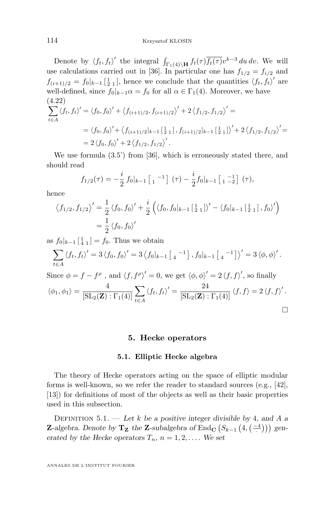<span id="page-34-0"></span>Denote by  $\langle f_t, f_t \rangle'$  the integral  $\int_{\Gamma_1(4)\backslash \mathbf{H}} f_t(\tau) \overline{f_t(\tau)} v^{k-3} du dv$ . We will use calculations carried out in [\[36\]](#page-84-0). In particular one has  $f_{1/2} = f_{i/2}$  and  $f_{(i+1)/2} = f_0|_{k-1} \left[\frac{1}{2} \right]_1$ , hence we conclude that the quantities  $\langle f_t, f_t \rangle'$  are well-defined, since  $f_0|_{k-1}\alpha = f_0$  for all  $\alpha \in \Gamma_1(4)$ . Moreover, we have (4.22)  $\sum$ t∈A  $\langle f_t, f_t \rangle' = \langle f_0, f_0 \rangle' + \langle f_{(i+1)/2}, f_{(i+1)/2} \rangle' + 2 \langle f_{1/2}, f_{1/2} \rangle' =$  $=\langle f_0, f_0 \rangle' + \langle f_{(i+1)/2}|_{k-1} \left[\frac{1}{2} \right]_1, f_{(i+1)/2}|_{k-1} \left[\frac{1}{2} \right]_1 \rangle' + 2 \langle f_{1/2}, f_{1/2} \rangle' =$ 

We use formula (3.5') from [\[36\]](#page-84-0), which is erroneously stated there, and should read

$$
f_{1/2}(\tau) = -\frac{i}{2} f_0|_{k-1} \begin{bmatrix} 1 & -1 \end{bmatrix} (\tau) - \frac{i}{2} f_0|_{k-1} \begin{bmatrix} 1 & -1 \ 1 & -2 \end{bmatrix} (\tau),
$$

hence

$$
\langle f_{1/2}, f_{1/2} \rangle' = \frac{1}{2} \langle f_0, f_0 \rangle' + \frac{i}{2} \left( \langle f_0, f_0 |_{k-1} [\frac{1}{2} \frac{1}{2}] \rangle' - \langle f_0 |_{k-1} [\frac{1}{2} \frac{1}{2}], f_0 \rangle' \right)
$$
  
=  $\frac{1}{2} \langle f_0, f_0 \rangle'$ 

as  $f_0|_{k-1} \left[ \frac{1}{4} \right] = f_0$ . Thus we obtain

 $= 2 \langle f_0, f_0 \rangle' + 2 \langle f_{1/2}, f_{1/2} \rangle'.$ 

$$
\sum_{t \in A} \langle f_t, f_t \rangle' = 3 \langle f_0, f_0 \rangle' = 3 \langle f_0 |_{k-1} [4^{-1}], f_0 |_{k-1} [4^{-1}] \rangle' = 3 \langle \phi, \phi \rangle'.
$$

Since  $\phi = f - f^{\rho}$ , and  $\langle f, f^{\rho} \rangle' = 0$ , we get  $\langle \phi, \phi \rangle' = 2 \langle f, f \rangle'$ , so finally  $\langle \phi_1, \phi_1 \rangle = \frac{4}{\text{IGL}(\mathbf{Z})}$  $[\operatorname{SL}_2(\mathbf{Z}) : \Gamma_1(4)]$  $\sum$ t∈A  $\langle f_t, f_t \rangle' = \frac{24}{\left[ \text{SL}_2(\mathbf{Z}) : \Gamma_1(4) \right]} \langle f, f \rangle = 2 \langle f, f \rangle'.$ 

$$
\Box
$$

#### **5. Hecke operators**

#### **5.1. Elliptic Hecke algebra**

The theory of Hecke operators acting on the space of elliptic modular forms is well-known, so we refer the reader to standard sources (e.g., [\[42\]](#page-85-0), [\[13\]](#page-83-0)) for definitions of most of the objects as well as their basic properties used in this subsection.

Definition 5.1. — *Let* k *be a positive integer divisible by* 4*, and* A *a* **Z**-algebra. Denote by  $\mathbf{T}_z$  the **Z**-subalgebra of End<sub>C</sub>  $(S_{k-1}(4, \left( \frac{-4}{\cdot} \right)))$  gen*erated by the Hecke operators*  $T_n$ ,  $n = 1, 2, \ldots$  *We set*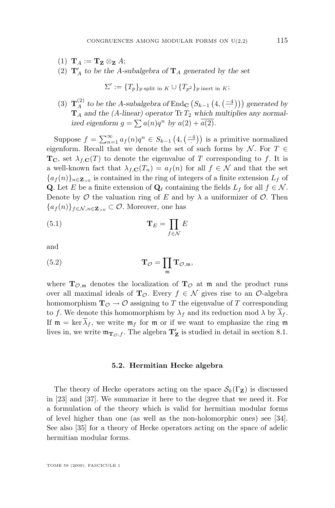- (1)  $\mathbf{T}_A := \mathbf{T}_{\mathbf{Z}} \otimes_{\mathbf{Z}} A;$
- (2)  $\mathbf{T}_A'$  to be the A-subalgebra of  $\mathbf{T}_A$  generated by the set

$$
\Sigma' := \{T_p\}_{p \text{ split in } K} \cup \{T_{p^2}\}_{p \text{ inert in } K};
$$

(3)  $\mathbf{T}_{A}^{(2)}$  to be the A-subalgebra of End<sub>C</sub>  $(S_{k-1}(4, \left( \frac{-4}{\cdot} \right)))$  generated by  $\mathbf{T}_A$  and the (A-linear) operator  $\text{Tr } T_2$  which multiplies any normalized eigenform  $g = \sum a(n)q^n$  by  $a(2) + a(2)$ .

Suppose  $f = \sum_{n=1}^{\infty} a_f(n)q^n \in S_{k-1}\left(4, \left(\frac{-4}{\cdot}\right)\right)$  is a primitive normalized eigenform. Recall that we denote the set of such forms by  $\mathcal{N}$ . For  $T \in$  $T_{\rm C}$ , set  $\lambda_{f,C}(T)$  to denote the eigenvalue of T corresponding to f. It is a well-known fact that  $\lambda_{f,\mathbf{C}}(T_n) = a_f(n)$  for all  $f \in \mathcal{N}$  and that the set  ${a_f(n)}_{n \in \mathbb{Z}_{\geq 0}}$  is contained in the ring of integers of a finite extension  $L_f$  of Q. Let E be a finite extension of  $\mathbf{Q}_\ell$  containing the fields  $L_f$  for all  $f \in \mathcal{N}$ . Denote by  $\mathcal O$  the valuation ring of E and by  $\lambda$  a uniformizer of  $\mathcal O$ . Then  ${a_f(n)}_{f \in \mathcal{N}, n \in \mathbb{Z}_{\geq 0}} \subset \mathcal{O}$ . Moreover, one has

$$
\mathbf{T}_E = \prod_{f \in \mathcal{N}} E
$$

$$
\quad\text{and}\quad
$$

(5.2) 
$$
\mathbf{T}_{\mathcal{O}} = \prod_{\mathfrak{m}} \mathbf{T}_{\mathcal{O},\mathfrak{m}},
$$

where  $\mathbf{T}_{\mathcal{O},m}$  denotes the localization of  $\mathbf{T}_{\mathcal{O}}$  at m and the product runs over all maximal ideals of  $\mathbf{T}_{\mathcal{O}}$ . Every  $f \in \mathcal{N}$  gives rise to an  $\mathcal{O}$ -algebra homomorphism  $\mathbf{T}_{\mathcal{O}} \to \mathcal{O}$  assigning to T the eigenvalue of T corresponding to f. We denote this homomorphism by  $\lambda_f$  and its reduction mod  $\lambda$  by  $\overline{\lambda}_f$ . If  $\mathfrak{m} = \ker \overline{\lambda}_f$ , we write  $\mathfrak{m}_f$  for  $\mathfrak{m}$  or if we want to emphasize the ring  $\mathfrak{m}$ lives in, we write  $\mathfrak{m}_{\mathbf{T}_{\mathcal{O}},f}$ . The algebra  $\mathbf{T}_{\mathbf{Z}}'$  is studied in detail in section [8.1.](#page-58-0)

#### **5.2. Hermitian Hecke algebra**

The theory of Hecke operators acting on the space  $\mathcal{S}_k(\Gamma_Z)$  is discussed in [\[23\]](#page-84-0) and [\[37\]](#page-84-0). We summarize it here to the degree that we need it. For a formulation of the theory which is valid for hermitian modular forms of level higher than one (as well as the non-holomorphic ones) see [\[34\]](#page-84-0). See also [\[35\]](#page-84-0) for a theory of Hecke operators acting on the space of adelic hermitian modular forms.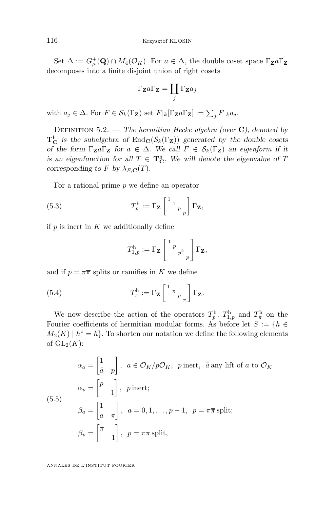Set  $\Delta := G^+_{\mu}(\mathbf{Q}) \cap M_4(\mathcal{O}_K)$ . For  $a \in \Delta$ , the double coset space  $\Gamma_{\mathbf{Z}} a \Gamma_{\mathbf{Z}}$ decomposes into a finite disjoint union of right cosets

$$
\Gamma_{\mathbf{Z}}a\Gamma_{\mathbf{Z}}=\coprod_j\Gamma_{\mathbf{Z}}a_j
$$

with  $a_j \in \Delta$ . For  $F \in \mathcal{S}_k(\Gamma_\mathbf{Z})$  set  $F|_k[\Gamma_\mathbf{Z} a \Gamma_\mathbf{Z}] := \sum_j F|_k a_j$ .

Definition 5.2. — *The hermitian Hecke algebra (over* C*), denoted by*  $T_{\mathbf{C}}^{h}$  *is the subalgebra of*  $\text{End}_{\mathbf{C}}(\mathcal{S}_{k}(\Gamma_{\mathbf{Z}}))$  *generated by the double cosets of the form*  $\Gamma_{\mathbf{Z}} a \Gamma_{\mathbf{Z}}$  *for*  $a \in \Delta$ *. We call*  $F \in \mathcal{S}_k(\Gamma_{\mathbf{Z}})$  *an eigenform if it is an eigenfunction for all*  $T \in \mathbf{T}_{\mathbf{C}}^{\mathbf{h}}$ . We will denote the eigenvalue of T *corresponding to* F *by*  $\lambda_{F,\mathbf{C}}(T)$ *.* 

For a rational prime  $p$  we define an operator

(5.3) 
$$
T_p^{\mathrm{h}} := \Gamma_{\mathbf{Z}} \begin{bmatrix} 1 & 1 \ 1 & p \end{bmatrix} \Gamma_{\mathbf{Z}},
$$

if  $p$  is inert in  $K$  we additionally define

$$
T_{1,p}^{\mathrm{h}} := \Gamma_{\mathbf{Z}} \left[ \begin{array}{cc} 1 & p \\ & p^2 \\ & p \end{array} \right] \Gamma_{\mathbf{Z}},
$$

and if  $p = \pi \overline{\pi}$  splits or ramifies in K we define

(5.4) 
$$
T_{\pi}^{\mathrm{h}} := \Gamma_{\mathbf{Z}} \left[ \begin{array}{cc} 1_{\pi} & \\ \pi_{p_{\pi}} \end{array} \right] \Gamma_{\mathbf{Z}}.
$$

We now describe the action of the operators  $T_p^{\text{h}}$ ,  $T_{1,p}^{\text{h}}$  and  $T_{\pi}^{\text{h}}$  on the Fourier coefficients of hermitian modular forms. As before let  $S := \{h \in$  $M_2(K) \mid h^* = h$ . To shorten our notation we define the following elements of  $\mathrm{GL}_2(K)$ :

$$
\alpha_a = \begin{bmatrix} 1 \\ \tilde{a} & p \end{bmatrix}, \ a \in \mathcal{O}_K/p\mathcal{O}_K, \ p \text{ inert}, \ \tilde{a} \text{ any lift of } a \text{ to } \mathcal{O}_K
$$

$$
\alpha_p = \begin{bmatrix} p \\ 1 \end{bmatrix}, \ p \text{ inert};
$$

$$
\beta_a = \begin{bmatrix} 1 \\ a & \pi \end{bmatrix}, \ a = 0, 1, \dots, p-1, \ p = \pi \overline{\pi} \text{ split};
$$

$$
\beta_p = \begin{bmatrix} \pi \\ 1 \end{bmatrix}, \ p = \pi \overline{\pi} \text{ split},
$$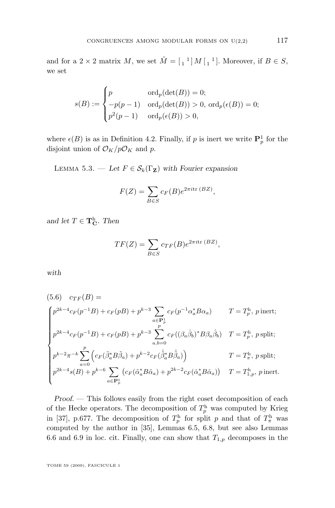<span id="page-37-0"></span>and for a  $2 \times 2$  matrix M, we set  $\tilde{M} = \begin{bmatrix} 1 \\ 1 \end{bmatrix} M \begin{bmatrix} 1 \\ 1 \end{bmatrix}$ . Moreover, if  $B \in S$ , we set

$$
s(B) := \begin{cases} p & \text{ord}_p(\det(B)) = 0; \\ -p(p-1) & \text{ord}_p(\det(B)) > 0, \text{ ord}_p(\epsilon(B)) = 0; \\ p^2(p-1) & \text{ord}_p(\epsilon(B)) > 0, \end{cases}
$$

where  $\epsilon(B)$  is as in Definition [4.2.](#page-28-0) Finally, if p is inert we write  $\mathbf{P}_p^1$  for the disjoint union of  $\mathcal{O}_K/p\mathcal{O}_K$  and p.

LEMMA 5.3. — Let  $F \in \mathcal{S}_k(\Gamma_Z)$  with Fourier expansion

$$
F(Z) = \sum_{B \in S} c_F(B)e^{2\pi i \text{tr}(BZ)},
$$

*and let*  $T \in \mathbf{T}_{\mathbf{C}}^{\mathbf{h}}$ *. Then* 

$$
TF(Z) = \sum_{B \in S} c_{TF}(B) e^{2\pi i \text{tr}(BZ)},
$$

*with*

$$
(5.6) \quad c_{TF}(B) =
$$
\n
$$
\begin{cases}\np^{2k-4}c_F(p^{-1}B) + c_F(pB) + p^{k-3} \sum_{a \in \mathbf{P}_p^1} c_F(p^{-1}\alpha_a^*B\alpha_a) & T = T_p^{\text{h}}, \ p^{\text{inert}};\n\end{cases}
$$
\n
$$
p^{2k-4}c_F(p^{-1}B) + c_F(pB) + p^{k-3} \sum_{a,b=0}^p c_F((\beta_a\hat{\beta}_b)^*B\beta_a\hat{\beta}_b) & T = T_p^{\text{h}}, \ p^{\text{split}};\n\begin{cases}\np^{k-2}\pi^{-k} \sum_{a=0}^p \left(c_F(\tilde{\beta}_a^*B\tilde{\beta}_a) + p^{k-2}c_F(\tilde{\beta}_a^*B\tilde{\beta}_a)\right) & T = T_n^{\text{h}}, \ p^{\text{split}};\n\end{cases}
$$
\n
$$
p^{2k-4}s(B) + p^{k-6} \sum_{a \in \mathbf{P}_p^1} \left(c_F(\tilde{\alpha}_a^*B\tilde{\alpha}_a) + p^{2k-2}c_F(\hat{\alpha}_a^*B\hat{\alpha}_a)\right) & T = T_{1,p}^{\text{h}}, \ p^{\text{inert}}.\n\end{cases}
$$

*Proof. —* This follows easily from the right coset decomposition of each of the Hecke operators. The decomposition of  $T_p^{\text{h}}$  was computed by Krieg in [\[37\]](#page-84-0), p.677. The decomposition of  $T_p^{\text{h}}$  for split p and that of  $T_\pi^{\text{h}}$  was computed by the author in [\[35\]](#page-84-0), Lemmas 6.5, 6.8, but see also Lemmas 6.6 and 6.9 in loc. cit. Finally, one can show that  $T_{1,p}$  decomposes in the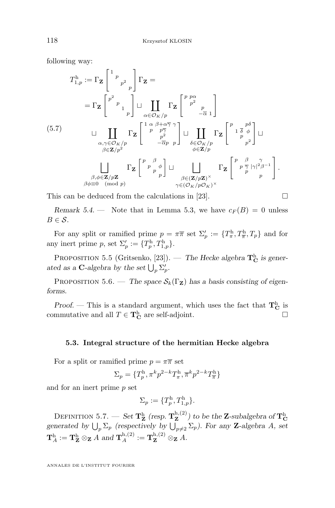following way:

$$
T_{1,p}^{\mathrm{h}} := \Gamma_{\mathbf{Z}} \begin{bmatrix} 1 & p \\ & p^2 & \\ & & p \end{bmatrix} \Gamma_{\mathbf{Z}} =
$$
\n
$$
= \Gamma_{\mathbf{Z}} \begin{bmatrix} p^2 & p \\ & p & \\ & & p \end{bmatrix} \sqcup \coprod_{\alpha \in \mathcal{O}_K/p} \Gamma_{\mathbf{Z}} \begin{bmatrix} p & p\alpha \\ & p^2 & \\ & & -\overline{\alpha} & 1 \end{bmatrix}
$$
\n
$$
(5.7) \qquad \qquad \sqcup \prod_{\substack{\alpha, \gamma \in \mathcal{O}_K/p \\ \beta \in \mathbf{Z}/p^2}} \Gamma_{\mathbf{Z}} \begin{bmatrix} 1 & \alpha & \beta + \alpha \overline{\gamma} & \gamma \\ & p & p \overline{\gamma} \\ & & p^2 & p \end{bmatrix} \sqcup \prod_{\substack{\delta \in \mathcal{O}_K/p \\ \phi \in \mathbf{Z}/p}} \Gamma_{\mathbf{Z}} \begin{bmatrix} p & \beta & \beta \\ & p^2 & p \end{bmatrix} \sqcup \prod_{\substack{\beta \in \mathcal{O}_K/p \\ \phi \in \mathbf{Z}/p}} \Gamma_{\mathbf{Z}} \begin{bmatrix} p & \beta & \gamma \\ & p^2 & p \end{bmatrix} \sqcup \prod_{\substack{\beta \in (\mathbf{Z}/p\mathbf{Z})^\times \\ \gamma \in (\mathcal{O}_K/p\mathbf{Q}_K)^\times}} \Gamma_{\mathbf{Z}} \begin{bmatrix} p & \beta & \gamma \\ & p^2 & p^2 \end{bmatrix}.
$$

This can be deduced from the calculations in [\[23\]](#page-84-0).  $\Box$ 

*Remark 5.4.* — Note that in Lemma [5.3,](#page-37-0) we have  $c_F(B) = 0$  unless  $B \in \mathcal{S}$ .

For any split or ramified prime  $p = \pi \overline{\pi}$  set  $\Sigma'_p := \{T^{\mathrm{h}}_{\pi}, T^{\mathrm{h}}_{\overline{\pi}}, T_p\}$  and for any inert prime p, set  $\Sigma_p' := \{T_p^{\rm h}, T_{1,p}^{\rm h}\}.$ 

PROPOSITION 5.5 (Gritsenko, [\[23\]](#page-84-0)). — *The Hecke algebra*  $\mathbf{T_C^h}$  *is gener*ated as a **C**-algebra by the set  $\bigcup_{p} \Sigma'_{p}$ .

PROPOSITION 5.6. — *The space*  $S_k(\Gamma_Z)$  *has a basis consisting of eigenforms.*

*Proof.* — This is a standard argument, which uses the fact that  $T_{\text{C}}^{\text{h}}$  is commutative and all  $T \in \mathbf{T}_{\mathbf{C}}^{\mathbf{h}}$  are self-adjoint.

### **5.3. Integral structure of the hermitian Hecke algebra**

For a split or ramified prime  $p = \pi \overline{\pi}$  set

$$
\Sigma_p=\{T_p^{\rm h},\pi^kp^{2-k}T_\pi^{\rm h},\overline{\pi}^kp^{2-k}T_{\overline{\pi}}^{\rm h}\}
$$

and for an inert prime p set

$$
\Sigma_p := \{T_p^{\mathrm{h}}, T_{1,p}^{\mathrm{h}}\}.
$$

DEFINITION 5.7. — *Set*  $\mathbf{T_Z^h}$  (resp.  $\mathbf{T_Z^{h,(2)}}$  $\mathbf{z}^{\mathrm{h},(2)}$  to be the **Z**-subalgebra of  $\mathbf{T_C^h}$ *generated by*  $\bigcup_{p} \Sigma_p$  *(respectively by*  $\bigcup_{p \neq 2} \Sigma_p$ *). For any* **Z**-algebra A, set  $\mathbf{T}_A^{\text{h}} := \mathbf{T}_\mathbf{Z}^{\text{h}} \otimes_\mathbf{Z} A \text{ and } \mathbf{T}_A^{\text{h},(2)} := \mathbf{T}_\mathbf{Z}^{\text{h},(2)} \otimes_\mathbf{Z} A.$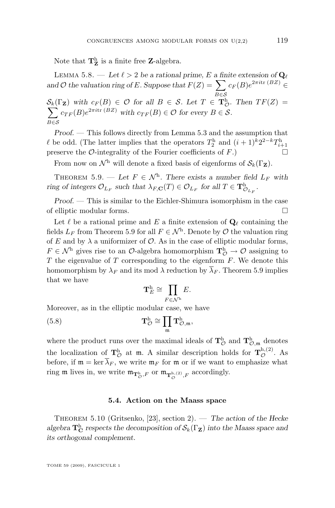<span id="page-39-0"></span>Note that  $\mathbf{T}_{\mathbf{Z}}^{\text{h}}$  is a finite free **Z**-algebra.

LEMMA 5.8. — Let  $\ell > 2$  be a rational prime, E a finite extension of  $\mathbf{Q}_{\ell}$ and O the valuation ring of E. Suppose that  $F(Z) = \sum$  $B \in \mathcal{S}$  $c_F(B)e^{2\pi i \text{tr}(BZ)} \in$  $\mathcal{S}_k(\Gamma_\mathbf{Z})$  with  $c_F(B) \in \mathcal{O}$  for all  $B \in \mathcal{S}$ . Let  $T \in \mathbf{T}_{\mathcal{C}}^{\mathbf{h}}$  $\sum$  $_{\mathcal{O}}^{\text{h}}$ . Then  $TF(Z)$  = B∈S  $c_{TF}(B)e^{2\pi i \text{tr}(BZ)}$  with  $c_{TF}(B) \in \mathcal{O}$  for every  $B \in \mathcal{S}$ .

*Proof. —* This follows directly from Lemma [5.3](#page-37-0) and the assumption that  $\ell$  be odd. (The latter implies that the operators  $T_2^{\text{h}}$  and  $(i + 1)^k 2^{2-k} T_{i+1}^{\text{h}}$ preserve the  $\mathcal{O}\text{-integrality of the Fourier coefficients of } F$ .

From now on  $\mathcal{N}^h$  will denote a fixed basis of eigenforms of  $\mathcal{S}_k(\Gamma_Z)$ .

THEOREM 5.9. — Let  $F \in \mathcal{N}^h$ . There exists a number field  $L_F$  with *ring of integers*  $\mathcal{O}_{L_F}$  such that  $\lambda_{F,\mathbf{C}}(T) \in \mathcal{O}_{L_F}$  for all  $T \in \mathbf{T}^{\mathrm{h}}_{\mathcal{O}_{L_F}}$ .

*Proof. —* This is similar to the Eichler-Shimura isomorphism in the case of elliptic modular forms.

Let  $\ell$  be a rational prime and E a finite extension of  $\mathbf{Q}_{\ell}$  containing the fields  $L_F$  from Theorem 5.9 for all  $F \in \mathcal{N}^h$ . Denote by  $\mathcal O$  the valuation ring of  $E$  and by  $\lambda$  a uniformizer of  $\mathcal{O}$ . As in the case of elliptic modular forms,  $F \in \mathcal{N}^{\text{h}}$  gives rise to an  $\mathcal{O}\text{-algebra homomorphism } \mathbf{T}^{\text{h}}_{\mathcal{O}} \to \mathcal{O}$  assigning to  $T$  the eigenvalue of  $T$  corresponding to the eigenform  $F$ . We denote this homomorphism by  $\lambda_F$  and its mod  $\lambda$  reduction by  $\lambda_F$ . Theorem 5.9 implies that we have

$$
\mathbf{T}_E^{\mathrm{h}} \cong \prod_{F \in \mathcal{N}^{\mathrm{h}}} E.
$$

Moreover, as in the elliptic modular case, we have

(5.8) 
$$
\mathbf{T}_{\mathcal{O}}^{\mathrm{h}} \cong \prod_{\mathfrak{m}} \mathbf{T}_{\mathcal{O},\mathfrak{m}}^{\mathrm{h}},
$$

where the product runs over the maximal ideals of  $T^{\text{h}}_{\mathcal{O}}$  and  $T^{\text{h}}_{\mathcal{O},\mathfrak{m}}$  denotes the localization of  $\mathbf{T}_{\mathcal{O}}^{\mathrm{h}}$  at  $\mathfrak{m}$ . A similar description holds for  $\mathbf{T}_{\mathcal{O}}^{\mathrm{h},(2)}$ . As before, if  $\mathfrak{m} = \ker \lambda_F$ , we write  $\mathfrak{m}_F$  for  $\mathfrak{m}$  or if we want to emphasize what ring  $\mathfrak m$  lives in, we write  $\mathfrak m_{\mathbf T_{\mathcal O}^{\mathrm h},F}$  or  $\mathfrak m_{\mathbf T_{\mathcal O}^{\mathrm h,(2)},F}$  accordingly.

### **5.4. Action on the Maass space**

Theorem 5.10 (Gritsenko, [\[23\]](#page-84-0), section 2). — *The action of the Hecke algebra*  $\mathbf{T_C^h}$  *respects the decomposition of*  $\mathcal{S}_k(\Gamma_Z)$  *into the Maass space and its orthogonal complement.*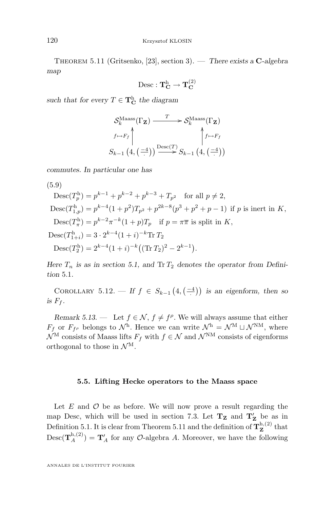<span id="page-40-0"></span>Theorem 5.11 (Gritsenko, [\[23\]](#page-84-0), section 3). — *There exists a* C*-algebra map*

$$
\rm{Desc} : \mathbf{T}^h_{\mathbf{C}} \rightarrow \mathbf{T}^{(2)}_{\mathbf{C}}
$$

such that for every  $T \in \mathbf{T}_{\mathbf{C}}^{\mathbf{h}}$  the diagram

$$
\mathcal{S}_{k}^{\text{Maass}}(\Gamma_{\mathbf{Z}}) \xrightarrow{T} \mathcal{S}_{k}^{\text{Maass}}(\Gamma_{\mathbf{Z}})
$$
\n
$$
\uparrow \rightarrow F_{f} \uparrow \qquad \qquad \qquad \uparrow f \rightarrow F_{f}
$$
\n
$$
S_{k-1} (4, (-1)) \xrightarrow{\text{Desc}(T)} S_{k-1} (4, (-1))
$$

*commutes. In particular one has*

(5.9)

$$
Desc(T_p^h) = p^{k-1} + p^{k-2} + p^{k-3} + T_{p^2} \quad \text{for all } p \neq 2,
$$
  
\n
$$
Desc(T_{1,p}^h) = p^{k-4} (1+p^2) T_{p^2} + p^{2k-8} (p^3 + p^2 + p - 1) \text{ if } p \text{ is inert in } K,
$$
  
\n
$$
Desc(T_{\pi}^h) = p^{k-2} \pi^{-k} (1+p) T_p \quad \text{if } p = \pi \overline{\pi} \text{ is split in } K,
$$
  
\n
$$
Desc(T_{1+i}^h) = 3 \cdot 2^{k-4} (1+i)^{-k} \text{Tr } T_2
$$
  
\n
$$
Desc(T_2^h) = 2^{k-4} (1+i)^{-k} ((\text{Tr } T_2)^2 - 2^{k-1}).
$$

*Here*  $T_n$  *is as in section* [5.1,](#page-34-0) and  $Tr T_2$  denotes the operator from Defini*tion* [5.1](#page-34-0)*.*

COROLLARY 5.12. — If  $f \in S_{k-1}(4, \left( \frac{-4}{\cdot} \right))$  is an eigenform, then so *is*  $F_f$ .

*Remark 5.13.* — Let  $f \in \mathcal{N}$ ,  $f \neq f^{\rho}$ . We will always assume that either  $F_f$  or  $F_{f\rho}$  belongs to  $\mathcal{N}^{\text{h}}$ . Hence we can write  $\mathcal{N}^{\text{h}} = \mathcal{N}^{\text{M}} \sqcup \mathcal{N}^{\text{NM}}$ , where  $\mathcal{N}^{\mathrm{M}}$  consists of Maass lifts  $F_f$  with  $f \in \mathcal{N}$  and  $\mathcal{N}^{\mathrm{M}}$  consists of eigenforms orthogonal to those in  $\mathcal{N}^{\mathrm{M}}$ .

#### **5.5. Lifting Hecke operators to the Maass space**

Let  $E$  and  $\mathcal O$  be as before. We will now prove a result regarding the map Desc, which will be used in section [7.3.](#page-50-0) Let  $T_Z$  and  $T_Z'$  be as in Definition [5.1.](#page-34-0) It is clear from Theorem 5.11 and the definition of  $T^{\text{h},(2)}_{\mathbf{Z}}$  $\mathbf{z}^{\mathbf{n},(2)}$  that  $\text{Desc}(\mathbf{T}_{A}^{\text{h},(2)}) = \mathbf{T}_{A}'$  for any  $\mathcal{O}\text{-algebra } A$ . Moreover, we have the following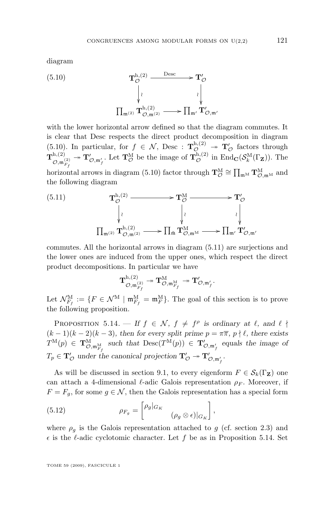<span id="page-41-0"></span>diagram

(5.10) 
$$
\mathbf{T}_{\mathcal{O}}^{\mathrm{h},(2)} \xrightarrow{\mathrm{Desc}} \mathbf{T}_{\mathcal{O}}^{\prime} \\ \downarrow \qquad \qquad \downarrow \qquad \qquad \downarrow \\ \prod_{\mathfrak{m}^{(2)}} \mathbf{T}_{\mathcal{O},\mathfrak{m}^{(2)}}^{\mathrm{h},(2)} \xrightarrow{\mathrm{Dec}} \prod_{\mathfrak{m}'} \mathbf{T}_{\mathcal{O},\mathfrak{m}'}^{\prime}
$$

with the lower horizontal arrow defined so that the diagram commutes. It is clear that Desc respects the direct product decomposition in diagram (5.10). In particular, for  $f \in \mathcal{N}$ , Desc :  $\mathbf{T}_{\mathcal{O}}^{h,(2)} \twoheadrightarrow \mathbf{T}_{\mathcal{O}}'$  factors through  $\mathbf{T}^{\text{h},(2)}_\infty$  $\mathcal{O},\mathfrak{m}_{F_f}^{(2)}$  $\to \mathbf{T}'_{\mathcal{O},\mathfrak{m}'_f}$ . Let  $\mathbf{T}^{\text{M}}_{\mathcal{O}}$  be the image of  $\mathbf{T}^{\text{h},(2)}_{\mathcal{O}}$  in  $\text{End}_{\mathbf{C}}(\mathcal{S}_k^{\text{M}}(\Gamma_{\mathbf{Z}}))$ . The horizontal arrows in diagram (5.10) factor through  $\mathbf{T}_{\mathcal{O}}^{\mathbf{M}} \cong \prod_{\mathfrak{m}^{\mathbf{M}}} \mathbf{T}_{\mathcal{O},\mathfrak{m}^{\mathbf{M}}}^{\mathbf{M}}$  and the following diagram

(5.11) 
$$
\mathbf{T}_{\mathcal{O}}^{\mathrm{h},(2)} \longrightarrow \mathbf{T}_{\mathcal{O}}^{\mathrm{M}} \longrightarrow \mathbf{T}_{\mathcal{O}}^{\prime} \\ \downarrow \qquad \qquad \downarrow \qquad \qquad \downarrow \qquad \qquad \downarrow \qquad \qquad \downarrow \qquad \qquad \downarrow \qquad \qquad \downarrow \qquad \qquad \downarrow \qquad \qquad \downarrow \qquad \qquad \downarrow \qquad \qquad \downarrow \qquad \qquad \downarrow \qquad \qquad \downarrow \qquad \qquad \downarrow \qquad \qquad \downarrow \qquad \qquad \downarrow \qquad \qquad \downarrow \qquad \qquad \downarrow \qquad \qquad \downarrow \qquad \qquad \downarrow \qquad \qquad \downarrow \qquad \qquad \downarrow \qquad \qquad \downarrow \qquad \qquad \downarrow \qquad \qquad \downarrow \qquad \qquad \downarrow \qquad \qquad \downarrow \qquad \qquad \downarrow \qquad \qquad \downarrow \qquad \qquad \downarrow \qquad \qquad \downarrow \qquad \qquad \downarrow \qquad \qquad \downarrow \qquad \qquad \downarrow \qquad \qquad \downarrow \qquad \qquad \downarrow \qquad \qquad \downarrow \qquad \qquad \downarrow \qquad \qquad \downarrow \qquad \qquad \downarrow \qquad \qquad \downarrow \qquad \qquad \downarrow \qquad \qquad \downarrow \qquad \qquad \downarrow \qquad \qquad \downarrow \qquad \qquad \downarrow \qquad \qquad \downarrow \qquad \qquad \downarrow \qquad \qquad \downarrow \qquad \qquad \downarrow \qquad \qquad \downarrow \qquad \qquad \downarrow \qquad \qquad \downarrow \qquad \qquad \downarrow \qquad \qquad \downarrow \qquad \qquad \downarrow \qquad \qquad \downarrow \qquad \qquad \downarrow \qquad \qquad \downarrow \qquad \qquad \downarrow \qquad \qquad \downarrow \qquad \qquad \downarrow \qquad \qquad \downarrow \qquad \qquad \downarrow \qquad \qquad \downarrow \qquad \qquad \downarrow \qquad \qquad \downarrow \qquad \qquad \downarrow \qquad \qquad \downarrow \qquad \qquad \downarrow \qquad \qquad \downarrow \qquad \qquad \downarrow \qquad \qquad \downarrow \qquad \qquad \downarrow \qquad \qquad \downarrow \qquad \qquad \downarrow \qquad \qquad \downarrow \qquad \qquad \downarrow \
$$

commutes. All the horizontal arrows in diagram (5.11) are surjections and the lower ones are induced from the upper ones, which respect the direct product decompositions. In particular we have

$$
\mathbf{T}^{\mathrm{h},(2)}_{\mathcal{O},\mathfrak{m}^{(2)}_{F_{f}}}\twoheadrightarrow \mathbf{T}^{\mathrm{M}}_{\mathcal{O},\mathfrak{m}^{\mathrm{M}}_{F_{f}}}\twoheadrightarrow \mathbf{T}'_{\mathcal{O},\mathfrak{m}'_{f}}.
$$

Let  $\mathcal{N}_{F_f}^{\text{M}} := \{F \in \mathcal{N}^{\text{M}} \mid \mathfrak{m}_{F_f}^{\text{M}} = \mathfrak{m}_F^{\text{M}}\}.$  The goal of this section is to prove the following proposition.

PROPOSITION 5.14. — *If*  $f \in \mathcal{N}$ ,  $f \neq f^{\rho}$  is ordinary at  $\ell$ , and  $\ell \nmid$  $(k-1)(k-2)(k-3)$ , then for every split prime  $p = \pi \overline{\pi}$ ,  $p \nmid \ell$ , there exists  $T^{\mathcal{M}}(p) \in \mathbf{T}^{\mathcal{M}}_{\mathcal{O},\mathfrak{m}_{F_f}^{\mathcal{M}}}$  such that  $\mathrm{Desc}(T^{\mathcal{M}}(p)) \in \mathbf{T}'_{\mathcal{O},\mathfrak{m}_f'}$  equals the image of  $T_p \in \mathbf{T}'_{\mathcal{O}}$  under the canonical projection  $\mathbf{T}'_{\mathcal{O}} \twoheadrightarrow \mathbf{T}'_{\mathcal{O}, \mathfrak{m}'_f}$ .

As will be discussed in section [9.1,](#page-66-0) to every eigenform  $F \in \mathcal{S}_k(\Gamma_Z)$  one can attach a 4-dimensional  $\ell$ -adic Galois representation  $\rho_F$ . Moreover, if  $F = F<sub>g</sub>$ , for some  $g \in \mathcal{N}$ , then the Galois representation has a special form

(5.12) 
$$
\rho_{F_g} = \begin{bmatrix} \rho_g |_{G_K} & \\ & (\rho_g \otimes \epsilon) |_{G_K} \end{bmatrix},
$$

where  $\rho_g$  is the Galois representation attached to g (cf. section [2.3\)](#page-11-0) and  $\epsilon$  is the  $\ell$ -adic cyclotomic character. Let f be as in Proposition 5.14. Set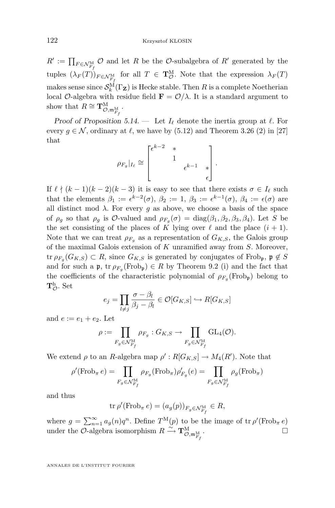<span id="page-42-0"></span> $R' := \prod_{F \in \mathcal{N}_{F_f}^{\mathcal{M}}} \mathcal{O}$  and let R be the  $\mathcal{O}$ -subalgebra of R' generated by the tuples  $(\lambda_F(T))_{F \in \mathcal{N}_{F_f}^{\text{M}}}$  for all  $T \in \mathbf{T}_{\mathcal{O}}^{\text{M}}$ . Note that the expression  $\lambda_F(T)$ makes sense since  $\mathcal{S}_k^{\mathcal{M}}(\Gamma_{\mathbf{Z}})$  is Hecke stable. Then R is a complete Noetherian local O-algebra with residue field  $\mathbf{F} = \mathcal{O}/\lambda$ . It is a standard argument to show that  $R \cong \mathbf{T}^{\mathrm{M}}_{\mathcal{O},\mathfrak{m}_{F_f}^{\mathrm{M}}}$ .

*Proof of Proposition* [5.14.](#page-41-0)  $-$  Let  $I_{\ell}$  denote the inertia group at  $\ell$ . For every  $g \in \mathcal{N}$ , ordinary at  $\ell$ , we have by [\(5.12\)](#page-41-0) and Theorem 3.26 (2) in [\[27\]](#page-84-0) that

$$
\rho_{F_g}|_{I_{\ell}} \cong \begin{bmatrix} \epsilon^{k-2} & * & & \\ & 1 & & \\ & & \epsilon^{k-1} & * \\ & & & \epsilon \end{bmatrix}.
$$

If  $\ell \nmid (k - 1)(k - 2)(k - 3)$  it is easy to see that there exists  $\sigma \in I_\ell$  such that the elements  $\beta_1 := \epsilon^{k-2}(\sigma)$ ,  $\beta_2 := 1$ ,  $\beta_3 := \epsilon^{k-1}(\sigma)$ ,  $\beta_4 := \epsilon(\sigma)$  are all distinct mod  $\lambda$ . For every g as above, we choose a basis of the space of  $\rho_g$  so that  $\rho_g$  is  $\mathcal{O}\text{-valued}$  and  $\rho_{F_g}(\sigma) = \text{diag}(\beta_1, \beta_2, \beta_3, \beta_4)$ . Let S be the set consisting of the places of K lying over  $\ell$  and the place  $(i + 1)$ . Note that we can treat  $\rho_{F_q}$  as a representation of  $G_{K,S}$ , the Galois group of the maximal Galois extension of  $K$  unramified away from  $S$ . Moreover, tr  $\rho_{F_g}(G_{K,S}) \subset R$ , since  $G_{K,S}$  is generated by conjugates of Frob<sub>p</sub>,  $\mathfrak{p} \notin S$ and for such a  $\mathfrak{p}$ , tr  $\rho_{F_g}(\text{Frob}_{\mathfrak{p}}) \in R$  by Theorem [9.2](#page-67-0) (i) and the fact that the coefficients of the characteristic polynomial of  $\rho_{F_g}(\text{Frob}_{\mathfrak{p}})$  belong to  ${\bf T}^{\rm h}_{\mathcal O}$ . Set

$$
e_j = \prod_{l \neq j} \frac{\sigma - \beta_l}{\beta_j - \beta_l} \in \mathcal{O}[G_{K,S}] \hookrightarrow R[G_{K,S}]
$$

and  $e := e_1 + e_2$ . Let

$$
\rho:=\prod_{F_g\in \mathcal{N}_{F_f}^{\mathcal{M}}}\rho_{F_g}: G_{K,S}\rightarrow \prod_{F_g\in \mathcal{N}_{F_f}^{\mathcal{M}}} \mathrm{GL}_4(\mathcal{O}).
$$

We extend  $\rho$  to an R-algebra map  $\rho' : R[G_{K,S}] \to M_4(R')$ . Note that

$$
\rho'(\mathrm{Frob}_{\pi} e) = \prod_{F_g \in \mathcal{N}_{F_f}^{\mathrm{M}}} \rho_{F_g}(\mathrm{Frob}_{\pi}) \rho'_{F_g}(e) = \prod_{F_g \in \mathcal{N}_{F_f}^{\mathrm{M}}} \rho_g(\mathrm{Frob}_{\pi})
$$

and thus

$$
\operatorname{tr}\rho'(\operatorname{Frob}_{\pi}e)=(a_g(p))_{F_g\in\mathcal{N}_{F_f}^{\mathcal{M}}}\in R,
$$

where  $g = \sum_{n=1}^{\infty} a_g(n) q^n$ . Define  $T^{M}(p)$  to be the image of tr  $\rho'(\text{Frob}_{\pi} e)$ under the  $\mathcal{O}\text{-algebra}$  isomorphism  $R \xrightarrow{\sim} \mathbf{T}^{\text{M}}_{\mathcal{O},\mathfrak{m}^{\text{M}}_{F_f}}$ . — Первый профессиональный профессиональный профессиональный профессиональный профессиональный профессиональн<br>В собстановки профессиональный профессиональный профессиональный профессиональный профессиональный профессиона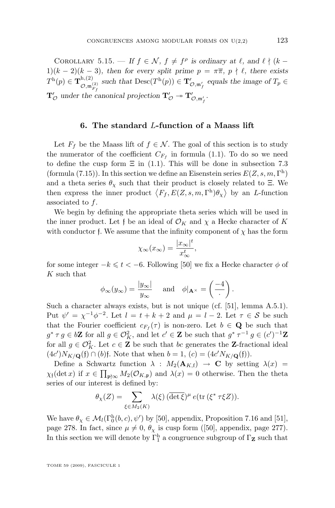<span id="page-43-0"></span>COROLLARY 5.15. — If  $f \in \mathcal{N}$ ,  $f \neq f^{\rho}$  is ordinary at  $\ell$ , and  $\ell \nmid (k 1)(k-2)(k-3)$ , then for every split prime  $p = \pi \overline{\pi}$ ,  $p \nmid \ell$ , there exists  $T^{\text{h}}(p) \in \mathbf{T}^{\text{h},(2)}_{\bigcirc \hspace{-0.15cm}\cdot \hspace{-0.15cm} \cdot \hspace{-0.15cm} \cdot \hspace{-0.15cm} \cdot \hspace{-0.15cm}}$  $\mathcal{O},\mathfrak{m}_{F_f}^{(2)}$ such that  $\text{Desc}(T^h(p)) \in \mathbf{T}'_{\mathcal{O},\mathfrak{m}'_f}$  equals the image of  $T_p \in$  $\mathbf{T}'_{\mathcal{O}}$  under the canonical projection  $\mathbf{T}'_{\mathcal{O}} \twoheadrightarrow \mathbf{T}'_{\mathcal{O}, \mathfrak{m}'_f}$ .

### **6. The standard** L**-function of a Maass lift**

Let  $F_f$  be the Maass lift of  $f \in \mathcal{N}$ . The goal of this section is to study the numerator of the coefficient  $C_{F_f}$  in formula [\(1.1\)](#page-3-0). To do so we need to define the cusp form  $\Xi$  in [\(1.1\)](#page-3-0). This will be done in subsection [7.3](#page-50-0) (formula [\(7.15\)](#page-50-0)). In this section we define an Eisenstein series  $E(Z, s, m, \Gamma^{\rm h})$ and a theta series  $\theta_{\chi}$  such that their product is closely related to Ξ. We then express the inner product  $\langle F_f, E(Z, s, m, \Gamma^h) \theta_\chi \rangle$  by an *L*-function associated to f.

We begin by defining the appropriate theta series which will be used in the inner product. Let f be an ideal of  $\mathcal{O}_K$  and  $\chi$  a Hecke character of K with conductor f. We assume that the infinity component of  $\chi$  has the form

$$
\chi_{\infty}(x_{\infty}) = \frac{|x_{\infty}|^t}{x_{\infty}^t},
$$

for some integer  $-k \leq t < -6$ . Following [\[50\]](#page-85-0) we fix a Hecke character  $\phi$  of K such that

$$
\phi_{\infty}(y_{\infty}) = \frac{|y_{\infty}|}{y_{\infty}}
$$
 and  $\phi|_{\mathbf{A}^{\times}} = \left(\frac{-4}{.}\right)$ .

Such a character always exists, but is not unique (cf. [\[51\]](#page-85-0), lemma A.5.1). Put  $\psi' = \chi^{-1} \phi^{-2}$ . Let  $l = t + k + 2$  and  $\mu = l - 2$ . Let  $\tau \in \mathcal{S}$  be such that the Fourier coefficient  $c_{F_f}(\tau)$  is non-zero. Let  $b \in \mathbf{Q}$  be such that  $g^* \tau g \in b\mathbf{Z}$  for all  $g \in \mathcal{O}_K^2$ , and let  $c' \in \mathbf{Z}$  be such that  $g^* \tau^{-1} g \in (c')^{-1}\mathbf{Z}$ for all  $g \in \mathcal{O}_K^2$ . Let  $c \in \mathbb{Z}$  be such that bc generates the **Z**-fractional ideal  $(4c')N_{K/\mathbf{Q}}(\mathfrak{f}) \cap (b)\mathfrak{f}$ . Note that when  $b = 1$ ,  $(c) = (4c'N_{K/\mathbf{Q}}(\mathfrak{f})).$ 

Define a Schwartz function  $\lambda$  :  $M_2(\mathbf{A}_{K,f}) \to \mathbf{C}$  by setting  $\lambda(x) =$  $\chi_{\mathfrak{f}}(\det x)$  if  $x \in \prod_{\mathfrak{p} \nmid \infty} M_2(\mathcal{O}_{K,\mathfrak{p}})$  and  $\lambda(x) = 0$  otherwise. Then the theta series of our interest is defined by:

$$
\theta_{\chi}(Z) = \sum_{\xi \in M_2(K)} \lambda(\xi) \left( \overline{\det \xi} \right)^{\mu} e(\text{tr} \left( \xi^* \tau \xi Z \right)).
$$

We have  $\theta_{\chi} \in \mathcal{M}_l(\Gamma_0^h(b,c), \psi')$  by [\[50\]](#page-85-0), appendix, Proposition 7.16 and [\[51\]](#page-85-0), page 278. In fact, since  $\mu \neq 0$ ,  $\theta_{\chi}$  is cusp form ([\[50\]](#page-85-0), appendix, page 277). In this section we will denote by  $\Gamma^{\mathrm{h}}_{1}$  a congruence subgroup of  $\Gamma_\mathbf{Z}$  such that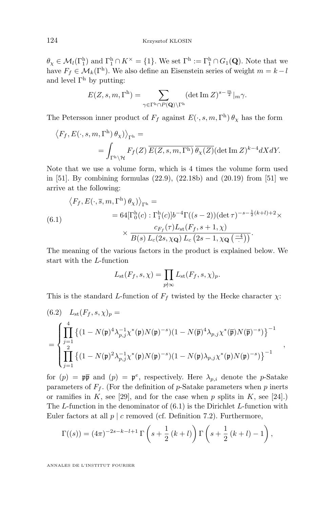<span id="page-44-0"></span> $\theta_{\chi} \in \mathcal{M}_l(\Gamma^{\rm h}_1)$  and  $\Gamma^{\rm h}_1 \cap K^{\times} = \{1\}$ . We set  $\Gamma^{\rm h} := \Gamma^{\rm h}_1 \cap G_1(\mathbf{Q})$ . Note that we have  $F_f \in \mathcal{M}_k(\Gamma^{\text{h}})$ . We also define an Eisenstein series of weight  $m = k - l$ and level  $\Gamma^h$  by putting:

$$
E(Z,s,m,\Gamma^{\rm h})=\sum_{\gamma\in\Gamma^{\rm h}\cap P(\mathbf{Q})\backslash\Gamma^{\rm h}}(\det\mathop{\rm Im}\nolimits Z)^{s-\frac{m}{2}}|_m\gamma.
$$

The Petersson inner product of  $F_f$  against  $E(\cdot, s, m, \Gamma^{\text{h}}) \theta_{\chi}$  has the form

$$
\langle F_f, E(\cdot, s, m, \Gamma^{\rm h}) \theta_{\chi} \rangle_{\Gamma^{\rm h}} =
$$
  
= 
$$
\int_{\Gamma^{\rm h} \backslash \mathcal{H}} F_f(Z) \overline{E(Z, s, m, \Gamma^{\rm h})} \overline{\theta_{\chi}(Z)} (\det \text{Im } Z)^{k-4} dX dY.
$$

Note that we use a volume form, which is 4 times the volume form used in [\[51\]](#page-85-0). By combining formulas (22.9), (22.18b) and (20.19) from [\[51\]](#page-85-0) we arrive at the following:

$$
\langle F_f, E(\cdot, \overline{s}, m, \Gamma^{\rm h}) \theta_\chi \rangle_{\Gamma^{\rm h}} =
$$
  
\n
$$
= 64[\Gamma_0^{\rm h}(c) : \Gamma_1^{\rm h}(c)]b^{-4}\Gamma((s-2))(\det \tau)^{-s-\frac{1}{2}(k+l)+2} \times
$$
  
\n
$$
\times \frac{c_{F_f}(\tau)L_{\rm st}(F_f, s+1, \chi)}{B(s) L_c(2s, \chi_{\mathbf{Q}}) L_c(2s-1, \chi_{\mathbf{Q}}(\frac{-4}{\chi}))}.
$$

The meaning of the various factors in the product is explained below. We start with the L-function

$$
L_{\rm st}(F_f, s, \chi) = \prod_{p \nmid \infty} L_{\rm st}(F_f, s, \chi)_p.
$$

This is the standard L-function of  $F_f$  twisted by the Hecke character  $\chi$ :

$$
(6.2) \quad L_{st}(F_f, s, \chi)_p =
$$
\n
$$
= \begin{cases}\n\prod_{j=1}^4 \left\{ (1 - N(\mathfrak{p})^4 \lambda_{p,j}^{-1} \chi^*(\mathfrak{p}) N(\mathfrak{p})^{-s}) (1 - N(\overline{\mathfrak{p}})^4 \lambda_{p,j} \chi^*(\overline{\mathfrak{p}}) N(\overline{\mathfrak{p}})^{-s}) \right\}^{-1} \\
\prod_{j=1}^2 \left\{ (1 - N(\mathfrak{p})^2 \lambda_{p,j}^{-1} \chi^*(\mathfrak{p}) N(\mathfrak{p})^{-s}) (1 - N(\mathfrak{p}) \lambda_{p,j} \chi^*(\mathfrak{p}) N(\mathfrak{p})^{-s}) \right\}^{-1}, \n\end{cases}
$$

for  $(p) = \mathfrak{p}\bar{\mathfrak{p}}$  and  $(p) = \mathfrak{p}^e$ , respectively. Here  $\lambda_{p,i}$  denote the p-Satake parameters of  $F_f$ . (For the definition of p-Satake parameters when p inerts or ramifies in K, see [\[29\]](#page-84-0), and for the case when p splits in K, see [\[24\]](#page-84-0).) The L-function in the denominator of  $(6.1)$  is the Dirichlet L-function with Euler factors at all  $p \mid c$  removed (cf. Definition [7.2\)](#page-46-0). Furthermore,

$$
\Gamma((s)) = (4\pi)^{-2s-k-l+1} \Gamma\left(s + \frac{1}{2}(k+l)\right) \Gamma\left(s + \frac{1}{2}(k+l) - 1\right),\,
$$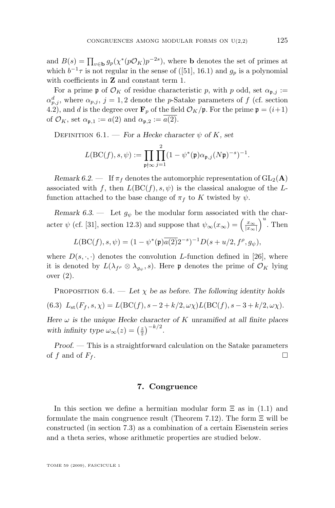<span id="page-45-0"></span>and  $B(s) = \prod_{v \in \mathbf{b}} g_p(\chi^*(p\mathcal{O}_K)p^{-2s})$ , where **b** denotes the set of primes at which  $b^{-1}\tau$  is not regular in the sense of ([\[51\]](#page-85-0), 16.1) and  $g_p$  is a polynomial with coefficients in **Z** and constant term 1.

For a prime p of  $\mathcal{O}_K$  of residue characteristic p, with p odd, set  $\alpha_{\mathfrak{p},j} :=$  $\alpha_{p,j}^d$ , where  $\alpha_{p,j}$ ,  $j=1,2$  denote the *p*-Satake parameters of f (cf. section [4.2\)](#page-29-0), and d is the degree over  $\mathbf{F}_p$  of the field  $\mathcal{O}_K/\mathfrak{p}$ . For the prime  $\mathfrak{p} = (i+1)$ of  $\mathcal{O}_K$ , set  $\alpha_{\mathfrak{p},1} := a(2)$  and  $\alpha_{\mathfrak{p},2} := \overline{a(2)}$ .

DEFINITION  $6.1.$  – *For a Hecke character*  $\psi$  *of* K, set

$$
L(\mathrm{BC}(f),s,\psi) := \prod_{\mathfrak{p} \nmid \infty} \prod_{j=1}^{2} (1 - \psi^*(\mathfrak{p}) \alpha_{\mathfrak{p},j}(N\mathfrak{p})^{-s})^{-1}.
$$

*Remark 6.2.* — If  $\pi_f$  denotes the automorphic representation of  $GL_2(A)$ associated with f, then  $L(BC(f), s, \psi)$  is the classical analogue of the Lfunction attached to the base change of  $\pi_f$  to K twisted by  $\psi$ .

*Remark 6.3.* — Let  $g_{\psi}$  be the modular form associated with the character  $\psi$  (cf. [\[31\]](#page-84-0), section 12.3) and suppose that  $\psi_{\infty}(x_{\infty}) = \left(\frac{x_{\infty}}{|x_{\infty}|}\right)^u$ . Then

$$
L(\text{BC}(f), s, \psi) = (1 - \psi^*(\mathfrak{p}) \overline{a(2)} 2^{-s})^{-1} D(s + u/2, f^{\rho}, g_{\psi}),
$$

where  $D(s, \cdot, \cdot)$  denotes the convolution L-function defined in [\[26\]](#page-84-0), where it is denoted by  $L(\lambda_{f^{\rho}} \otimes \lambda_{g_{\psi}}, s)$ . Here  $\mathfrak p$  denotes the prime of  $\mathcal O_K$  lying over (2).

PROPOSITION  $6.4.$  — Let  $\chi$  be as before. The following identity holds (6.3)  $L_{st}(F_f, s, \chi) = L(BC(f), s - 2 + k/2, \omega \chi) L(BC(f), s - 3 + k/2, \omega \chi).$ 

*Here* ω *is the unique Hecke character of* K *unramified at all finite places* with infinity type  $\omega_{\infty}(z) = \left(\frac{z}{\overline{z}}\right)^{-k/2}$ .

*Proof. —* This is a straightforward calculation on the Satake parameters of f and of  $F_f$ .

### **7. Congruence**

In this section we define a hermitian modular form  $\Xi$  as in [\(1.1\)](#page-3-0) and formulate the main congruence result (Theorem [7.12\)](#page-55-0). The form  $\Xi$  will be constructed (in section [7.3\)](#page-50-0) as a combination of a certain Eisenstein series and a theta series, whose arithmetic properties are studied below.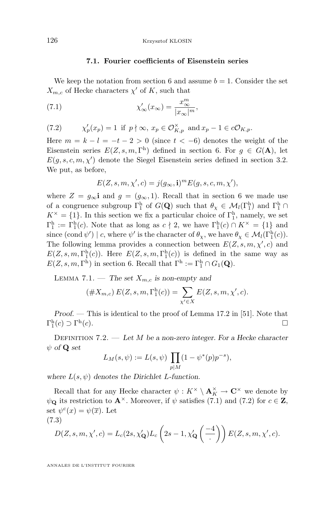### **7.1. Fourier coefficients of Eisenstein series**

<span id="page-46-0"></span>We keep the notation from section [6](#page-43-0) and assume  $b = 1$ . Consider the set  $X_{m,c}$  of Hecke characters  $\chi'$  of K, such that

(7.1) 
$$
\chi'_{\infty}(x_{\infty}) = \frac{x_{\infty}^m}{|x_{\infty}|^m},
$$

(7.2) 
$$
\chi_p'(x_p) = 1 \text{ if } p \nmid \infty, x_p \in \mathcal{O}_{K,p}^{\times} \text{ and } x_p - 1 \in c\mathcal{O}_{K,p}.
$$

Here  $m = k - l = -t - 2 > 0$  (since  $t < -6$ ) denotes the weight of the Eisenstein series  $E(Z, s, m, \Gamma^h)$  defined in section [6.](#page-43-0) For  $g \in G(\mathbf{A})$ , let  $E(g, s, c, m, \chi')$  denote the Siegel Eisenstein series defined in section [3.2.](#page-17-0) We put, as before,

$$
E(Z, s, m, \chi', c) = j(g_{\infty}, \mathbf{i})^m E(g, s, c, m, \chi'),
$$

where  $Z = g_{\infty}$  and  $g = (g_{\infty}, 1)$ . Recall that in section [6](#page-43-0) we made use of a congruence subgroup  $\Gamma_1^h$  of  $G(\mathbf{Q})$  such that  $\theta_\chi \in \mathcal{M}_l(\Gamma_1^h)$  and  $\Gamma_1^h \cap$  $K^{\times} = \{1\}$ . In this section we fix a particular choice of  $\Gamma_1^{\text{h}}$ , namely, we set  $\Gamma_1^{\rm h} := \Gamma_1^{\rm h}(c)$ . Note that as long as  $c \nmid 2$ , we have  $\Gamma_1^{\rm h}(c) \cap K^{\times} = \{1\}$  and since  $(\text{cond }\psi') \mid c$ , where  $\psi'$  is the character of  $\theta_{\chi}$ , we have  $\theta_{\chi} \in \mathcal{M}_l(\Gamma_1^{\text{h}}(c))$ . The following lemma provides a connection between  $E(Z, s, m, \chi', c)$  and  $E(Z, s, m, \Gamma_1^h(c))$ . Here  $E(Z, s, m, \Gamma_1^h(c))$  is defined in the same way as  $E(Z, s, m, \Gamma^{\text{h}})$  in section [6.](#page-43-0) Recall that  $\Gamma^{\text{h}} := \Gamma_1^{\text{h}} \cap G_1(\mathbf{Q})$ .

LEMMA 7.1. — The set  $X_{m,c}$  is non-empty and

$$
(\#X_{m,c}) E(Z, s, m, \Gamma_1^{\text{h}}(c)) = \sum_{\chi' \in X} E(Z, s, m, \chi', c).
$$

*Proof. —* This is identical to the proof of Lemma 17.2 in [\[51\]](#page-85-0). Note that  $\Gamma_1^{\text{h}}(c) \supset \Gamma^{\text{h}}$  $(c).$ 

Definition 7.2. — *Let* M *be a non-zero integer. For a Hecke character* ψ *of* Q *set*

$$
L_M(s, \psi) := L(s, \psi) \prod_{p \mid M} (1 - \psi^*(p)p^{-s}),
$$

*where*  $L(s, \psi)$  *denotes the Dirichlet L-function.* 

Recall that for any Hecke character  $\psi: K^\times \setminus \mathbf{A}_K^\times \to \mathbf{C}^\times$  we denote by  $\psi_{\mathbf{Q}}$  its restriction to  $\mathbf{A}^{\times}$ . Moreover, if  $\psi$  satisfies (7.1) and (7.2) for  $c \in \mathbf{Z}$ , set  $\psi^c(x) = \psi(\overline{x})$ . Let (7.3)

$$
D(Z, s, m, \chi', c) = L_c(2s, \chi'_{\mathbf{Q}}) L_c\left(2s - 1, \chi'_{\mathbf{Q}}\left(\frac{-4}{\cdot}\right)\right) E(Z, s, m, \chi', c).
$$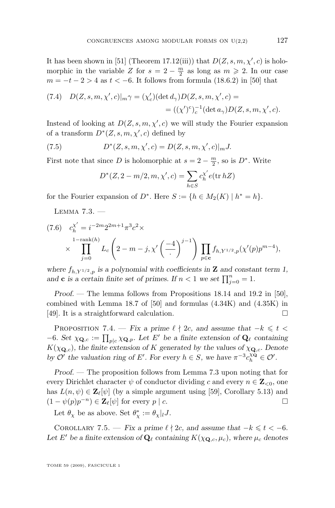<span id="page-47-0"></span>It has been shown in [\[51\]](#page-85-0) (Theorem 17.12(iii)) that  $D(Z, s, m, \chi', c)$  is holomorphic in the variable Z for  $s = 2 - \frac{m}{2}$  as long as  $m \geq 2$ . In our case  $m = -t - 2 > 4$  as  $t < -6$ . It follows from formula (18.6.2) in [\[50\]](#page-85-0) that

(7.4) 
$$
D(Z, s, m, \chi', c)|_{m} \gamma = (\chi'_{c}) (\det d_{\gamma}) D(Z, s, m, \chi', c) =
$$
  
=  $((\chi')^{c})_{c}^{-1} (\det a_{\gamma}) D(Z, s, m, \chi', c).$ 

Instead of looking at  $D(Z, s, m, \chi', c)$  we will study the Fourier expansion of a transform  $D^*(Z, s, m, \chi', c)$  defined by

(7.5) 
$$
D^*(Z, s, m, \chi', c) = D(Z, s, m, \chi', c)|_m J.
$$

First note that since D is holomorphic at  $s = 2 - \frac{m}{2}$ , so is  $D^*$ . Write

$$
D^*(Z, 2 - m/2, m, \chi', c) = \sum_{h \in S} c_h^{\chi'} e(\text{tr } hZ)
$$

for the Fourier expansion of  $D^*$ . Here  $S := \{h \in M_2(K) \mid h^* = h\}.$ 

Lemma 7.3. —

$$
(7.6) \quad c_{h}^{\chi'} = i^{-2m} 2^{2m+1} \pi^{3} c^{2} \times \times \prod_{j=0}^{1-\text{rank}(h)} L_{c} \left(2 - m - j, \chi' \left(\frac{-4}{\cdot}\right)^{j-1}\right) \prod_{p \in \mathbf{c}} f_{h, Y^{1/2}, p}(\chi'(p) p^{m-4}),
$$

where  $f_{h,Y^{1/2},p}$  *is a polynomial with coefficients in* **Z** *and constant term 1, and* **c** *is a certain finite set of primes. If*  $n < 1$  *we set*  $\prod_{j=0}^{n} = 1$ *.* 

*Proof.* — The lemma follows from Propositions 18.14 and 19.2 in [\[50\]](#page-85-0), combined with Lemma 18.7 of [\[50\]](#page-85-0) and formulas (4.34K) and (4.35K) in [\[49\]](#page-85-0). It is a straightforward calculation.

PROPOSITION 7.4. — *Fix a prime*  $\ell \nmid 2c$ , and assume that  $-k \leq t$  $-6$ *. Set*  $χ$ **Q**<sub>*c*</sub> :=  $\prod_{p|c} χ$ **Q**<sub>*t*</sub>*p. Let E'* be a finite extension of **Q**<sub>*l*</sub> containing  $K(\chi_{\mathbf{Q},c})$ , the finite extension of K generated by the values of  $\chi_{\mathbf{Q},c}$ . Denote *by*  $O'$  the valuation ring of E'. For every  $h \in S$ , we have  $\pi^{-3} c_h^{\chi}$   $\in O'$ .

*Proof. —* The proposition follows from Lemma 7.3 upon noting that for every Dirichlet character  $\psi$  of conductor dividing c and every  $n \in \mathbf{Z}_{\leq 0}$ , one has  $L(n, \psi) \in \mathbf{Z}_{\ell}[\psi]$  (by a simple argument using [\[59\]](#page-85-0), Corollary 5.13) and  $(1 - \psi(p)p^{-n}) \in \mathbf{Z}_{\ell}[\psi]$  for every  $p \mid c$ .

Let  $\theta_{\chi}$  be as above. Set  $\theta_{\chi}^* := \theta_{\chi}|_l J$ .

COROLLARY 7.5. — *Fix a prime*  $\ell \nmid 2c$ , and assume that  $-k \leq t < -6$ . Let E' be a finite extension of  $\mathbf{Q}_{\ell}$  containing  $K(\chi_{\mathbf{Q},c}, \mu_c)$ *, where*  $\mu_c$  *denotes*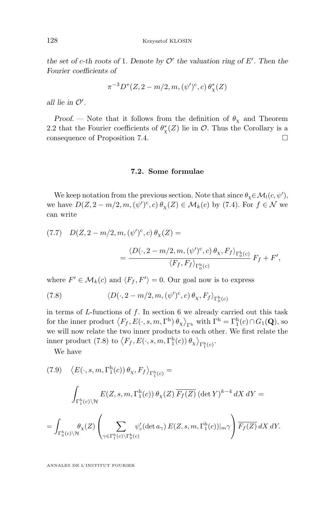<span id="page-48-0"></span>*the set of c-th roots of* 1. Denote by  $\mathcal{O}'$  the valuation ring of E'. Then the *Fourier coefficients of*

$$
\pi^{-3} D^*(Z, 2-m/2, m, (\psi')^c, c) \theta^*_{\chi}(Z)
$$

*all lie in*  $\mathcal{O}'$ .

*Proof.* — Note that it follows from the definition of  $\theta_{\chi}$  and Theorem [2.2](#page-14-0) that the Fourier coefficients of  $\theta^*_{\chi}(Z)$  lie in  $\mathcal{O}$ . Thus the Corollary is a consequence of Proposition [7.4.](#page-47-0)

#### **7.2. Some formulae**

We keep notation from the previous section. Note that since  $\theta_{\chi} \in \mathcal{M}_l(c, \psi'),$ we have  $D(Z, 2-m/2, m, (\psi')^c, c) \theta_\chi(Z) \in M_k(c)$  by [\(7.4\)](#page-47-0). For  $f \in \mathcal{N}$  we can write

(7.7) 
$$
D(Z, 2-m/2, m, (\psi')^c, c) \theta_X(Z) =
$$

$$
= \frac{\langle D(\cdot, 2-m/2, m, (\psi')^c, c) \theta_X, F_f \rangle_{\Gamma_0^h(c)}}{\langle F_f, F_f \rangle_{\Gamma_0^h(c)}} F_f + F',
$$

where  $F' \in \mathcal{M}_k(c)$  and  $\langle F_f, F' \rangle = 0$ . Our goal now is to express

(7.8) 
$$
\langle D(\cdot, 2-m/2, m, (\psi')^c, c) \theta_{\chi}, F_f \rangle_{\Gamma_0^h(c)}
$$

in terms of  $L$ -functions of  $f$ . In section [6](#page-43-0) we already carried out this task for the inner product  $\langle F_f, E(\cdot, s, m, \Gamma^h) \theta_\chi \rangle_{\Gamma^h}$  with  $\Gamma^h = \Gamma^h_1(c) \cap G_1(\mathbf{Q})$ , so we will now relate the two inner products to each other. We first relate the inner product (7.8) to  $\langle F_f, E(\cdot, s, m, \Gamma_1^{\text{h}}(c)) \theta_{\chi} \rangle_{\Gamma_1^{\text{h}}(c)}$ .

We have

(7.9) 
$$
\langle E(\cdot, s, m, \Gamma_1^h(c)) \theta_X, F_f \rangle_{\Gamma_1^h(c)} =
$$
  
\n
$$
\int_{\Gamma_1^h(c) \backslash \mathcal{H}} E(Z, s, m, \Gamma_1^h(c)) \theta_X(Z) \overline{F_f(Z)} (\det Y)^{k-4} dX dY =
$$
\n
$$
= \int_{\Gamma_0^h(c) \backslash \mathcal{H}} \theta_X(Z) \left( \sum_{\gamma \in \Gamma_1^h(c) \backslash \Gamma_0^h(c)} \psi_c' (\det a_\gamma) E(Z, s, m, \Gamma_1^h(c))|_{m} \gamma \right) \overline{F_f(Z)} dX dY.
$$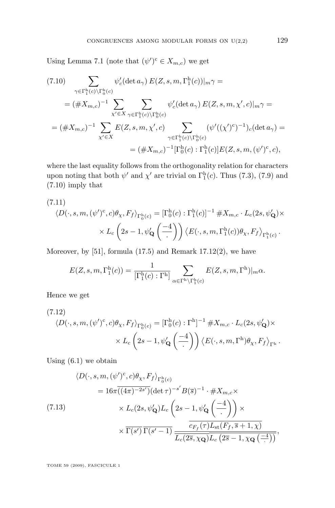Using Lemma [7.1](#page-46-0) (note that  $(\psi')^c \in X_{m,c}$ ) we get

$$
(7.10) \sum_{\gamma \in \Gamma_1^{\text{h}}(c) \backslash \Gamma_0^{\text{h}}(c)} \psi_c'(\det a_\gamma) E(Z, s, m, \Gamma_1^{\text{h}}(c))|_{m} \gamma =
$$
  
\n
$$
= (\# X_{m,c})^{-1} \sum_{\chi' \in X} \sum_{\gamma \in \Gamma_1^{\text{h}}(c) \backslash \Gamma_0^{\text{h}}(c)} \psi_c'(\det a_\gamma) E(Z, s, m, \chi', c)|_{m} \gamma =
$$
  
\n
$$
= (\# X_{m,c})^{-1} \sum_{\chi' \in X} E(Z, s, m, \chi', c) \sum_{\gamma \in \Gamma_1^{\text{h}}(c) \backslash \Gamma_0^{\text{h}}(c)} (\psi'((\chi')^c)^{-1})_c(\det a_\gamma) =
$$
  
\n
$$
= (\# X_{m,c})^{-1} [\Gamma_0^{\text{h}}(c) : \Gamma_1^{\text{h}}(c)] E(Z, s, m, (\psi')^c, c),
$$

where the last equality follows from the orthogonality relation for characters upon noting that both  $\psi'$  and  $\chi'$  are trivial on  $\Gamma_1^{\text{h}}(c)$ . Thus [\(7.3\)](#page-46-0), [\(7.9\)](#page-48-0) and (7.10) imply that

(7.11)  
\n
$$
\langle D(\cdot, s, m, (\psi')^c, c) \theta_\chi, F_f \rangle_{\Gamma_0^h(c)} = [\Gamma_0^h(c) : \Gamma_1^h(c)]^{-1} \# X_{m,c} \cdot L_c(2s, \psi'_\mathbf{Q}) \times
$$
\n
$$
\times L_c\left(2s - 1, \psi'_\mathbf{Q}\left(\frac{-4}{\cdot}\right)\right) \langle E(\cdot, s, m, \Gamma_1^h(c)) \theta_\chi, F_f \rangle_{\Gamma_1^h(c)}.
$$

Moreover, by  $[51]$ , formula  $(17.5)$  and Remark  $17.12(2)$ , we have

$$
E(Z, s, m, \Gamma_1^{\mathsf{h}}(c)) = \frac{1}{[\Gamma_1^{\mathsf{h}}(c) : \Gamma^{\mathsf{h}}]} \sum_{\alpha \in \Gamma^{\mathsf{h}} \backslash \Gamma_1^{\mathsf{h}}(c)} E(Z, s, m, \Gamma^{\mathsf{h}})|_{m} \alpha.
$$

Hence we get

(7.12)  
\n
$$
\langle D(\cdot, s, m, (\psi')^c, c) \theta_{\chi}, F_f \rangle_{\Gamma_0^h(c)} = [\Gamma_0^h(c) : \Gamma^h]^{-1} \# X_{m,c} \cdot L_c(2s, \psi'_{\mathbf{Q}}) \times
$$
\n
$$
\times L_c\left(2s - 1, \psi'_{\mathbf{Q}}\left(\frac{-4}{\cdot}\right)\right) \langle E(\cdot, s, m, \Gamma^h) \theta_{\chi}, F_f \rangle_{\Gamma^h}.
$$

Using  $(6.1)$  we obtain

$$
\langle D(\cdot, s, m, (\psi')^c, c)\theta_{\chi}, F_f \rangle_{\Gamma_0^h(c)}
$$
  
=  $16\pi \overline{((4\pi)^{-2s'})} (\det \tau)^{-s'} B(\overline{s})^{-1} \cdot \#X_{m,c} \times$   
 $\times L_c(2s, \psi'_\mathbf{Q}) L_c \left(2s - 1, \psi'_\mathbf{Q}\left(\frac{-4}{\cdot}\right)\right) \times$   
 $\times \overline{\Gamma(s')} \overline{\Gamma(s'-1)} \frac{\overline{c_{F_f}(\tau)L_{\text{st}}(F_f, \overline{s}+1, \chi)}}{\overline{L_c(2\overline{s}, \chi_\mathbf{Q})} \overline{L_c(2\overline{s}-1, \chi_\mathbf{Q}(\frac{-4}{\cdot}))}},$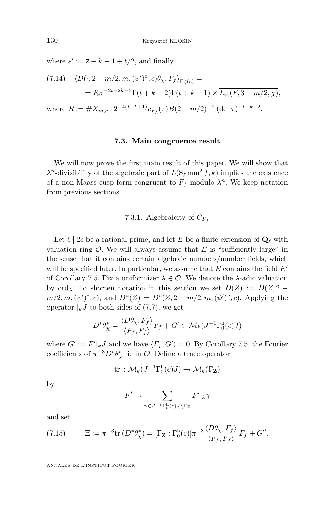<span id="page-50-0"></span>where  $s' := \overline{s} + k - 1 + t/2$ , and finally

(7.14) 
$$
\langle D(\cdot, 2 - m/2, m, (\psi')^c, c) \theta_{\chi}, F_f \rangle_{\Gamma_0^h(c)} =
$$
  
=  $R\pi^{-2t - 2k - 3} \Gamma(t + k + 2) \Gamma(t + k + 1) \times \overline{L_{st}(F, 3 - m/2, \chi)},$   
where  $R := \#X_{m,c} \cdot 2^{-4(t + k + 1)} \overline{c_{F_f}(\tau)} B(2 - m/2)^{-1} (\det \tau)^{-t - k - 2}.$ 

# **7.3. Main congruence result**

We will now prove the first main result of this paper. We will show that  $\lambda^n$ -divisibility of the algebraic part of  $L(\mathrm{Symm}^2 f, k)$  implies the existence of a non-Maass cusp form congruent to  $F_f$  modulo  $\lambda^n$ . We keep notation from previous sections.

## 7.3.1. Algebraicity of  $C_{F<sub>f</sub>}$

Let  $\ell \nmid 2c$  be a rational prime, and let E be a finite extension of  $\mathbf{Q}_{\ell}$  with valuation ring  $\mathcal O$ . We will always assume that E is "sufficiently large" in the sense that it contains certain algebraic numbers/number fields, which will be specified later. In particular, we assume that  $E$  contains the field  $E'$ of Corollary [7.5.](#page-47-0) Fix a uniformizer  $\lambda \in \mathcal{O}$ . We denote the  $\lambda$ -adic valuation by ord<sub> $\lambda$ </sub>. To shorten notation in this section we set  $D(Z) := D(Z, 2$  $m/2, m, (\psi')^c, c$ , and  $D^*(Z) = D^*(Z, 2 - m/2, m, (\psi')^c, c)$ . Applying the operator  $\vert_k J$  to both sides of [\(7.7\)](#page-48-0), we get

$$
D^*\theta^*_{\chi} = \frac{\langle D\theta_{\chi}, F_f \rangle}{\langle F_f, F_f \rangle} F_f + G' \in \mathcal{M}_k(J^{-1}\Gamma_0^h(c)J)
$$

where  $G' := F'|_{k}J$  and we have  $\langle F_f, G' \rangle = 0$ . By Corollary [7.5,](#page-47-0) the Fourier coefficients of  $\pi^{-3}D^*\theta^*_\chi$  lie in  $\mathcal{O}$ . Define a trace operator

$$
\mathrm{tr}\,:\mathcal{M}_k(J^{-1}\Gamma_0^{\mathrm{h}}(c)J)\to\mathcal{M}_k(\Gamma_\mathbf{Z})
$$

by

$$
F' \mapsto \sum_{\gamma \in J^{-1}\Gamma^{\mathrm{h}}_0(c)J \setminus \Gamma_{\mathbf{Z}}} F'|_{k} \gamma
$$

and set

(7.15) 
$$
\Xi := \pi^{-3} \text{tr} \left( D^* \theta_\chi^* \right) = \left[ \Gamma_\mathbf{Z} : \Gamma_0^{\text{h}}(c) \right] \pi^{-3} \frac{\langle D \theta_\chi, F_f \rangle}{\langle F_f, F_f \rangle} F_f + G'',
$$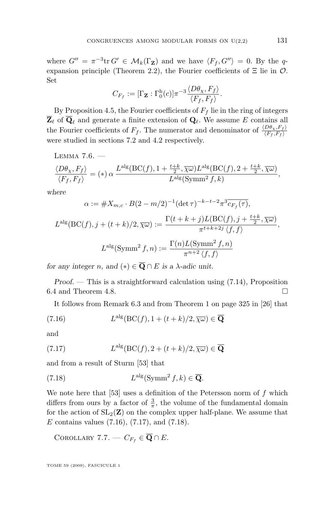<span id="page-51-0"></span>where  $G'' = \pi^{-3} \text{tr } G' \in \mathcal{M}_k(\Gamma_{\mathbf{Z}})$  and we have  $\langle F_f, G'' \rangle = 0$ . By the q-expansion principle (Theorem [2.2\)](#page-14-0), the Fourier coefficients of  $\Xi$  lie in  $\mathcal{O}$ . Set

$$
C_{F_f} := [\Gamma_{\mathbf{Z}} : \Gamma_0^{\mathrm{h}}(c)] \pi^{-3} \frac{\langle D\theta_{\chi}, F_f \rangle}{\langle F_f, F_f \rangle}.
$$

By Proposition [4.5,](#page-29-0) the Fourier coefficients of  $F_f$  lie in the ring of integers  $\overline{\mathbf{Z}}_{\ell}$  of  $\overline{\mathbf{Q}}_{\ell}$  and generate a finite extension of  $\mathbf{Q}_{\ell}$ . We assume E contains all the Fourier coefficients of  $F_f$ . The numerator and denominator of  $\frac{\langle D\theta_X, F_f \rangle}{\langle F_f, F_f \rangle}$ were studied in sections [7.2](#page-48-0) and [4.2](#page-29-0) respectively.

LEMMA  $7.6.$   $-$ 

$$
\frac{\langle D\theta_{\chi}, F_f \rangle}{\langle F_f, F_f \rangle} = (*) \alpha \frac{L^{\text{alg}}(\text{BC}(f), 1 + \frac{t+k}{2}, \overline{\chi}\omega) L^{\text{alg}}(\text{BC}(f), 2 + \frac{t+k}{2}, \overline{\chi}\omega)}{L^{\text{alg}}(\text{Symm}^2 f, k)},
$$

*where*

$$
\alpha := \#X_{m,c} \cdot B(2-m/2)^{-1} (\det \tau)^{-k-t-2} \pi^3 \overline{c_{F_f}(\tau)},
$$
  

$$
L^{\text{alg}}(\text{BC}(f), j + (t+k)/2, \overline{\chi \omega}) := \frac{\Gamma(t+k+j)L(\text{BC}(f), j + \frac{t+k}{2}, \overline{\chi \omega})}{\pi^{t+k+2j} \langle f, f \rangle},
$$
  

$$
L^{\text{alg}}(\text{Symm}^2 f, n) := \frac{\Gamma(n)L(\text{Symm}^2 f, n)}{\pi^{n+2} \langle f, f \rangle}
$$

*for any integer n, and*  $(*) \in \overline{Q} \cap E$  *is a*  $\lambda$ *-adic unit.* 

*Proof. —* This is a straightforward calculation using [\(7.14\)](#page-50-0), Proposition [6.4](#page-45-0) and Theorem [4.8.](#page-31-0)

It follows from Remark [6.3](#page-45-0) and from Theorem 1 on page 325 in [\[26\]](#page-84-0) that

(7.16) 
$$
L^{\text{alg}}(\text{BC}(f), 1 + (t+k)/2, \overline{\chi\omega}) \in \overline{\mathbf{Q}}
$$

$$
and
$$

(7.17) 
$$
L^{\text{alg}}(\text{BC}(f), 2 + (t+k)/2, \overline{\chi\omega}) \in \overline{\mathbf{Q}}
$$

and from a result of Sturm [\[53\]](#page-85-0) that

(7.18) 
$$
L^{\text{alg}}(\text{Symm}^2 f, k) \in \overline{\mathbf{Q}}.
$$

We note here that [\[53\]](#page-85-0) uses a definition of the Petersson norm of  $f$  which differs from ours by a factor of  $\frac{3}{\pi}$ , the volume of the fundamental domain for the action of  $SL_2(\mathbf{Z})$  on the complex upper half-plane. We assume that E contains values  $(7.16)$ ,  $(7.17)$ , and  $(7.18)$ .

COROLLARY 7.7. —  $C_{F_f} \in \overline{\mathbf{Q}} \cap E$ .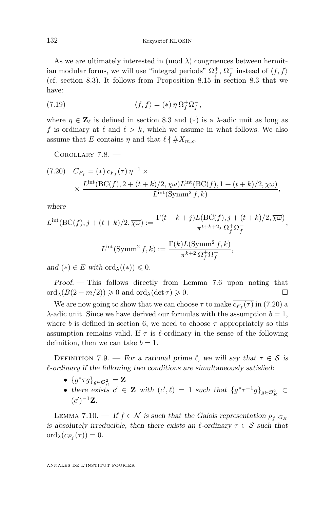<span id="page-52-0"></span>As we are ultimately interested in  $\pmod{\lambda}$  congruences between hermitian modular forms, we will use "integral periods"  $\Omega_f^+$ ,  $\Omega_f^-$  instead of  $\langle f, f \rangle$ (cf. section [8.3\)](#page-65-0). It follows from Proposition [8.15](#page-66-0) in section [8.3](#page-65-0) that we have:

(7.19) 
$$
\langle f, f \rangle = (*) \eta \Omega_f^+ \Omega_f^-,
$$

where  $\eta \in \overline{\mathbf{Z}}_{\ell}$  is defined in section [8.3](#page-65-0) and (\*) is a  $\lambda$ -adic unit as long as f is ordinary at  $\ell$  and  $\ell > k$ , which we assume in what follows. We also assume that E contains  $\eta$  and that  $\ell \nmid \#X_{m,c}$ .

Corollary 7.8. —

$$
(7.20) \quad C_{F_f} = (*) \overline{c_{F_f}(\tau)} \eta^{-1} \times \times \frac{L^{\text{int}}(\text{BC}(f), 2 + (t+k)/2, \overline{\chi \omega}) L^{\text{int}}(\text{BC}(f), 1 + (t+k)/2, \overline{\chi \omega})}{L^{\text{int}}(\text{Symm}^2 f, k)},
$$

*where*

$$
L^{\text{int}}(\text{BC}(f), j + (t + k)/2, \overline{\chi \omega}) := \frac{\Gamma(t + k + j)L(\text{BC}(f), j + (t + k)/2, \overline{\chi \omega})}{\pi^{t + k + 2j} \Omega_f^+ \Omega_f^-},
$$
  

$$
L^{\text{int}}(\text{Symm}^2 f, k) := \frac{\Gamma(k)L(\text{Symm}^2 f, k)}{\pi^{k + 2} \Omega_f^+ \Omega_f^-},
$$

*and*  $(*) \in E$  *with* ord<sub> $\lambda$ </sub> $((*)) \leq 0$ *.* 

*Proof. —* This follows directly from Lemma [7.6](#page-51-0) upon noting that  $\text{ord}_{\lambda}(B(2-m/2)) \geq 0 \text{ and } \text{ord}_{\lambda}(\det \tau) \geq 0.$ 

We are now going to show that we can choose  $\tau$  to make  $c_{F_f}(\tau)$  in (7.20) a  $\lambda$ -adic unit. Since we have derived our formulas with the assumption  $b = 1$ , where b is defined in section [6,](#page-43-0) we need to choose  $\tau$  appropriately so this assumption remains valid. If  $\tau$  is  $\ell$ -ordinary in the sense of the following definition, then we can take  $b = 1$ .

DEFINITION 7.9. — For a rational prime  $\ell$ , we will say that  $\tau \in \mathcal{S}$  is `*-ordinary if the following two conditions are simultaneously satisfied:*

- $\{g^*\tau g\}_{g\in\mathcal{O}_K^2}=\mathbf{Z}$
- there exists  $c' \in \mathbf{Z}$  with  $(c', \ell) = 1$  such that  ${g^* \tau^{-1} g}_{g \in \mathcal{O}_K^2} \subset$  $(c')^{-1}Z.$

LEMMA 7.10. — If  $f \in \mathcal{N}$  is such that the Galois representation  $\overline{\rho}_f|_{G_K}$ *is absolutely irreducible, then there exists an*  $\ell$ *-ordinary*  $\tau \in \mathcal{S}$  *such that*  $\mathrm{ord}_{\lambda}(c_{F_f}(\tau))=0.$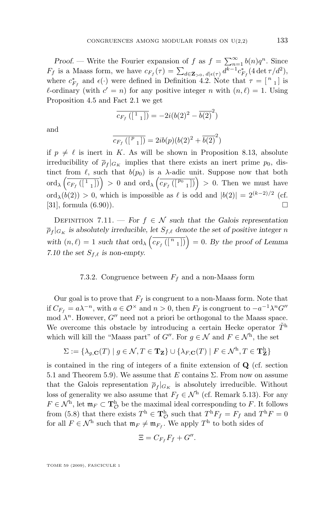*Proof.* — Write the Fourier expansion of f as  $f = \sum_{n=1}^{\infty} b(n)q^n$ . Since  $F_f$  is a Maass form, we have  $c_{F_f}(\tau) = \sum_{d \in \mathbf{Z}_{>0}, d \mid \epsilon(\tau)} d^{k-1} c^*_{F_f} (4 \det \tau/d^2),$ where  $c_{F_f}^*$  and  $\epsilon(\cdot)$  were defined in Definition [4.2.](#page-28-0) Note that  $\tau = \begin{bmatrix} n & 1 \end{bmatrix}$  is  $\ell$ -ordinary (with  $c' = n$ ) for any positive integer n with  $(n, \ell) = 1$ . Using Proposition [4.5](#page-29-0) and Fact [2.1](#page-12-0) we get

$$
\overline{c_{F_f}([1 \ 1])} = -2i(b(2)^2 - \overline{b(2)}^2)
$$

and

$$
\overline{c_{F_f}([{}^{p}1])} = 2ib(p)(b(2)^{2} + \overline{b(2)}^{2})
$$

if  $p \neq \ell$  is inert in K. As will be shown in Proposition [8.13,](#page-65-0) absolute irreducibility of  $\overline{\rho}_f|_{G_K}$  implies that there exists an inert prime  $p_0$ , distinct from  $\ell$ , such that  $b(p_0)$  is a  $\lambda$ -adic unit. Suppose now that both ord<sub> $\lambda\left(\overline{c_{F_{f}}([1_{1}])}\right) > 0$  and ord $\lambda\left(\overline{c_{F_{f}}([P_{0}1])}\right) > 0$ . Then we must have</sub> ord<sub> $\lambda$ </sub> $(b(2)) > 0$ , which is impossible as  $\ell$  is odd and  $|b(2)| = 2^{(k-2)/2}$  (cf. [\[31\]](#page-84-0), formula  $(6.90)$ .

DEFINITION 7.11. — *For*  $f \in \mathcal{N}$  *such that the Galois representation*  $\overline{\rho}_f|_{G_K}$  is absolutely irreducible, let  $S_{f,\ell}$  denote the set of positive integer n with  $(n, \ell) = 1$  *such that* ord<sub> $\lambda$ </sub>  $\left(\overline{c_{F_f}([n_1])}\right) = 0$ *. By the proof of Lemma* [7.10](#page-52-0) the set  $S_{f,\ell}$  is non-empty.

#### 7.3.2. Congruence between  $F_f$  and a non-Maass form

Our goal is to prove that  $F_f$  is congruent to a non-Maass form. Note that if  $C_{F_f} = a\lambda^{-n}$ , with  $a \in \mathcal{O}^\times$  and  $n > 0$ , then  $F_f$  is congruent to  $-a^{-1}\lambda^n G''$ mod  $\lambda^n$ . However, G'' need not a priori be orthogonal to the Maass space. We overcome this obstacle by introducing a certain Hecke operator  $\tilde{T}^{\text{h}}$ which will kill the "Maass part" of  $G''$ . For  $g \in \mathcal{N}$  and  $F \in \mathcal{N}^{\text{h}}$ , the set

$$
\Sigma:=\{\lambda_{g,\mathbf{C}}(T)\mid g\in\mathcal{N}, T\in \mathbf{T_Z}\}\cup\{\lambda_{F,\mathbf{C}}(T)\mid F\in\mathcal{N}^\mathrm{h}, T\in \mathbf{T}_\mathbf{Z}^\mathrm{h}\}
$$

is contained in the ring of integers of a finite extension of Q (cf. section [5.1](#page-34-0) and Theorem [5.9\)](#page-39-0). We assume that E contains  $\Sigma$ . From now on assume that the Galois representation  $\bar{p}_f|_{G_K}$  is absolutely irreducible. Without loss of generality we also assume that  $F_f \in \mathcal{N}^{\text{h}}$  (cf. Remark [5.13\)](#page-40-0). For any  $F \in \mathcal{N}^{\text{h}}$ , let  $\mathfrak{m}_F \subset \mathbf{T}^{\text{h}}_{\mathcal{O}}$  be the maximal ideal corresponding to F. It follows from [\(5.8\)](#page-39-0) that there exists  $T^{\text{h}} \in \mathbf{T}_{\mathcal{O}}^{\text{h}}$  such that  $T^{\text{h}} F_f = F_f$  and  $T^{\text{h}} F = 0$ for all  $F \in \mathcal{N}^{\text{h}}$  such that  $\mathfrak{m}_F \neq \mathfrak{m}_{F_f}$ . We apply  $T^{\text{h}}$  to both sides of

$$
\Xi = C_{F_f} F_f + G''.
$$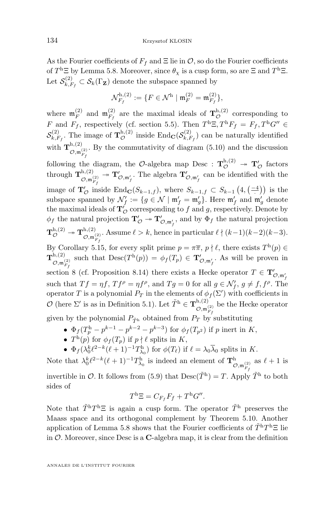As the Fourier coefficients of  $F_f$  and  $\Xi$  lie in  $\mathcal{O}$ , so do the Fourier coefficients of  $T^{\text{h}}\Xi$  by Lemma [5.8.](#page-39-0) Moreover, since  $\theta_{\chi}$  is a cusp form, so are  $\Xi$  and  $T^{\text{h}}\Xi$ . Let  $\mathcal{S}_{k, F}^{(2)}$  $\mathcal{E}_{k,F_f}^{(2)} \subset \mathcal{S}_k(\Gamma_\mathbf{Z})$  denote the subspace spanned by

$$
\mathcal{N}_{F_f}^{\mathrm{h},(2)} := \{ F \in \mathcal{N}^{\mathrm{h}} \mid \mathfrak{m}_F^{(2)} = \mathfrak{m}_{F_f}^{(2)} \},
$$

where  $\mathfrak{m}_F^{(2)}$  $\mathfrak{m}_F^{(2)}$  and  $\mathfrak{m}_{F_f}^{(2)}$  $\mathcal{F}_f^{(2)}$  are the maximal ideals of  $\mathbf{T}^{h,(2)}_{\mathcal{O}}$  corresponding to F and  $F_f$ , respectively (cf. section [5.5\)](#page-40-0). Then  $T^{\text{h}}\Xi, T^{\text{h}}F_f = F_f, T^{\text{h}}G'' \in$  $\mathcal{S}_{k, F}^{(2)}$  $\mathcal{L}_{k,F_f}^{(2)}$ . The image of  $\mathbf{T}_{\mathcal{O}}^{h,(2)}$  inside  $\text{End}_{\mathbf{C}}(\mathcal{S}_{k,F}^{(2)})$  $(k, F_f)$  can be naturally identified with  $\mathbf{T}_{\infty}^{\mathrm{h},(2)}$  $\mathcal{O},\mathfrak{m}_{F_f}^{(2)}$ . By the commutativity of diagram [\(5.10\)](#page-41-0) and the discussion following the diagram, the O-algebra map Desc :  $\mathbf{T}_{\mathcal{O}}^{h,(2)} \rightarrow \mathbf{T}_{\mathcal{O}}'$  factors through  $\mathbf{T}_{\infty}^{\mathrm{h},(2)}$  $\mathcal{O},\mathfrak{m}_{F_f}^{(2)}$  $\mathbf{T}'_{\mathcal{O},\mathfrak{m}_f'}.$  The algebra  $\mathbf{T}'_{\mathcal{O},\mathfrak{m}_f'}$  can be identified with the image of  $\mathbf{T}'_{\mathcal{O}}$  inside  $\text{End}_{\mathbf{C}}(S_{k-1,f})$ , where  $S_{k-1,f} \subset S_{k-1}\left(4, \left(\frac{-4}{\cdot}\right)\right)$  is the subspace spanned by  $\mathcal{N}'_f := \{g \in \mathcal{N} \mid \mathfrak{m}'_f = \mathfrak{m}'_g\}$ . Here  $\mathfrak{m}'_f$  and  $\mathfrak{m}'_g$  denote the maximal ideals of  $\mathbf{T}_{\mathcal{O}}'$  corresponding to f and g, respectively. Denote by  $\phi_f$  the natural projection  $\mathbf{T}'_{\mathcal{O}} \twoheadrightarrow \mathbf{T}'_{\mathcal{O},\mathfrak{m}'_f}$ , and by  $\Phi_f$  the natural projection  ${\bf T}^{\rm h,(2)}_{\cal O}\twoheadrightarrow {\bf T}^{\rm h,(2)}_{{\cal O}\ {\mathfrak m}^0}$  $\mathcal{O},\mathfrak{m}_{F_f}^{(2)}$ . Assume  $\ell > k$ , hence in particular  $\ell \nmid (k-1)(k-2)(k-3)$ . By Corollary [5.15,](#page-42-0) for every split prime  $p = \pi \overline{\pi}, p \nmid \ell$ , there exists  $T^{\text{h}}(p) \in$  ${\bf T}^{\rm h,(2)}_{\rho\ldots\rho}$  $\mathcal{O},\mathfrak{m}_{F_f}^{(2)}$ such that  $\text{Desc}(T^{\text{h}}(p)) = \phi_f(T_p) \in \mathbf{T}'_{\mathcal{O},\mathfrak{m}'_f}$ . As will be proven in section [8](#page-58-0) (cf. Proposition [8.14\)](#page-65-0) there exists a Hecke operator  $T \in \mathbf{T}'_{\mathcal{O}, \mathfrak{m}'}$ such that  $Tf = \eta f$ ,  $Tf^{\rho} = \eta f^{\rho}$ , and  $Tg = 0$  for all  $g \in \mathcal{N}'_f$ ,  $g \neq f$ ,  $f^{\rho}$ . The operator T is a polynomial  $P_T$  in the elements of  $\phi_f(\Sigma')$  with coefficients in O (here  $\Sigma'$  is as in Definition [5.1\)](#page-34-0). Let  $\tilde{T}^{\text{h}} \in \mathbf{T}_{\infty}^{\text{h},(2)}$  $\mathcal{O},\mathfrak{m}_{F_f}^{(2)}$ be the Hecke operator given by the polynomial  $P_{\tilde{T}^{\text{h}}}$  obtained from  $P_T$  by substituting

- $\Phi_f(T_p^h p^{k-1} p^{k-2} p^{k-3})$  for  $\phi_f(T_{p^2})$  if p inert in K,
- $T^{\text{h}}(p)$  for  $\phi_f(T_p)$  if  $p \nmid \ell$  splits in K,
- $\Phi_f(\lambda_0^k \ell^{2-k}(\ell+1)^{-1}T_{\lambda_0}^{\text{h}})$  for  $\phi(T_\ell)$  if  $\ell = \lambda_0 \overline{\lambda}_0$  splits in K.

Note that  $\lambda_0^k \ell^{2-k} (\ell+1)^{-1} T_{\lambda_0}^{\text{h}}$  is indeed an element of  $\mathbf{T}^{\text{h}}_{\mathcal{O},\mathfrak{m}_{F_f}^{(2)}}$ as  $\ell + 1$  is invertible in O. It follows from [\(5.9\)](#page-40-0) that  $\text{Desc}(\tilde{T}^h) = T$ . Apply  $\tilde{T}^h$  to both sides of

$$
T^{\mathrm{h}}\Xi = C_{F_f}F_f + T^{\mathrm{h}}G''.
$$

Note that  $\tilde{T}^h T^h \Xi$  is again a cusp form. The operator  $\tilde{T}^h$  preserves the Maass space and its orthogonal complement by Theorem [5.10.](#page-39-0) Another application of Lemma [5.8](#page-39-0) shows that the Fourier coefficients of  $\tilde{T}^{\text{h}}T^{\text{h}}\Xi$  lie in  $\mathcal O$ . Moreover, since Desc is a C-algebra map, it is clear from the definition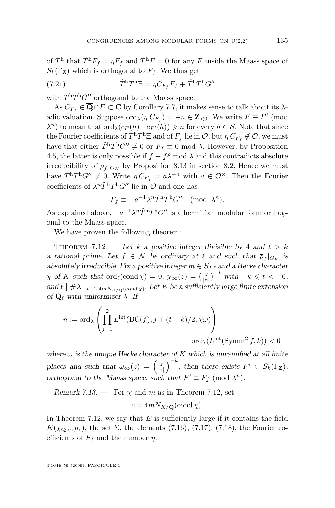<span id="page-55-0"></span>of  $\tilde{T}^{\text{h}}$  that  $\tilde{T}^{\text{h}}F_f = \eta F_f$  and  $\tilde{T}^{\text{h}}F = 0$  for any F inside the Maass space of  $\mathcal{S}_k(\Gamma_Z)$  which is orthogonal to  $F_f$ . We thus get

(7.21) 
$$
\tilde{T}^{\mathrm{h}}T^{\mathrm{h}}\Xi = \eta C_{F_f}F_f + \tilde{T}^{\mathrm{h}}T^{\mathrm{h}}G''
$$

with  $\tilde{T}^{\text{h}}T^{\text{h}}G''$  orthogonal to the Maass space.

As  $C_{F_f} \in \overline{\mathbf{Q}} \cap E \subset \mathbf{C}$  by Corollary [7.7,](#page-51-0) it makes sense to talk about its  $\lambda$ adic valuation. Suppose  $\text{ord}_{\lambda}(\eta C_{F_f}) = -n \in \mathbb{Z}_{< 0}$ . We write  $F \equiv F' \pmod{0}$  $\lambda^n$ ) to mean that  $\text{ord}_{\lambda}(c_F(h)-c_{F'}(h))\geqslant n$  for every  $h\in\mathcal{S}$ . Note that since the Fourier coefficients of  $\tilde{T}^hT^h \Xi$  and of  $F_f$  lie in  $\mathcal{O}$ , but  $\eta C_{F_f} \not\in \mathcal{O}$ , we must have that either  $\tilde{T}^{\text{h}}T^{\text{h}}G'' \neq 0$  or  $F_f \equiv 0 \text{ mod } \lambda$ . However, by Proposition [4.5,](#page-29-0) the latter is only possible if  $f \equiv f^{\rho} \mod \lambda$  and this contradicts absolute irreducibility of  $\overline{\rho}_f|_{G_K}$  by Proposition [8.13](#page-65-0) in section [8.2.](#page-60-0) Hence we must have  $\tilde{T}^h T^h G'' \neq 0$ . Write  $\eta C_{F_f} = a \lambda^{-n}$  with  $a \in \mathcal{O}^{\times}$ . Then the Fourier coefficients of  $\lambda^n \tilde{T}^h T^h G''$  lie in  $\mathcal O$  and one has

$$
F_f \equiv -a^{-1} \lambda^n \tilde{T}^{\mathrm{h}} T^{\mathrm{h}} G^{\prime\prime} \pmod{\lambda^n}.
$$

As explained above,  $-a^{-1}\lambda^n \tilde{T}^h T^h G''$  is a hermitian modular form orthogonal to the Maass space.

We have proven the following theorem:

THEOREM 7.12. — Let k a positive integer divisible by 4 and  $\ell > k$ *a* rational prime. Let  $f \in \mathcal{N}$  be ordinary at  $\ell$  and such that  $\overline{\rho}_f|_{G_K}$  is *absolutely irreducible. Fix a positive integer*  $m \in S_{f,\ell}$  *and a Hecke character*  $\chi$  *of* K such that  $\text{ord}_{\ell}(\text{cond } \chi) = 0$ ,  $\chi_{\infty}(z) = \left(\frac{z}{|z|}\right)^{-t}$  with  $-k \leq t < -6$ , and  $\ell \nmid #X_{-t-2,4mN_{K/\mathbf{Q}}(\text{cond }\chi)}$ . Let E be a sufficiently large finite extension *of*  $\mathbf{Q}_{\ell}$  *with uniformizer*  $\lambda$ *. If* 

$$
- n := \text{ord}_{\lambda} \left( \prod_{j=1}^{2} L^{\text{int}}(\text{BC}(f), j + (t+k)/2, \overline{\chi \omega}) \right) - \text{ord}_{\lambda}(L^{\text{int}}(\text{Symm}^{2} f, k)) < 0
$$

*where*  $\omega$  *is the unique Hecke character of* K *which is unramified at all finite places and such that*  $\omega_{\infty}(z) = \left(\frac{z}{|z|}\right)^{-k}$ , then there exists  $F' \in \mathcal{S}_k(\Gamma_{\mathbf{Z}})$ , *orthogonal to the Maass space, such that*  $F' \equiv F_f \pmod{\lambda^n}$ *.* 

*Remark 7.13.* — For  $\chi$  and  $m$  as in Theorem 7.12, set

$$
c = 4mN_{K/\mathbf{Q}}(\text{cond }\chi).
$$

In Theorem 7.12, we say that  $E$  is sufficiently large if it contains the field  $K(\chi_{\mathbf{Q},c},\mu_c)$ , the set  $\Sigma$ , the elements [\(7.16\)](#page-51-0), [\(7.17\)](#page-51-0), [\(7.18\)](#page-51-0), the Fourier coefficients of  $F_f$  and the number  $\eta$ .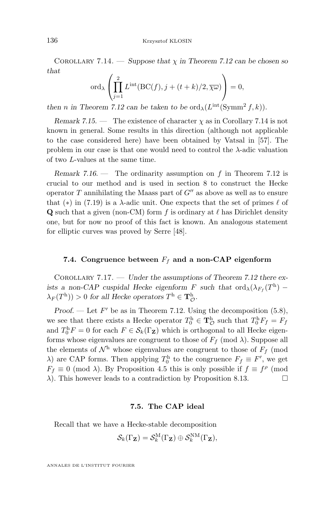<span id="page-56-0"></span>COROLLARY 7.14. — *Suppose that*  $\chi$  *in Theorem [7.12](#page-55-0) can be chosen so that*

$$
\operatorname{ord}_{\lambda}\left(\prod_{j=1}^{2} L^{\operatorname{int}}(\mathrm{BC}(f), j + (t+k)/2, \overline{\chi\omega})\right) = 0,
$$

*then n* in Theorem [7.12](#page-55-0) can be taken to be  $\text{ord}_{\lambda}(L^{\text{int}}(\text{Symm}^2 f, k)).$ 

*Remark 7.15.* — The existence of character  $\chi$  as in Corollary 7.14 is not known in general. Some results in this direction (although not applicable to the case considered here) have been obtained by Vatsal in [\[57\]](#page-85-0). The problem in our case is that one would need to control the  $\lambda$ -adic valuation of two L-values at the same time.

*Remark 7.16.* — The ordinarity assumption on f in Theorem [7.12](#page-55-0) is crucial to our method and is used in section [8](#page-58-0) to construct the Hecke operator  $T$  annihilating the Maass part of  $G''$  as above as well as to ensure that (\*) in [\(7.19\)](#page-52-0) is a  $\lambda$ -adic unit. One expects that the set of primes  $\ell$  of **Q** such that a given (non-CM) form f is ordinary at  $\ell$  has Dirichlet density one, but for now no proof of this fact is known. An analogous statement for elliptic curves was proved by Serre [\[48\]](#page-85-0).

### **7.4.** Congruence between  $F_f$  and a non-CAP eigenform

Corollary 7.17. — *Under the assumptions of Theorem [7.12](#page-55-0) there exists a non-CAP cuspidal Hecke eigenform* F *such that*  $\text{ord}_{\lambda}(\lambda_{F_f}(T^h) \lambda_F(T^{\text{h}})) > 0$  for all Hecke operators  $T^{\text{h}} \in \mathbf{T}^{\text{h}}_{\mathcal{O}}$ .

*Proof.* — Let  $F'$  be as in Theorem [7.12.](#page-55-0) Using the decomposition  $(5.8)$ , we see that there exists a Hecke operator  $T_0^{\text{h}} \in \mathbf{T}_{\mathcal{O}}^{\text{h}}$  such that  $T_0^{\text{h}} F_f = F_f$ and  $T_0^{\text{h}}F = 0$  for each  $F \in \mathcal{S}_k(\Gamma_\mathbf{Z})$  which is orthogonal to all Hecke eigenforms whose eigenvalues are congruent to those of  $F_f \pmod{\lambda}$ . Suppose all the elements of  $\mathcal{N}^{\text{h}}$  whose eigenvalues are congruent to those of  $F_f$  (mod  $\lambda$ ) are CAP forms. Then applying  $T_0^h$  to the congruence  $F_f \equiv F'$ , we get  $F_f \equiv 0 \pmod{\lambda}$ . By Proposition [4.5](#page-29-0) this is only possible if  $f \equiv f^{\rho} \pmod{\lambda}$  $\lambda$ ). This however leads to a contradiction by Proposition [8.13.](#page-65-0)

### **7.5. The CAP ideal**

Recall that we have a Hecke-stable decomposition

$$
\mathcal{S}_k(\Gamma_\mathbf{Z}) = \mathcal{S}_k^{\mathrm{M}}(\Gamma_\mathbf{Z}) \oplus \mathcal{S}_k^{\mathrm{NM}}(\Gamma_\mathbf{Z}),
$$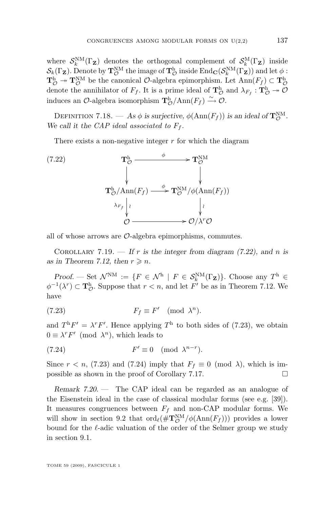<span id="page-57-0"></span>where  $\mathcal{S}_k^{\text{NM}}(\Gamma_\mathbf{Z})$  denotes the orthogonal complement of  $\mathcal{S}_k^{\text{M}}(\Gamma_\mathbf{Z})$  inside  $\mathcal{S}_k(\Gamma_\mathbf{Z})$ . Denote by  $\mathbf{T}_{\mathcal{O}}^{\text{NM}}$  the image of  $\mathbf{T}_{\mathcal{O}}^{\text{h}}$  inside  $\text{End}_{\mathbf{C}}(\mathcal{S}_k^{\text{NM}}(\Gamma_\mathbf{Z}))$  and let  $\phi$ :  $\mathbf{T}_{\mathcal{O}}^{\text{h}} \twoheadrightarrow \mathbf{T}_{\mathcal{O}}^{\text{NM}}$  be the canonical  $\mathcal{O}\text{-algebra epimorphism.}$  Let  $\text{Ann}(F_f) \subset \mathbf{T}_{\mathcal{O}}^{\text{h}}$ denote the annihilator of  $F_f$ . It is a prime ideal of  $\mathbf{T}^h_{\mathcal{O}}$  and  $\lambda_{F_f}: \mathbf{T}^h_{\mathcal{O}} \twoheadrightarrow \mathcal{O}$ induces an  $\mathcal{O}$ -algebra isomorphism  $\mathbf{T}^{h}_{\mathcal{O}}/Ann(F_f) \xrightarrow{\sim} \mathcal{O}$ .

DEFINITION 7.18. — As  $\phi$  is surjective,  $\phi(\text{Ann}(F_f))$  is an ideal of  $\mathbf{T}_{\mathcal{O}}^{\text{NM}}$ . We call it the *CAP* ideal associated to  $F_f$ .

There exists a non-negative integer  $r$  for which the diagram

(7.22) 
$$
\mathbf{T}_{\mathcal{O}}^{\mathbf{h}} \xrightarrow{\phi} \mathbf{T}_{\mathcal{O}}^{\mathbf{NM}}
$$
\n
$$
\downarrow \qquad \qquad \downarrow
$$
\n
$$
\mathbf{T}_{\mathcal{O}}^{\mathbf{h}}/\text{Ann}(F_f) \xrightarrow{\phi} \mathbf{T}_{\mathcal{O}}^{\mathbf{NM}}/\phi(\text{Ann}(F_f))
$$
\n
$$
\lambda_{F_f} \downarrow \qquad \qquad \downarrow \qquad \qquad \downarrow
$$
\n
$$
\phi \xrightarrow{\lambda_{F_f} \downarrow \qquad \qquad \downarrow \qquad \downarrow}
$$
\n
$$
\phi \xrightarrow{\lambda_{F} \mathcal{O}} \mathcal{O}/\lambda^r \mathcal{O}
$$

all of whose arrows are  $\mathcal{O}$ -algebra epimorphisms, commutes.

COROLLARY 7.19. — If r is the integer from diagram  $(7.22)$ , and n is *as in Theorem [7.12,](#page-55-0) then*  $r \geq n$ *.* 

*Proof.* — Set  $\mathcal{N}^{\text{NM}} := \{ F \in \mathcal{N}^{\text{h}} \mid F \in \mathcal{S}_k^{\text{NM}}(\Gamma_{\mathbf{Z}}) \}.$  Choose any  $T^{\text{h}} \in$  $\phi^{-1}(\lambda^r) \subset \mathbf{T}_{\mathcal{O}}^{\mathbf{h}}$ . Suppose that  $r < n$ , and let  $F'$  be as in Theorem [7.12.](#page-55-0) We have

(7.23) 
$$
F_f \equiv F' \pmod{\lambda^n}.
$$

and  $T^{\text{h}}F' = \lambda^r F'$ . Hence applying  $T^{\text{h}}$  to both sides of (7.23), we obtain  $0 \equiv \lambda^r F' \pmod{\lambda^n}$ , which leads to

(7.24) 
$$
F' \equiv 0 \pmod{\lambda^{n-r}}.
$$

Since  $r < n$ , (7.23) and (7.24) imply that  $F_f \equiv 0 \pmod{\lambda}$ , which is impossible as shown in the proof of Corollary [7.17.](#page-56-0)

*Remark 7.20. —* The CAP ideal can be regarded as an analogue of the Eisenstein ideal in the case of classical modular forms (see e.g. [\[39\]](#page-85-0)). It measures congruences between  $F_f$  and non-CAP modular forms. We will show in section [9.2](#page-67-0) that  $\text{ord}_{\ell}(\#\mathbf{T}_{\mathcal{O}}^{\text{NM}}/\phi(\text{Ann}(F_f)))$  provides a lower bound for the  $\ell$ -adic valuation of the order of the Selmer group we study in section [9.1.](#page-66-0)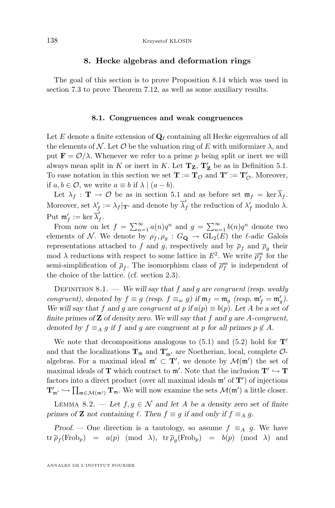### **8. Hecke algebras and deformation rings**

<span id="page-58-0"></span>The goal of this section is to prove Proposition [8.14](#page-65-0) which was used in section [7.3](#page-50-0) to prove Theorem [7.12,](#page-55-0) as well as some auxiliary results.

#### **8.1. Congruences and weak congruences**

Let E denote a finite extension of  $\mathbf{Q}_\ell$  containing all Hecke eigenvalues of all the elements of N. Let O be the valuation ring of E with uniformizer  $\lambda$ , and put  $\mathbf{F} = \mathcal{O}/\lambda$ . Whenever we refer to a prime p being split or inert we will always mean split in K or inert in K. Let  $T_Z$ ,  $T'_Z$  be as in Definition [5.1.](#page-34-0) To ease notation in this section we set  $\mathbf{T} := \mathbf{T}_{\mathcal{O}}$  and  $\mathbf{T}' := \mathbf{T}'_{\mathcal{O}}$ . Moreover, if  $a, b \in \mathcal{O}$ , we write  $a \equiv b$  if  $\lambda \mid (a - b)$ .

Let  $\lambda_f : \mathbf{T} \to \mathcal{O}$  be as in section [5.1](#page-34-0) and as before set  $\mathfrak{m}_f = \ker \overline{\lambda}_f$ . Moreover, set  $\lambda'_f := \lambda_f |_{\mathbf{T}'}$  and denote by  $\overline{\lambda}'_j$ f the reduction of  $\lambda_f$  modulo  $\lambda$ . Put  $\mathfrak{m}'_f := \ker \vec{\lambda}'_j$ .<br>f•

From now on let  $f = \sum_{n=1}^{\infty} a(n)q^n$  and  $g = \sum_{n=1}^{\infty} b(n)q^n$  denote two elements of N. We denote by  $\rho_f, \rho_g : G_{\mathbf{Q}} \to GL_2(E)$  the  $\ell$ -adic Galois representations attached to f and g, respectively and by  $\overline{\rho}_f$  and  $\overline{\rho}_g$  their mod  $\lambda$  reductions with respect to some lattice in  $E^2$ . We write  $\bar{\rho}_f^{\rm ss}$  for the semi-simplification of  $\bar{\rho}_f$ . The isomorphism class of  $\bar{\rho}_f^{\text{ss}}$  is independent of the choice of the lattice. (cf. section [2.3\)](#page-11-0).

Definition 8.1. — *We will say that* f *and* g *are congruent (resp. weakly congruent*), denoted by  $f \equiv g$  (resp.  $f \equiv_w g$ ) if  $\mathfrak{m}_f = \mathfrak{m}_g$  (resp.  $\mathfrak{m}'_f = \mathfrak{m}'_g$ ). *We will say that* f and g are *congruent at* p if  $a(p) \equiv b(p)$ *. Let* A be a set of *finite primes of* Z *of density zero. We will say that* f *and* g *are* A*-congruent, denoted by*  $f \equiv_A g$  *if* f and g are congruent at p for all primes  $p \notin A$ .

We note that decompositions analogous to  $(5.1)$  and  $(5.2)$  hold for  $T'$ and that the localizations  $\mathbf{T}_{\mathfrak{m}}$  and  $\mathbf{T}'_{\mathfrak{m}'}$  are Noetherian, local, complete  $\mathcal{O}\text{-}$ algebras. For a maximal ideal  $\mathfrak{m}' \subset \mathbf{T}'$ , we denote by  $\mathcal{M}(\mathfrak{m}')$  the set of maximal ideals of **T** which contract to  $\mathfrak{m}'$ . Note that the inclusion  $\mathbf{T}' \hookrightarrow \mathbf{T}$ factors into a direct product (over all maximal ideals  $\mathfrak{m}'$  of  $T'$ ) of injections  $T'_{m'} \hookrightarrow \prod_{\mathfrak{m} \in \mathcal{M}(m')} T_{\mathfrak{m}}$ . We will now examine the sets  $\mathcal{M}(m')$  a little closer.

LEMMA 8.2. — Let  $f, g \in \mathcal{N}$  and let A be a density zero set of finite *primes of* **Z** *not containing*  $\ell$ *. Then*  $f \equiv g$  *if and only if*  $f \equiv_A g$ *.* 

*Proof.* — One direction is a tautology, so assume  $f \equiv_A g$ . We have  $\begin{array}{rclclcl} \mathrm{tr}\, \overline{\rho}_f(\mathrm{Frob}_p) & = & a(p) \pmod{\lambda}, \ \ \mathrm{tr}\, \overline{\rho}_g(\mathrm{Frob}_p) & = & b(p) \pmod{\lambda} \ \ \mathrm{and} \end{array}$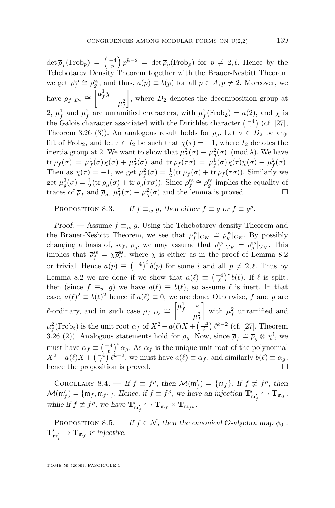<span id="page-59-0"></span> $\det \overline{\rho}_f(\text{Frob}_p) = \left(\frac{-4}{p}\right)p^{k-2} = \det \overline{\rho}_g(\text{Frob}_p)$  for  $p \neq 2, \ell$ . Hence by the Tchebotarev Density Theorem together with the Brauer-Nesbitt Theorem we get  $\bar{\rho}_f^{\text{ss}} \cong \bar{\rho}_g^{\text{ss}}$ , and thus,  $a(p) \equiv b(p)$  for all  $p \in A, p \neq 2$ . Moreover, we have  $\rho_f|_{D_2} \cong \left[\mu_f^1 \chi\right]$  $\mu_f^2$ , where  $D_2$  denotes the decomposition group at 2,  $\mu_f^1$  and  $\mu_f^2$  are unramified characters, with  $\mu_f^2(\text{Frob}_2) = a(2)$ , and  $\chi$  is the Galois character associated with the Dirichlet character  $\left( \frac{-4}{\cdot} \right)$  (cf. [\[27\]](#page-84-0), Theorem 3.26 (3)). An analogous result holds for  $\rho_g$ . Let  $\sigma \in D_2$  be any lift of Frob<sub>2</sub>, and let  $\tau \in I_2$  be such that  $\chi(\tau) = -1$ , where  $I_2$  denotes the inertia group at 2. We want to show that  $\mu_f^2(\sigma) \equiv \mu_g^2(\sigma) \pmod{\lambda}$ . We have tr  $\rho_f(\sigma) = \mu_f^1(\sigma) \chi(\sigma) + \mu_f^2(\sigma)$  and tr  $\rho_f(\tau \sigma) = \mu_f^1(\sigma) \chi(\tau) \chi(\sigma) + \mu_f^2(\sigma)$ . Then as  $\chi(\tau) = -1$ , we get  $\mu_f^2(\sigma) = \frac{1}{2}(\text{tr } \rho_f(\sigma) + \text{tr } \rho_f(\tau \sigma))$ . Similarly we get  $\mu_g^2(\sigma) = \frac{1}{2}(\text{tr } \rho_g(\sigma) + \text{tr } \rho_g(\tau \sigma))$ . Since  $\overline{\rho}_f^{\text{ss}} \cong \overline{\rho}_g^{\text{ss}}$  implies the equality of traces of  $\overline{\rho}_f$  and  $\overline{\rho}_g$ ,  $\mu_f^2(\sigma) \equiv \mu_g^2(\sigma)$  and the lemma is proved.

PROPOSITION 8.3. — If  $f \equiv_w g$ , then either  $f \equiv g$  or  $f \equiv g^{\rho}$ .

*Proof.* — Assume  $f \equiv_w g$ . Using the Tchebotarev density Theorem and the Brauer-Nesbitt Theorem, we see that  $\bar{\rho}_f^{\text{ss}}|_{G_K} \cong \bar{\rho}_g^{\text{ss}}|_{G_K}$ . By possibly changing a basis of, say,  $\overline{\rho}_g$ , we may assume that  $\overline{\rho}_f^{\text{ss}}|_{G_K} = \overline{\rho}_g^{\text{ss}}|_{G_K}$ . This implies that  $\bar{\rho}_f^{\rm ss} = \chi \bar{\rho}_g^{\rm ss}$ , where  $\chi$  is either as in the proof of Lemma [8.2](#page-58-0) or trivial. Hence  $a(p) \equiv \left(\frac{-4}{p}\right)^i b(p)$  for some i and all  $p \neq 2, \ell$ . Thus by Lemma [8.2](#page-58-0) we are done if we show that  $a(\ell) \equiv \left(\frac{-4}{\ell}\right)^i b(\ell)$ . If  $\ell$  is split, then (since  $f \equiv_w g$ ) we have  $a(\ell) \equiv b(\ell)$ , so assume  $\ell$  is inert. In that case,  $a(\ell)^2 \equiv b(\ell)^2$  hence if  $a(\ell) \equiv 0$ , we are done. Otherwise, f and g are  $\ell$ -ordinary, and in such case  $\rho_f|_{D_\ell} \cong \begin{bmatrix} \mu_f^1 & * \\ & \mu_i^2 & \cdots \end{bmatrix}$  $\mu_f^2$ with  $\mu_f^2$  unramified and  $\mu_f^2(\text{Frob}_\ell)$  is the unit root  $\alpha_f$  of  $X^2 - a(\ell)X + \left(\frac{-4}{\ell}\right)\ell^{k-2}$  (cf. [\[27\]](#page-84-0), Theorem 3.26 (2)). Analogous statements hold for  $\rho_g$ . Now, since  $\overline{\rho}_f \cong \overline{\rho}_g \otimes \chi^i$ , we must have  $\alpha_f \equiv \left(\frac{-4}{\ell}\right)^i \alpha_g$ . As  $\alpha_f$  is the unique unit root of the polynomial  $X^2 - a(\ell)X + \left(\frac{-4}{\ell}\right)\ell^{k-2}$ , we must have  $a(\ell) \equiv \alpha_f$ , and similarly  $b(\ell) \equiv \alpha_g$ , hence the proposition is proved.  $\square$ 

COROLLARY 8.4. — If  $f \equiv f^{\rho}$ , then  $\mathcal{M}(\mathfrak{m}'_f) = {\mathfrak{m}_f}$ . If  $f \not\equiv f^{\rho}$ , then  $\mathcal{M}(\mathfrak{m}'_f) = \{\mathfrak{m}_f, \mathfrak{m}_{f^{\rho}}\}$ . Hence, if  $f \equiv f^{\rho}$ , we have an injection  $\mathbf{T}'_{\mathfrak{m}'_f} \hookrightarrow \mathbf{T}_{\mathfrak{m}_f}$ , while if  $f \not\equiv f^{\rho}$ , we have  $\mathbf{T}'_{\mathfrak{m}'_f} \hookrightarrow \mathbf{T}_{\mathfrak{m}_f} \times \mathbf{T}_{\mathfrak{m}_{f^{\rho}}}$ .

PROPOSITION 8.5. — *If*  $f \in \mathcal{N}$ *, then the canonical*  $\mathcal{O}$ -algebra map  $\phi_0$ :  $\mathbf{T}'_{\mathfrak{m}'_f} \to \mathbf{T}_{\mathfrak{m}_f}$  is injective.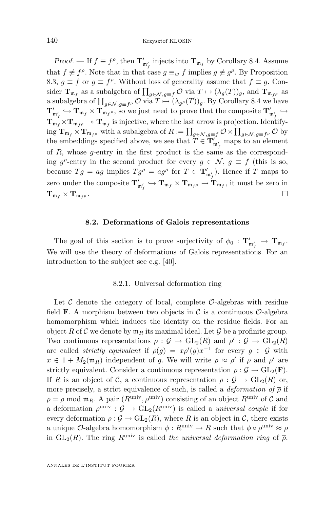<span id="page-60-0"></span>*Proof.* — If  $f \equiv f^{\rho}$ , then  $\mathbf{T}'_{\mathfrak{m}'_f}$  injects into  $\mathbf{T}_{\mathfrak{m}_f}$  by Corollary [8.4.](#page-59-0) Assume that  $f \not\equiv f^{\rho}$ . Note that in that case  $g \equiv_w f$  implies  $g \not\equiv g^{\rho}$ . By Proposition [8.3,](#page-59-0)  $g \equiv f$  or  $g \equiv f^{\rho}$ . Without loss of generality assume that  $f \equiv g$ . Consider  $\mathbf{T}_{\mathfrak{m}_f}$  as a subalgebra of  $\prod_{g \in \mathcal{N}, g \equiv f} \mathcal{O}$  via  $T \mapsto (\lambda_g(T))_g$ , and  $\mathbf{T}_{\mathfrak{m}_{f^{\rho}}}$  as a subalgebra of  $\prod_{g \in \mathcal{N}, g \equiv f^\rho} \mathcal{O}$  via  $T \mapsto (\lambda_{g^\rho}(T))_g.$  By Corollary [8.4](#page-59-0) we have  $T'_{m'_f} \hookrightarrow T_{m_f} \times T_{m_f}$ , so we just need to prove that the composite  $T'_{m'_f} \hookrightarrow$  $\mathbf{T}_{\mathfrak{m}_f}^{\mathfrak{m}_f} \times \mathbf{T}_{\mathfrak{m}_{f}} \to \mathbf{T}_{\mathfrak{m}_f}^{\mathfrak{m}_f}$  is injective, where the last arrow is projection. Identify- $\lim_{f \to 0} \mathbf{T}_{\mathfrak{m}_f} \times \mathbf{T}_{\mathfrak{m}_{f^\rho}}$  with a subalgebra of  $R := \prod_{g \in \mathcal{N}, g \equiv f} \mathcal{O} \times \prod_{g \in \mathcal{N}, g \equiv f^\rho} \mathcal{O}$  by the embeddings specified above, we see that  $T \in \mathbf{T}'_{\mathfrak{m}'_f}$  maps to an element of R, whose g-entry in the first product is the same as the corresponding  $g^{\rho}$ -entry in the second product for every  $g \in \mathcal{N}$ ,  $g \equiv f$  (this is so, because  $Tg = ag$  implies  $Tg^{\rho} = ag^{\rho}$  for  $T \in \mathbf{T}'_{\mathfrak{m}'_{f}}$ . Hence if T maps to zero under the composite  $\mathbf{T}'_{\mathfrak{m}'_f} \hookrightarrow \mathbf{T}_{\mathfrak{m}_f} \times \mathbf{T}_{\mathfrak{m}_{f\rho}} \to \mathbf{T}_{\mathfrak{m}_f}$ , it must be zero in  $\mathbf{T}_{\mathfrak{m}_{f}} \times \mathbf{T}_{\mathfrak{m}_{f}\rho}$ .

### **8.2. Deformations of Galois representations**

The goal of this section is to prove surjectivity of  $\phi_0$  :  $\mathbf{T}'_{m'_f} \to \mathbf{T}_{m_f}$ . We will use the theory of deformations of Galois representations. For an introduction to the subject see e.g. [\[40\]](#page-85-0).

### 8.2.1. Universal deformation ring

Let  $\mathcal C$  denote the category of local, complete  $\mathcal O$ -algebras with residue field **F**. A morphism between two objects in C is a continuous  $\mathcal{O}$ -algebra homomorphism which induces the identity on the residue fields. For an object R of C we denote by  $\mathfrak{m}_R$  its maximal ideal. Let G be a profinite group. Two continuous representations  $\rho : \mathcal{G} \to GL_2(R)$  and  $\rho' : \mathcal{G} \to GL_2(R)$ are called *strictly equivalent* if  $\rho(g) = x \rho'(g) x^{-1}$  for every  $g \in \mathcal{G}$  with  $x \in 1 + M_2(\mathfrak{m}_R)$  independent of g. We will write  $\rho \approx \rho'$  if  $\rho$  and  $\rho'$  are strictly equivalent. Consider a continuous representation  $\bar{\rho}: \mathcal{G} \to GL_2(\mathbf{F}).$ If R is an object of C, a continuous representation  $\rho: \mathcal{G} \to GL_2(R)$  or, more precisely, a strict equivalence of such, is called a *deformation of*  $\bar{\rho}$  if  $\bar{\rho} = \rho$  mod  $\mathfrak{m}_R$ . A pair  $(R^{\text{univ}}, \rho^{\text{univ}})$  consisting of an object  $R^{\text{univ}}$  of  $\mathcal C$  and a deformation  $\rho^{\text{univ}}$  :  $\mathcal{G} \to \text{GL}_2(R^{\text{univ}})$  is called a *universal couple* if for every deformation  $\rho : \mathcal{G} \to GL_2(R)$ , where R is an object in C, there exists a unique  $\mathcal{O}$ -algebra homomorphism  $\phi: R^{\text{univ}} \to R$  such that  $\phi \circ \rho^{\text{univ}} \approx \rho$ in  $GL_2(R)$ . The ring  $R^{\text{univ}}$  is called *the universal deformation ring* of  $\bar{\rho}$ .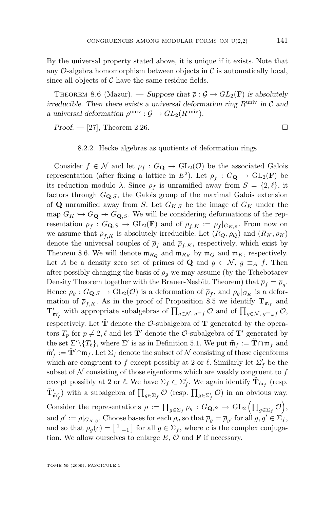By the universal property stated above, it is unique if it exists. Note that any  $\mathcal{O}$ -algebra homomorphism between objects in  $\mathcal{C}$  is automatically local, since all objects of  $\mathcal C$  have the same residue fields.

THEOREM 8.6 (Mazur). — *Suppose that*  $\bar{\rho}: \mathcal{G} \to GL_2(\mathbf{F})$  *is absolutely irreducible. Then there exists a universal deformation ring*  $R^{\text{univ}}$  *in*  $\mathcal{C}$  *and a* universal deformation  $\rho^{\text{univ}}$  :  $\mathcal{G} \to GL_2(R^{\text{univ}})$ .

*Proof.* − [\[27\]](#page-84-0), Theorem 2.26.

#### 8.2.2. Hecke algebras as quotients of deformation rings

Consider  $f \in \mathcal{N}$  and let  $\rho_f : G_{\mathbf{Q}} \to GL_2(\mathcal{O})$  be the associated Galois representation (after fixing a lattice in  $E^2$ ). Let  $\overline{\rho}_f : G_{\mathbf{Q}} \to GL_2(\mathbf{F})$  be its reduction modulo  $\lambda$ . Since  $\rho_f$  is unramified away from  $S = \{2, \ell\}$ , it factors through  $G_{\mathbf{Q},S}$ , the Galois group of the maximal Galois extension of **Q** unramified away from S. Let  $G_{K,S}$  be the image of  $G_K$  under the map  $G_K \hookrightarrow G_{\mathbf{Q}} \twoheadrightarrow G_{\mathbf{Q},S}$ . We will be considering deformations of the representation  $\overline{\rho}_f: G_{\mathbf{Q},S} \to GL_2(\mathbf{F})$  and of  $\overline{\rho}_{f,K} := \overline{\rho}_f|_{G_{K,S}}$ . From now on we assume that  $\overline{\rho}_{f,K}$  is absolutely irreducible. Let  $(R_Q, \rho_Q)$  and  $(R_K, \rho_K)$ denote the universal couples of  $\bar{\rho}_f$  and  $\bar{\rho}_{f,K}$ , respectively, which exist by Theorem 8.6. We will denote  $\mathfrak{m}_{R_Q}$  and  $\mathfrak{m}_{R_K}$  by  $\mathfrak{m}_Q$  and  $\mathfrak{m}_K$ , respectively. Let A be a density zero set of primes of Q and  $g \in \mathcal{N}$ ,  $g \equiv_A f$ . Then after possibly changing the basis of  $\rho<sub>g</sub>$  we may assume (by the Tchebotarev Density Theorem together with the Brauer-Nesbitt Theorem) that  $\overline{\rho}_f = \overline{\rho}_g$ . Hence  $\rho_g: G_{\mathbf{Q},S} \to GL_2(\mathcal{O})$  is a deformation of  $\overline{\rho}_f$ , and  $\rho_g|_{G_K}$  is a deformation of  $\overline{\rho}_{f,K}$ . As in the proof of Proposition [8.5](#page-59-0) we identify  $\mathbf{T}_{\mathfrak{m}_f}$  and  $\mathbf{T}'_{\mathfrak{m}'_f}$  with appropriate subalgebras of  $\prod_{g \in \mathcal{N}, g \equiv f} \mathcal{O}$  and of  $\prod_{g \in \mathcal{N}, g \equiv_w f} \mathcal{O}$ , respectively. Let  $\tilde{T}$  denote the  $\mathcal{O}$ -subalgebra of  $T$  generated by the operators  $T_p$  for  $p \neq 2, \ell$  and let  $\tilde{\mathbf{T}}'$  denote the *O*-subalgebra of  $\mathbf{T}'$  generated by the set  $\Sigma'\setminus\{T_{\ell}\},$  where  $\Sigma'$  is as in Definition [5.1.](#page-34-0) We put  $\tilde{\mathfrak{m}}_f := \tilde{\mathbf{T}} \cap \mathfrak{m}_f$  and  $\tilde{\mathfrak{m}}_f' := \tilde{\mathbf{T}}' \cap \mathfrak{m}_f$ . Let  $\Sigma_f$  denote the subset of  $\mathcal N$  consisting of those eigenforms which are congruent to f except possibly at 2 or  $\ell$ . Similarly let  $\Sigma_f'$  be the subset of  $N$  consisting of those eigenforms which are weakly congruent to  $f$ except possibly at 2 or  $\ell$ . We have  $\Sigma_f \subset \Sigma_f'$ . We again identify  $\tilde{\mathbf{T}}_{\tilde{\mathfrak{m}}_f}$  (resp.  $\tilde{\mathbf{T}}'_{\tilde{\mathfrak{m}}'_f}$ ) with a subalgebra of  $\prod_{g \in \Sigma_f} \mathcal{O}$  (resp.  $\prod_{g \in \Sigma'_f} \mathcal{O}$ ) in an obvious way. Consider the representations  $\rho := \prod_{g \in \Sigma_f} \rho_g : G_{\mathbf{Q},S} \to GL_2(\prod_{g \in \Sigma_f} \mathcal{O}),$ and  $\rho' := \rho|_{G_{K,S}}$ . Choose bases for each  $\rho_g$  so that  $\overline{\rho}_g = \overline{\rho}_{g'}$  for all  $g, g' \in \Sigma_f$ , and so that  $\rho_g(c) = \begin{bmatrix} 1 & 1 \end{bmatrix}$  for all  $g \in \Sigma_f$ , where c is the complex conjugation. We allow ourselves to enlarge  $E, \mathcal{O}$  and **F** if necessary.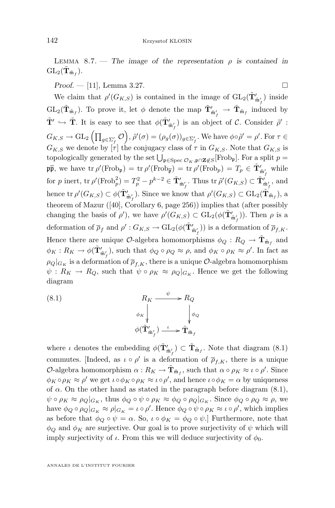LEMMA 8.7. — The image of the representation  $\rho$  is contained in  $\mathrm{GL}_2(\tilde{\mathbf{T}}_{\tilde{\mathfrak{m}}_f}).$ 

*Proof.* — [\[11\]](#page-83-0), Lemma 3.27. □

We claim that  $\rho'(G_{K,S})$  is contained in the image of  $\mathrm{GL}_2(\tilde{\mathbf{T}}'_{\tilde{\mathfrak{m}}'_f})$  inside  $GL_2(\tilde{\mathbf{T}}_{\tilde{\mathfrak{m}}_f})$ . To prove it, let  $\phi$  denote the map  $\tilde{\mathbf{T}}'_{\tilde{\mathfrak{m}}'_f} \to \tilde{\mathbf{T}}_{\tilde{\mathfrak{m}}_f}$  induced by  $\tilde{\mathbf{T}}' \hookrightarrow \tilde{\mathbf{T}}$ . It is easy to see that  $\phi(\tilde{\mathbf{T}}'_{\tilde{\mathfrak{m}}'_{f}})$  is an object of C. Consider  $\tilde{\rho}'$ :  $G_{K,S}\to \mathrm{GL}_2\left(\prod_{g\in \Sigma_f'}\mathcal{O}\right)$ ,  $\tilde{\rho}'(\sigma)=(\rho_g(\sigma))_{g\in \Sigma_f'}$ . We have  $\phi\circ\tilde{\rho}'=\rho'.$  For  $\tau\in$  $G_{K,S}$  we denote by  $[\tau]$  the conjugacy class of  $\tau$  in  $G_{K,S}$ . Note that  $G_{K,S}$  is topologically generated by the set  $\bigcup_{\mathfrak{p} \in \text{Spec } \mathcal{O}_K, \mathfrak{p} \cap \mathbf{Z} \not\in S}[\text{Frob}_\mathfrak{p}]$ . For a split  $p =$  $\mathfrak{p}\bar{\mathfrak{p}},$  we have  $\text{tr }\rho'(\text{Frob}_{\mathfrak{p}}) = \text{tr }\rho'(\text{Frob}_{\overline{\mathfrak{p}}}) = \text{tr }\rho'(\text{Frob}_{p}) = T_p \in \tilde{\mathbf{T}}'_{\tilde{\mathfrak{m}}'_f}$  while for p inert,  $\text{tr } \rho'(\text{Frob}_p^2) = T_p^2 - p^{k-2} \in \tilde{\mathbf{T}}'_{\tilde{\mathfrak{m}}'_f}$ . Thus  $\text{tr } \tilde{\rho}'(G_{K,S}) \subset \tilde{\mathbf{T}}'_{\tilde{\mathfrak{m}}'_f}$ , and hence tr  $\rho'(G_{K,S}) \subset \phi(\tilde{\mathbf{T}}'_{\tilde{\mathfrak{m}}'_{f}})$ . Since we know that  $\rho'(G_{K,S}) \subset GL_2(\tilde{\mathbf{T}}_{\tilde{\mathfrak{m}}_{f}})$ , a theorem of Mazur ([\[40\]](#page-85-0), Corollary 6, page 256)) implies that (after possibly changing the basis of  $\rho'$ ), we have  $\rho'(G_{K,S}) \subset GL_2(\phi(\tilde{\mathbf{T}}'_{\tilde{\mathfrak{m}}'_{f}}))$ . Then  $\rho$  is a deformation of  $\overline{\rho}_f$  and  $\rho': G_{K,S} \to GL_2(\phi(\tilde{\mathbf{T}}'_{\tilde{\mathfrak{m}}'_f}))$  is a deformation of  $\overline{\rho}_{f,K}$ . Hence there are unique  $\mathcal{O}$ -algebra homomorphisms  $\phi_Q: R_Q \to \tilde{\mathbf{T}}_{\tilde{\mathfrak{m}}_f}$  and  $\phi_K: R_K \to \phi(\tilde{\mathbf{T}}'_{\tilde{\mathfrak{m}}'_f}),$  such that  $\phi_Q \circ \rho_Q \approx \rho$ , and  $\phi_K \circ \rho_K \approx \rho'.$  In fact as  $\rho_Q|_{G_K}$  is a deformation of  $\overline{\rho}_{f,K}$ , there is a unique  $\mathcal{O}$ -algebra homomorphism  $\psi: R_K \to R_Q$ , such that  $\psi \circ \rho_K \approx \rho_Q|_{G_K}$ . Hence we get the following diagram

(8.1) 
$$
R_K \xrightarrow{\psi} R_Q
$$

$$
\phi_K \downarrow^{\phi_Q} \downarrow^{\phi_Q}
$$

$$
\phi(\tilde{\mathbf{T}}'_{\tilde{\mathfrak{m}}'_f}) \xrightarrow{\iota} \tilde{\mathbf{T}}_{\tilde{\mathfrak{m}}_f}
$$

where  $\iota$  denotes the embedding  $\phi(\tilde{\mathbf{T}}'_{\tilde{\mathfrak{m}}'_f}) \subset \tilde{\mathbf{T}}_{\tilde{\mathfrak{m}}_f}$ . Note that diagram (8.1) commutes. [Indeed, as  $\iota \circ \rho'$  is a deformation of  $\overline{\rho}_{f,K}$ , there is a unique O-algebra homomorphism  $\alpha: R_K \to \tilde{\mathbf{T}}_{\tilde{\mathfrak{m}}_f}$ , such that  $\alpha \circ \rho_K \approx \iota \circ \rho'.$  Since  $\phi_K \circ \rho_K \approx \rho'$  we get  $\iota \circ \phi_K \circ \rho_K \approx \iota \circ \rho'$ , and hence  $\iota \circ \phi_K = \alpha$  by uniqueness of  $\alpha$ . On the other hand as stated in the paragraph before diagram  $(8.1)$ ,  $\psi \circ \rho_K \approx \rho_Q|_{G_K}$ , thus  $\phi_Q \circ \psi \circ \rho_K \approx \phi_Q \circ \rho_Q|_{G_K}$ . Since  $\phi_Q \circ \rho_Q \approx \rho$ , we have  $\phi_Q \circ \rho_Q|_{G_K} \approx \rho|_{G_K} = \iota \circ \rho'$ . Hence  $\phi_Q \circ \psi \circ \rho_K \approx \iota \circ \rho'$ , which implies as before that  $\phi_Q \circ \psi = \alpha$ . So,  $\iota \circ \phi_K = \phi_Q \circ \psi$ . Furthermore, note that  $\phi_Q$  and  $\phi_K$  are surjective. Our goal is to prove surjectivity of  $\psi$  which will imply surjectivity of  $\iota$ . From this we will deduce surjectivity of  $\phi_0$ .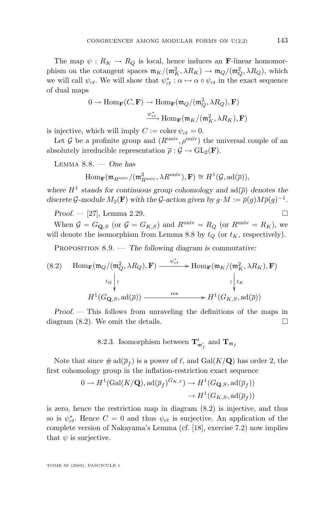<span id="page-63-0"></span>The map  $\psi: R_K \to R_Q$  is local, hence induces an **F**-linear homomorphism on the cotangent spaces  $\mathfrak{m}_K/(\mathfrak{m}_K^2, \lambda R_K) \to \mathfrak{m}_Q/(\mathfrak{m}_Q^2, \lambda R_Q)$ , which we will call  $\psi_{ct}$ . We will show that  $\psi_{ct}^* : \alpha \mapsto \alpha \circ \psi_{ct}$  in the exact sequence of dual maps

$$
0 \to \text{Hom}_{\mathbf{F}}(C, \mathbf{F}) \to \text{Hom}_{\mathbf{F}}(\mathfrak{m}_Q/(\mathfrak{m}_Q^2, \lambda R_Q), \mathbf{F})
$$

$$
\xrightarrow{\psi_{ct}^*} \text{Hom}_{\mathbf{F}}(\mathfrak{m}_K/(\mathfrak{m}_K^2, \lambda R_K), \mathbf{F})
$$

is injective, which will imply  $C := \text{coker } \psi_{ct} = 0$ .

Let G be a profinite group and  $(R^{\text{univ}}, \rho^{\text{univ}})$  the universal couple of an absolutely irreducible representation  $\bar{\rho}: \mathcal{G} \to GL_2(\mathbf{F}).$ 

Lemma 8.8. — *One has*

$$
\mathrm{Hom}_{\mathbf{F}}(\mathfrak{m}_{R^{\text{univ}}}/(\mathfrak{m}_{R^{\text{univ}}}^2, \lambda R^{\text{univ}}), \mathbf{F}) \cong H^1(\mathcal{G}, \mathrm{ad}(\overline{\rho})),
$$

where  $H^1$  stands for continuous group cohomology and  $ad(\overline{\rho})$  denotes the discrete G-module  $M_2(\mathbf{F})$  with the G-action given by  $g \cdot M := \overline{\rho}(g) M \overline{\rho}(g)^{-1}$ .

*Proof.* — [\[27\]](#page-84-0), Lemma 2.29. □

When  $G = G_{\mathbf{Q},S}$  (or  $G = G_{K,S}$ ) and  $R^{\text{univ}} = R_Q$  (or  $R^{\text{univ}} = R_K$ ), we will denote the isomorphism from Lemma 8.8 by  $t_Q$  (or  $t_K$ , respectively).

PROPOSITION 8.9. — *The following diagram is commutative:* 

(8.2) 
$$
\operatorname{Hom}_{\mathbf{F}}(\mathfrak{m}_{Q}/(\mathfrak{m}_{Q}^{2}, \lambda R_{Q}), \mathbf{F}) \xrightarrow{\psi_{ct}^{*}} \operatorname{Hom}_{\mathbf{F}}(\mathfrak{m}_{K}/(\mathfrak{m}_{K}^{2}, \lambda R_{K}), \mathbf{F})
$$

$$
t_{Q} \downarrow \iint_{\mathcal{H}} t_{G_{\mathbf{Q},S}}, \operatorname{ad}(\overline{\rho})) \xrightarrow{\operatorname{res}} H^{1}(G_{K,S}, \operatorname{ad}(\overline{\rho}))
$$

*Proof. —* This follows from unraveling the definitions of the maps in diagram  $(8.2)$ . We omit the details.

8.2.3. Isomorphism between  $\mathbf{T}'_{\mathfrak{m}'_f}$  and  $\mathbf{T}_{\mathfrak{m}_f}$ 

Note that since  $\#\operatorname{ad}(\overline{\rho}_f)$  is a power of  $\ell$ , and  $\operatorname{Gal}(K/\mathbf{Q})$  has order 2, the first cohomology group in the inflation-restriction exact sequence

$$
0 \to H^1(\text{Gal}(K/\mathbf{Q}), \text{ad}(\overline{\rho}_f)^{G_{K,S}}) \to H^1(G_{\mathbf{Q},S}, \text{ad}(\overline{\rho}_f))
$$

$$
\to H^1(G_{K,S}, \text{ad}(\overline{\rho}_f))
$$

is zero, hence the restriction map in diagram (8.2) is injective, and thus so is  $\psi_{ct}^*$ . Hence  $C = 0$  and thus  $\psi_{ct}$  is surjective. An application of the complete version of Nakayama's Lemma (cf. [\[18\]](#page-84-0), exercise 7.2) now implies that  $\psi$  is surjective.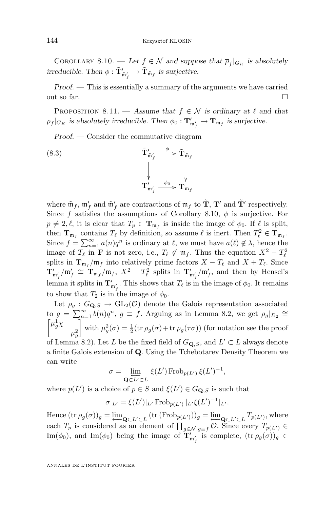COROLLARY 8.10. — Let  $f \in \mathcal{N}$  and suppose that  $\overline{\rho}_f|_{G_K}$  is absolutely *irreducible. Then*  $\phi : \tilde{\mathbf{T}}'_{\tilde{\mathfrak{m}}'_f} \to \tilde{\mathbf{T}}_{\tilde{\mathfrak{m}}_f}$  *is surjective.* 

*Proof. —* This is essentially a summary of the arguments we have carried out so far.  $\Box$ 

PROPOSITION 8.11. — Assume that  $f \in \mathcal{N}$  is ordinary at  $\ell$  and that  $\overline{\rho}_f|_{G_K}$  is absolutely irreducible. Then  $\phi_0: \mathbf{T}'_{\mathfrak{m}'_f} \to \mathbf{T}_{\mathfrak{m}_f}$  is surjective.

*Proof. —* Consider the commutative diagram

(8.3) 
$$
\tilde{\mathbf{T}}'_{\tilde{\mathfrak{m}}'_{f}} \xrightarrow{\phi} \tilde{\mathbf{T}}_{\tilde{\mathfrak{m}}_{f}} \downarrow
$$

$$
\mathbf{T}'_{\mathfrak{m}'_{f}} \xrightarrow{\phi_{0}} \mathbf{T}_{\mathfrak{m}_{f}}
$$

where  $\tilde{\mathfrak{m}}_f$ ,  $\mathfrak{m}'_f$  and  $\tilde{\mathfrak{m}}'_f$  are contractions of  $\mathfrak{m}_f$  to  $\tilde{\mathbf{T}}$ ,  $\mathbf{T}'$  and  $\tilde{\mathbf{T}}'$  respectively. Since f satisfies the assumptions of Corollary [8.10,](#page-63-0)  $\phi$  is surjective. For  $p \neq 2, \ell$ , it is clear that  $T_p \in \mathbf{T}_{\mathfrak{m}_f}$  is inside the image of  $\phi_0$ . If  $\ell$  is split, then  $\mathbf{T}_{\mathfrak{m}_f}$  contains  $T_\ell$  by definition, so assume  $\ell$  is inert. Then  $T_\ell^2 \in \mathbf{T}_{\mathfrak{m}_f}$ . Since  $f = \sum_{n=1}^{\infty} a(n)q^n$  is ordinary at  $\ell$ , we must have  $a(\ell) \notin \lambda$ , hence the image of  $T_\ell$  in **F** is not zero, i.e.,  $T_\ell \notin \mathfrak{m}_f$ . Thus the equation  $X^2 - T_\ell^2$ splits in  $\mathbf{T}_{\mathfrak{m}_f}/\mathfrak{m}_f$  into relatively prime factors  $X - T_\ell$  and  $X + T_\ell$ . Since  $\mathbf{T}'_{\mathfrak{m}'_f}/\mathfrak{m}'_f \cong \mathbf{T}_{\mathfrak{m}_f}/\mathfrak{m}_f$ ,  $X^2 - T_\ell^2$  splits in  $\mathbf{T}'_{\mathfrak{m}'_f}/\mathfrak{m}'_f$ , and then by Hensel's lemma it splits in  $\mathbf{T}'_{\mathfrak{m}'_f}$ . This shows that  $T_\ell$  is in the image of  $\phi_0$ . It remains to show that  $T_2$  is in the image of  $\phi_0$ .

Let  $\rho_g: G_{\mathbf{Q},S} \to GL_2(\mathcal{O})$  denote the Galois representation associated to  $g = \sum_{n=1}^{\infty} b(n)q^n$ ,  $g \equiv f$ . Arguing as in Lemma [8.2,](#page-58-0) we get  $\rho_g|_{D_2} \approx$  $\left[\mu_g^1 \chi\right]$  $\mu_g^2$ with  $\mu_g^2(\sigma) = \frac{1}{2}(\text{tr } \rho_g(\sigma) + \text{tr } \rho_g(\tau \sigma))$  (for notation see the proof of Lemma [8.2\)](#page-58-0). Let L be the fixed field of  $G_{\mathbf{Q},S}$ , and  $L' \subset L$  always denote a finite Galois extension of Q. Using the Tchebotarev Density Theorem we can write

$$
\sigma = \varprojlim_{\mathbf{Q} \subset L' \subset L} \xi(L') \operatorname{Frob}_{p(L')} \xi(L')^{-1},
$$

where  $p(L')$  is a choice of  $p \in S$  and  $\xi(L') \in G_{\mathbf{Q},S}$  is such that

$$
\sigma|_{L'} = \xi(L')|_{L'} \operatorname{Frob}_{p(L')} |_{L'} \xi(L')^{-1}|_{L'}.
$$

Hence  $(\text{tr } \rho_g(\sigma))_g = \underline{\lim}_{\mathbf{Q} \subset L' \subset L} (\text{tr } (\text{Frob}_{\underline{p}(L')}))_g = \underline{\lim}_{\mathbf{Q} \subset L' \subset L} T_{p(L')}$ , where each  $T_p$  is considered as an element of  $\prod_{g \in \mathcal{N}, g \equiv f} \mathcal{O}$ . Since every  $T_{p(L') \in f}$ Im( $\phi_0$ ), and Im( $\phi_0$ ) being the image of  $\mathbf{T}'_{\mathfrak{m}'_f}$  is complete,  $(\text{tr } \rho_g(\sigma))_g \in$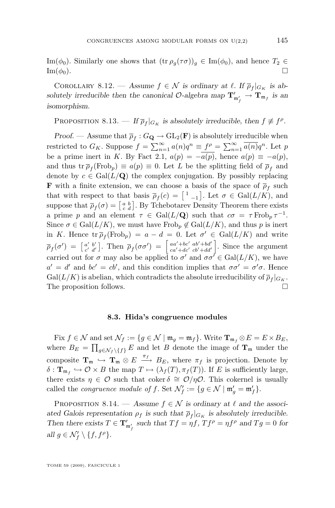<span id="page-65-0"></span>Im( $\phi_0$ ). Similarly one shows that  $(\text{tr } \rho_g(\tau \sigma))_g \in \text{Im}(\phi_0)$ , and hence  $T_2 \in$  $\text{Im}(\phi_0).$ 

COROLLARY 8.12. — Assume  $f \in \mathcal{N}$  is ordinary at  $\ell$ . If  $\overline{\rho}_f|_{G_K}$  is ab*solutely irreducible then the canonical*  $\mathcal{O}$ -algebra map  $\mathbf{T}'_{\mathfrak{m}'_f} \to \mathbf{T}_{\mathfrak{m}_f}$  is an *isomorphism.*

PROPOSITION 8.13. — If  $\overline{\rho}_f|_{G_K}$  is absolutely irreducible, then  $f \not\equiv f^{\rho}$ .

*Proof.* — Assume that  $\overline{\rho}_f: G_{\mathbf{Q}} \to \mathrm{GL}_2(\mathbf{F})$  is absolutely irreducible when restricted to  $G_K$ . Suppose  $f = \sum_{n=1}^{\infty} a(n)q^n \equiv f^{\rho} = \sum_{n=1}^{\infty} \overline{a(n)}q^n$ . Let p be a prime inert in K. By Fact [2.1,](#page-12-0)  $a(p) = -\overline{a(p)}$ , hence  $a(p) \equiv -a(p)$ , and thus tr $\overline{\rho}_f(\text{Frob}_p) \equiv a(p) \equiv 0$ . Let L be the splitting field of  $\overline{\rho}_f$  and denote by  $c \in \text{Gal}(L/\mathbf{Q})$  the complex conjugation. By possibly replacing **F** with a finite extension, we can choose a basis of the space of  $\overline{\rho}_f$  such that with respect to that basis  $\overline{\rho}_f(c) = \begin{bmatrix} 1 & 0 \end{bmatrix}$ . Let  $\sigma \in \text{Gal}(L/K)$ , and suppose that  $\overline{\rho}_f(\sigma) = \begin{bmatrix} a & b \\ c & d \end{bmatrix}$ . By Tchebotarev Density Theorem there exists a prime p and an element  $\tau \in \text{Gal}(L/\mathbf{Q})$  such that  $c\sigma = \tau \text{Frob}_p \tau^{-1}$ . Since  $\sigma \in \text{Gal}(L/K)$ , we must have Frob<sub>p</sub>  $\notin \text{Gal}(L/K)$ , and thus p is inert in K. Hence  $\operatorname{tr} \overline{\rho}_f(\operatorname{Frob}_p) = a - d = 0$ . Let  $\sigma' \in \operatorname{Gal}(L/K)$  and write  $\overline{\rho}_f(\sigma') \;=\; \left[ \begin{smallmatrix} a' & b' \ c' & d' \end{smallmatrix} \right]$  $\left[\begin{smallmatrix} a' & b' \ c' & d' \end{smallmatrix}\right]$ . Then  $\overline{\rho}_f(\sigma\sigma') = \left[\begin{smallmatrix} aa'+bc' & ab'+bd' \ ca'+dc' & cb'+dd' \end{smallmatrix}\right]$  $\begin{bmatrix} aa'+bc' & ab'+bd' \\ ca'+dc' & cb'+dd' \end{bmatrix}$ . Since the argument carried out for  $\sigma$  may also be applied to  $\sigma'$  and  $\sigma \sigma' \in \text{Gal}(L/K)$ , we have  $a' = d'$  and  $bc' = cb'$ , and this condition implies that  $\sigma \sigma' = \sigma' \sigma$ . Hence  $Gal(L/K)$  is abelian, which contradicts the absolute irreducibility of  $\overline{\rho}_f|_{G_K}$ . The proposition follows.

#### **8.3. Hida's congruence modules**

Fix  $f \in \mathcal{N}$  and set  $\mathcal{N}_f := \{ g \in \mathcal{N} \mid \mathfrak{m}_g = \mathfrak{m}_f \}$ . Write  $\mathbf{T}_{\mathfrak{m}_f} \otimes E = E \times B_E$ , where  $B_E = \prod_{g \in \mathcal{N}_f \setminus \{f\}} E$  and let B denote the image of  $\mathbf{T}_m$  under the composite  $\mathbf{T}_{\mathfrak{m}} \hookrightarrow \mathbf{T}_{\mathfrak{m}} \otimes E \stackrel{\pi_f}{\longrightarrow} B_E$ , where  $\pi_f$  is projection. Denote by  $\delta: \mathbf{T}_{\mathfrak{m}_f} \hookrightarrow \mathcal{O} \times B$  the map  $T \mapsto (\lambda_f(T), \pi_f(T))$ . If E is sufficiently large, there exists  $\eta \in \mathcal{O}$  such that coker  $\delta \cong \mathcal{O}/\eta \mathcal{O}$ . This cokernel is usually called the *congruence module of f*. Set  $\mathcal{N}'_f := \{g \in \mathcal{N} \mid \mathfrak{m}'_g = \mathfrak{m}'_f\}.$ 

PROPOSITION 8.14. — *Assume*  $f \in \mathcal{N}$  *is ordinary at*  $\ell$  *and the associ*ated Galois representation  $\rho_f$  is such that  $\overline{\rho}_f|_{G_K}$  is absolutely irreducible. Then there exists  $T \in \mathbf{T}'_{\mathfrak{m}'_f}$  such that  $Tf = \eta f$ ,  $Tf^{\rho} = \eta f^{\rho}$  and  $Tg = 0$  for  $all g \in \mathcal{N}'_f \setminus \{f, f^{\rho}\}.$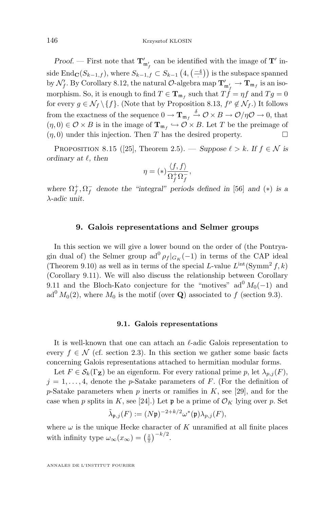<span id="page-66-0"></span>*Proof.* — First note that  $T'_{m'_f}$  can be identified with the image of  $T'$  inside End $\mathbf{C}(S_{k-1,f})$ , where  $S_{k-1,f} \subset S_{k-1}(4, \left( \frac{-4}{\cdot} \right))$  is the subspace spanned by  $\mathcal{N}'_f$ . By Corollary [8.12,](#page-65-0) the natural  $\mathcal{O}\text{-algebra map }\mathbf{T}'_{\mathfrak{m}'_f}\to \mathbf{T}_{\mathfrak{m}_f}$  is an isomorphism. So, it is enough to find  $T \in \mathbf{T}_{\mathfrak{m}_f}$  such that  $T_f^f = \eta f$  and  $T_g = 0$ for every  $g \in \mathcal{N}_f \setminus \{f\}$ . (Note that by Proposition [8.13,](#page-65-0)  $f^{\rho} \notin \mathcal{N}_f$ .) It follows from the exactness of the sequence  $0 \to \mathbf{T}_{\mathfrak{m}_f} \xrightarrow{\delta} \mathcal{O} \times B \to \mathcal{O}/\eta\mathcal{O} \to 0$ , that  $(\eta,0) \in \mathcal{O} \times B$  is in the image of  $\mathbf{T}_{\mathfrak{m}_f} \hookrightarrow \mathcal{O} \times B$ . Let T be the preimage of  $(\eta, 0)$  under this injection. Then T has the desired property.

PROPOSITION 8.15 ([\[25\]](#page-84-0), Theorem 2.5). — *Suppose*  $\ell > k$ *. If*  $f \in \mathcal{N}$  *is ordinary at*  $\ell$ *, then* 

$$
\eta = (*) \frac{\langle f, f \rangle}{\Omega_f^+ \Omega_f^-},
$$

*where*  $\Omega_f^+, \Omega_f^-$  *denote the "integral" periods defined in* [\[56\]](#page-85-0) *and* (\*) *is a* λ*-adic unit.*

### **9. Galois representations and Selmer groups**

In this section we will give a lower bound on the order of (the Pontryagin dual of) the Selmer group  $ad^0 \rho_f |_{G_K}(-1)$  in terms of the CAP ideal (Theorem [9.10\)](#page-69-0) as well as in terms of the special L-value  $L^{int}(\text{Symm}^2 f, k)$ (Corollary [9.11\)](#page-69-0). We will also discuss the relationship between Corollary [9.11](#page-69-0) and the Bloch-Kato conjecture for the "motives"  $ad<sup>0</sup>M<sub>0</sub>(-1)$  and ad<sup>0</sup>  $M_0(2)$ , where  $M_0$  is the motif (over **Q**) associated to f (section [9.3\)](#page-70-0).

#### **9.1. Galois representations**

It is well-known that one can attach an  $\ell$ -adic Galois representation to every  $f \in \mathcal{N}$  (cf. section [2.3\)](#page-11-0). In this section we gather some basic facts concerning Galois representations attached to hermitian modular forms.

Let  $F \in \mathcal{S}_k(\Gamma_Z)$  be an eigenform. For every rational prime p, let  $\lambda_{p,i}(F)$ ,  $j = 1, \ldots, 4$ , denote the p-Satake parameters of F. (For the definition of p-Satake parameters when p inerts or ramifies in  $K$ , see [\[29\]](#page-84-0), and for the case when p splits in K, see [\[24\]](#page-84-0).) Let  $\mathfrak p$  be a prime of  $\mathcal O_K$  lying over p. Set

$$
\tilde{\lambda}_{\mathfrak{p},j}(F) := (N\mathfrak{p})^{-2+k/2} \omega^*(\mathfrak{p}) \lambda_{p,j}(F),
$$

where  $\omega$  is the unique Hecke character of K unramified at all finite places with infinity type  $\omega_{\infty}(x_{\infty}) = \left(\frac{z}{\overline{z}}\right)^{-k/2}$ .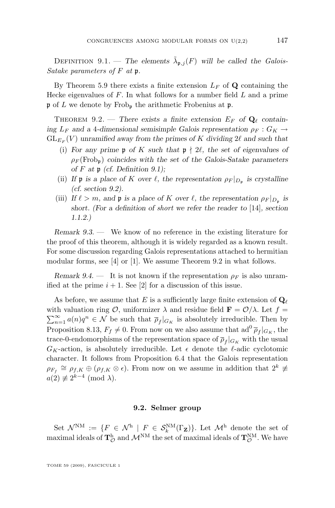<span id="page-67-0"></span>DEFINITION 9.1. — The elements  $\tilde{\lambda}_{\mathfrak{p},j}(F)$  will be called the *Galois*-*Satake parameters of* F *at* p*.*

By Theorem [5.9](#page-39-0) there exists a finite extension  $L_F$  of Q containing the Hecke eigenvalues of  $F$ . In what follows for a number field  $L$  and a prime  $\mathfrak p$  of L we denote by Frob<sub>p</sub> the arithmetic Frobenius at  $\mathfrak p$ .

THEOREM 9.2. — There exists a finite extension  $E_F$  of  $\mathbf{Q}_\ell$  contain*ing*  $L_F$  *and a* 4-dimensional semisimple Galois representation  $\rho_F$  :  $G_K \rightarrow$  $GL_{E_F}(V)$  *unramified away from the primes of* K *dividing* 2 $\ell$  *and such that* 

- (i) For any prime **p** of K such that  $p \nmid 2\ell$ , the set of eigenvalues of  $\rho_F(\text{Frob}_{p})$  *coincides with the set of the Galois-Satake parameters of* F *at* p *(cf. Definition [9.1\)](#page-66-0);*
- (ii) If  $\mathfrak{p}$  is a place of K over  $\ell$ , the representation  $\rho_F|_{D_{\mathfrak{p}}}$  is crystalline *(cf. section 9.2).*
- (iii) *If*  $\ell > m$ , and **p** *is a place of* K *over*  $\ell$ , the representation  $\rho_F|_{D_p}$  *is short. (For a definition of short we refer the reader to* [\[14\]](#page-83-0)*, section 1.1.2.)*

*Remark 9.3. —* We know of no reference in the existing literature for the proof of this theorem, although it is widely regarded as a known result. For some discussion regarding Galois representations attached to hermitian modular forms, see [\[4\]](#page-83-0) or [\[1\]](#page-83-0). We assume Theorem 9.2 in what follows.

*Remark 9.4.* — It is not known if the representation  $\rho_F$  is also unramified at the prime  $i + 1$ . See [\[2\]](#page-83-0) for a discussion of this issue.

As before, we assume that E is a sufficiently large finite extension of  $\mathbf{Q}_\ell$ with valuation ring  $\mathcal{O}$ , uniformizer  $\lambda$  and residue field  $\mathbf{F} = \mathcal{O}/\lambda$ . Let  $f =$  $\sum_{n=1}^{\infty} a(n)q^n \in \mathcal{N}$  be such that  $\overline{\rho}_f|_{G_K}$  is absolutely irreducible. Then by Proposition [8.13,](#page-65-0)  $F_f \neq 0$ . From now on we also assume that  $ad^0\overline{\rho}_f|_{G_K}$ , the trace-0-endomorphisms of the representation space of  $\overline{\rho}_f|_{G_K}$  with the usual  $G_K$ -action, is absolutely irreducible. Let  $\epsilon$  denote the  $\ell$ -adic cyclotomic character. It follows from Proposition [6.4](#page-45-0) that the Galois representation  $\rho_{F_f} \cong \rho_{f,K} \oplus (\rho_{f,K} \otimes \epsilon)$ . From now on we assume in addition that  $2^k \not\equiv$  $a(2) \not\equiv 2^{k-4} \pmod{\lambda}.$ 

#### **9.2. Selmer group**

Set  $\mathcal{N}^{\text{NM}} := \{F \in \mathcal{N}^{\text{h}} \mid F \in \mathcal{S}_k^{\text{NM}}(\Gamma_{\mathbf{Z}})\}\.$  Let  $\mathcal{M}^{\text{h}}$  denote the set of maximal ideals of  $\bf{T}^h_{\mathcal{O}}$  and  $\mathcal{M}^{\rm{NM}}$  the set of maximal ideals of  $\bf{T}^{\rm{NM}}_{\mathcal{O}}$ . We have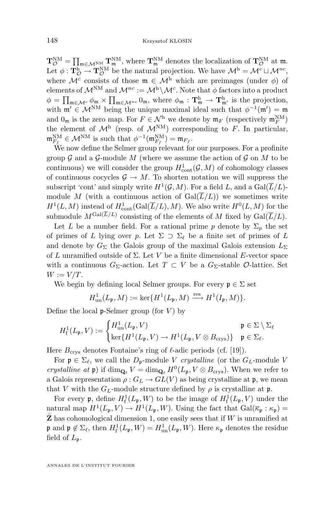$\mathbf{T}_{\mathcal{O}}^{\text{NM}} = \prod_{\mathfrak{m} \in \mathcal{M}^{\text{NM}}} \mathbf{T}_{\mathfrak{m}}^{\text{NM}}$ , where  $\mathbf{T}_{\mathfrak{m}}^{\text{NM}}$  denotes the localization of  $\mathbf{T}_{\mathcal{O}}^{\text{NM}}$  at  $\mathfrak{m}$ . Let  $\phi: \mathbf{T}_{\mathcal{O}}^{\mathbf{h}} \to \mathbf{T}_{\mathcal{O}}^{\mathbf{NM}}$  be the natural projection. We have  $\mathcal{M}^{\mathbf{h}} = \mathcal{M}^c \sqcup \mathcal{M}^{nc}$ , where  $\mathcal{M}^c$  consists of those  $\mathfrak{m} \in \mathcal{M}^h$  which are preimages (under  $\phi$ ) of elements of  $\mathcal{M}^{\text{NM}}$  and  $\mathcal{M}^{nc} := \mathcal{M}^{\text{h}} \backslash \mathcal{M}^c$ . Note that  $\phi$  factors into a product  $\phi = \prod_{\mathfrak{m} \in \mathcal{M}^c} \phi_{\mathfrak{m}} \times \prod_{\mathfrak{m} \in \mathcal{M}^{nc}} 0_{\mathfrak{m}}$ , where  $\phi_{\mathfrak{m}} : \mathbf{T}^h_{\mathfrak{m}} \to \mathbf{T}^h_{\mathfrak{m}'}$  is the projection, with  $\mathfrak{m}' \in \mathcal{M}^{NM}$  being the unique maximal ideal such that  $\phi^{-1}(\mathfrak{m}') = \mathfrak{m}$ and  $0_m$  is the zero map. For  $F \in \mathcal{N}^h$  we denote by  $\mathfrak{m}_F$  (respectively  $\mathfrak{m}_F^{\text{NM}}$ ) the element of  $\mathcal{M}^h$  (resp. of  $\mathcal{M}^{NM}$ ) corresponding to F. In particular,  $\mathfrak{m}_{F_f}^{\text{NM}} \in \mathcal{M}^{\text{NM}}$  is such that  $\phi^{-1}(\mathfrak{m}_{F_f}^{\text{NM}}) = \mathfrak{m}_{F_f}$ .

We now define the Selmer group relevant for our purposes. For a profinite group  $\mathcal G$  and a  $\mathcal G$ -module M (where we assume the action of  $\mathcal G$  on M to be continuous) we will consider the group  $H^1_{\text{cont}}(\mathcal{G}, M)$  of cohomology classes of continuous cocycles  $\mathcal{G} \to M$ . To shorten notation we will suppress the subscript 'cont' and simply write  $H^1(\mathcal{G}, M)$ . For a field L, and a  $Gal(\overline{L}/L)$ module M (with a continuous action of  $Gal(\overline{L}/L))$  we sometimes write  $H^1(L, M)$  instead of  $H^1_{\text{cont}}(\text{Gal}(\overline{L}/L), M)$ . We also write  $H^0(L, M)$  for the submodule  $M^{\text{Gal}(L/L)}$  consisting of the elements of M fixed by  $\text{Gal}(\overline{L}/L)$ .

Let L be a number field. For a rational prime p denote by  $\Sigma_p$  the set of primes of L lying over p. Let  $\Sigma \supset \Sigma_{\ell}$  be a finite set of primes of L and denote by  $G_{\Sigma}$  the Galois group of the maximal Galois extension  $L_{\Sigma}$ of L unramified outside of  $\Sigma$ . Let V be a finite dimensional E-vector space with a continuous  $G_{\Sigma}$ -action. Let  $T \subset V$  be a  $G_{\Sigma}$ -stable  $\mathcal{O}$ -lattice. Set  $W := V/T$ .

We begin by defining local Selmer groups. For every  $\mathfrak{p} \in \Sigma$  set

$$
H^1_{\text{un}}(L_{\mathfrak{p}},M):=\ker\{H^1(L_{\mathfrak{p}},M)\xrightarrow{\text{res}} H^1(I_{\mathfrak{p}},M)\}.
$$

Define the local  $\mathfrak{p}\text{-}\mathrm{Selmer}$  group (for V) by

$$
H_{\mathbf{f}}^1(L_{\mathfrak{p}}, V) := \begin{cases} H_{\text{un}}^1(L_{\mathfrak{p}}, V) & \mathfrak{p} \in \Sigma \setminus \Sigma_{\ell} \\ \ker\{H^1(L_{\mathfrak{p}}, V) \to H^1(L_{\mathfrak{p}}, V \otimes B_{\text{crys}})\} & \mathfrak{p} \in \Sigma_{\ell}. \end{cases}
$$

Here  $B_{\text{crys}}$  denotes Fontaine's ring of  $\ell$ -adic periods (cf. [\[19\]](#page-84-0)).

For  $\mathfrak{p} \in \Sigma_{\ell}$ , we call the  $D_{\mathfrak{p}}$ -module V *crystalline* (or the  $G_L$ -module V *crystalline at*  $\mathfrak{p}$ ) if  $\dim_{\mathbf{Q}_\ell} V = \dim_{\mathbf{Q}_\ell} H^0(L_{\mathfrak{p}}, V \otimes B_{\text{crys}})$ . When we refer to a Galois representation  $\rho: G_L \to GL(V)$  as being crystalline at p, we mean that V with the  $G_L$ -module structure defined by  $\rho$  is crystalline at p.

For every **p**, define  $H^1_f(L_p, W)$  to be the image of  $H^1_f(L_p, V)$  under the natural map  $H^1(L_{\mathfrak{p}}, V) \to H^1(L_{\mathfrak{p}}, W)$ . Using the fact that  $Gal(\overline{\kappa}_{\mathfrak{p}} : \kappa_{\mathfrak{p}}) =$  $\bar{Z}$  has cohomological dimension 1, one easily sees that if W is unramified at  $\mathfrak{p}$  and  $\mathfrak{p} \notin \Sigma_{\ell}$ , then  $H^1_f(L_{\mathfrak{p}}, W) = H^1_{un}(L_{\mathfrak{p}}, W)$ . Here  $\kappa_{\mathfrak{p}}$  denotes the residue field of  $L_{\mathfrak{p}}$ .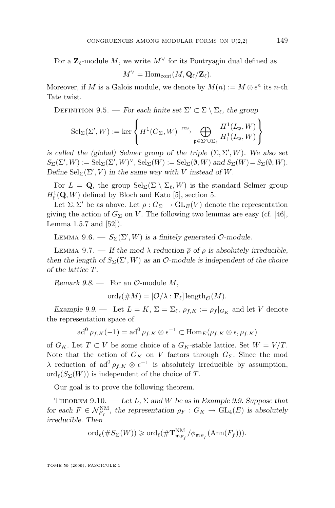<span id="page-69-0"></span>For a  $\mathbb{Z}_{\ell}$ -module M, we write  $M^{\vee}$  for its Pontryagin dual defined as

$$
M^{\vee} = \mathrm{Hom}_{\mathrm{cont}}(M, \mathbf{Q}_{\ell}/\mathbf{Z}_{\ell}).
$$

Moreover, if M is a Galois module, we denote by  $M(n) := M \otimes \epsilon^n$  its n-th Tate twist.

DEFINITION 9.5. — *For each finite set*  $\Sigma' \subset \Sigma \setminus \Sigma_{\ell}$ , the group

$$
{\rm Sel}_\Sigma(\Sigma', W) := \ker \left\{ H^1(G_\Sigma, W) \xrightarrow{\rm res} \bigoplus_{\mathfrak{p} \in \Sigma' \cup \Sigma_\ell} \frac{H^1(L_\mathfrak{p}, W)}{H^1_{\rm f}(L_\mathfrak{p}, W)} \right\}
$$

*is called the (global) Selmer group of the triple*  $(\Sigma, \Sigma', W)$ *. We also set*  $S_{\Sigma}(\Sigma', W) := \text{Sel}_{\Sigma}(\Sigma', W)^{\vee}$ ,  $\text{Sel}_{\Sigma}(W) := \text{Sel}_{\Sigma}(\emptyset, W)$  and  $S_{\Sigma}(W) = S_{\Sigma}(\emptyset, W)$ *. Define*  $\text{Sel}_{\Sigma}(\Sigma', V)$  *in the same way with V instead of W*.

For  $L = \mathbf{Q}$ , the group  $\text{Sel}_{\Sigma}(\Sigma \setminus \Sigma_{\ell}, W)$  is the standard Selmer group  $H<sub>f</sub><sup>1</sup>(\mathbf{Q}, W)$  defined by Bloch and Kato [\[5\]](#page-83-0), section 5.

Let  $\Sigma, \Sigma'$  be as above. Let  $\rho : G_{\Sigma} \to \text{GL}_E(V)$  denote the representation giving the action of  $G_{\Sigma}$  on V. The following two lemmas are easy (cf. [\[46\]](#page-85-0), Lemma 1.5.7 and  $[52]$ ).

LEMMA 9.6.  $- S_{\Sigma}(\Sigma', W)$  is a finitely generated O-module.

LEMMA 9.7. — If the mod  $\lambda$  reduction  $\bar{\rho}$  of  $\rho$  is absolutely irreducible, *then the length of*  $S_{\Sigma}(\Sigma', W)$  *as an*  $\mathcal{O}$ -module *is independent of the choice of the lattice* T*.*

*Remark 9.8.* — For an  $\mathcal{O}\text{-module }M,$ 

 $\mathrm{ord}_{\ell}(\# M) = [\mathcal{O}/\lambda : \mathbf{F}_{\ell}] \operatorname{length}_{\mathcal{O}}(M).$ 

*Example 9.9.* — Let  $L = K$ ,  $\Sigma = \Sigma_{\ell}$ ,  $\rho_{f,K} := \rho_f |_{G_K}$  and let V denote the representation space of

$$
\mathrm{ad}^{0}\,\rho_{f,K}(-1)=\mathrm{ad}^{0}\,\rho_{f,K}\otimes\epsilon^{-1}\subset\mathrm{Hom}_{E}(\rho_{f,K}\otimes\epsilon,\rho_{f,K})
$$

of  $G_K$ . Let  $T \subset V$  be some choice of a  $G_K$ -stable lattice. Set  $W = V/T$ . Note that the action of  $G_K$  on V factors through  $G_\Sigma$ . Since the mod λ reduction of ad<sup>0</sup> $ρ_{f,K}$  ⊗  $ε^{-1}$  is absolutely irreducible by assumption, ord $(\mathcal{S}_{\Sigma}(W))$  is independent of the choice of T.

Our goal is to prove the following theorem.

THEOREM 9.10. — Let L,  $\Sigma$  and W be as in Example 9.9. Suppose that *for each*  $F \in \mathcal{N}_{F_f}^{NM}$ , the representation  $\rho_F : G_K \to GL_4(E)$  is absolutely *irreducible. Then*

$$
\mathrm{ord}_{\ell}(\#S_{\Sigma}(W))\geqslant \mathrm{ord}_{\ell}(\# \mathbf{T}^{\mathrm{NM}}_{\mathfrak{m}_{F_f}}/\phi_{\mathfrak{m}_{F_f}}(\mathrm{Ann}(F_f))).
$$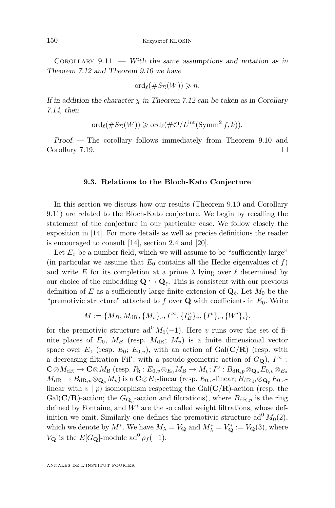<span id="page-70-0"></span>Corollary 9.11. — *With the same assumptions and notation as in Theorem [7.12](#page-55-0) and Theorem [9.10](#page-69-0) we have*

$$
\mathrm{ord}_{\ell}(\#S_{\Sigma}(W))\geqslant n.
$$

*If in addition the character*  $\chi$  *in Theorem [7.12](#page-55-0) can be taken as in Corollary [7.14,](#page-56-0) then*

$$
\mathrm{ord}_{\ell}(\#S_{\Sigma}(W))\geqslant \mathrm{ord}_{\ell}(\#\mathcal{O}/L^{\mathrm{int}}(\mathrm{Symm}^2 f,k)).
$$

*Proof. —* The corollary follows immediately from Theorem [9.10](#page-69-0) and Corollary [7.19.](#page-57-0)

#### **9.3. Relations to the Bloch-Kato Conjecture**

In this section we discuss how our results (Theorem [9.10](#page-69-0) and Corollary [9.11\)](#page-69-0) are related to the Bloch-Kato conjecture. We begin by recalling the statement of the conjecture in our particular case. We follow closely the exposition in [\[14\]](#page-83-0). For more details as well as precise definitions the reader is encouraged to consult [\[14\]](#page-83-0), section 2.4 and [\[20\]](#page-84-0).

Let  $E_0$  be a number field, which we will assume to be "sufficiently large" (in particular we assume that  $E_0$  contains all the Hecke eigenvalues of f) and write E for its completion at a prime  $\lambda$  lying over  $\ell$  determined by our choice of the embedding  $\mathbf{Q} \hookrightarrow \mathbf{Q}_{\ell}$ . This is consistent with our previous definition of E as a sufficiently large finite extension of  $\mathbf{Q}_{\ell}$ . Let  $M_0$  be the "premotivic structure" attached to f over  $Q$  with coefficients in  $E_0$ . Write

$$
M := \{M_B, M_{\mathrm{dR}}, \{M_v\}_v, I^{\infty}, \{I^v_B\}_v, \{I^v\}_v, \{W^i\}_i\},\
$$

for the premotivic structure ad<sup>0</sup>  $M_0(-1)$ . Here v runs over the set of finite places of  $E_0$ ,  $M_B$  (resp.  $M_{\rm dR}$ ;  $M_v$ ) is a finite dimensional vector space over  $E_0$  (resp.  $E_0$ ;  $E_{0,v}$ ), with an action of Gal(C/R) (resp. with a decreasing filtration Fil<sup>i</sup>; with a pseudo-geometric action of  $G_{\mathbf{Q}}$ ),  $I^{\infty}$ :  $\mathbf{C} \otimes M_{\mathrm{dR}} \to \mathbf{C} \otimes M_{\mathrm{B}}$  (resp.  $I_{\mathrm{B}}^v : E_{0,v} \otimes_{E_0} M_{\mathrm{B}} \to M_v; I^v : B_{\mathrm{dR},p} \otimes_{\mathbf{Q}_p} E_{0,v} \otimes_{E_0}$  $M_{\rm dR} \to B_{\rm dR,p} \otimes_{\mathbf{Q}_p} M_v$ ) is a  $\mathbf{C} \otimes E_0$ -linear (resp.  $E_{0,v}$ -linear;  $B_{\rm dR,p} \otimes_{\mathbf{Q}_p} E_{0,v}$ linear with  $v | p$  isomorphism respecting the Gal( $\mathbf{C}/\mathbf{R}$ )-action (resp. the Gal( $\mathbf{C}/\mathbf{R}$ )-action; the  $G_{\mathbf{Q}_p}$ -action and filtrations), where  $B_{dR,p}$  is the ring defined by Fontaine, and  $W^i$  are the so called weight filtrations, whose definition we omit. Similarly one defines the premotivic structure ad<sup>0</sup>  $M_0(2)$ , which we denote by  $M^*$ . We have  $M_{\lambda} = V_{\mathbf{Q}}$  and  $M_{\lambda}^* = V_{\mathbf{Q}}^* := V_{\mathbf{Q}}(3)$ , where  $V_{\mathbf{Q}}$  is the  $E[G_{\mathbf{Q}}]$ -module ad<sup>0</sup>  $\rho_f(-1)$ .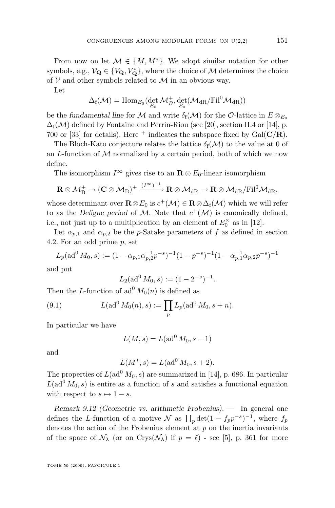From now on let  $\mathcal{M} \in \{M, M^*\}$ . We adopt similar notation for other symbols, e.g.,  $\mathcal{V}_{\mathbf{Q}} \in \{V_{\mathbf{Q}}, V_{\mathbf{Q}}^*\}$ , where the choice of  $\mathcal{M}$  determines the choice of  $V$  and other symbols related to  $M$  in an obvious way.

Let

$$
\Delta_f(\mathcal{M})=\mathrm{Hom}_{\mathit{E_0}}(\det_{\mathit{E_0}}\mathcal{M}_{\mathit{B}}^+,\det_{\mathit{E_0}}(\mathcal{M}_{\mathrm{dR}}/\mathrm{Fil}^0\mathcal{M}_{\mathrm{dR}}))
$$

be the *fundamental line* for M and write  $\delta_f(\mathcal{M})$  for the O-lattice in  $E \otimes_{E_0}$  $\Delta_f(\mathcal{M})$  defined by Fontaine and Perrin-Riou (see [\[20\]](#page-84-0), section II.4 or [\[14\]](#page-83-0), p. 700 or [\[33\]](#page-84-0) for details). Here  $^+$  indicates the subspace fixed by Gal( $\mathbf{C}/\mathbf{R}$ ).

The Bloch-Kato conjecture relates the lattice  $\delta_f(\mathcal{M})$  to the value at 0 of an  $L$ -function of  $M$  normalized by a certain period, both of which we now define.

The isomorphism  $I^{\infty}$  gives rise to an  $\mathbf{R} \otimes E_0$ -linear isomorphism

$$
\mathbf{R}\otimes\mathcal{M}^+_{\mathrm{B}}\to(\mathbf{C}\otimes\mathcal{M}_{\mathrm{B}})^+\xrightarrow{(I^{\infty})^{-1}}\mathbf{R}\otimes\mathcal{M}_{\mathrm{dR}}\to\mathbf{R}\otimes\mathcal{M}_{\mathrm{dR}}/\mathrm{Fil}^0\mathcal{M}_{\mathrm{dR}},
$$

whose determinant over  $\mathbf{R} \otimes E_0$  is  $c^+(\mathcal{M}) \in \mathbf{R} \otimes \Delta_f(\mathcal{M})$  which we will refer to as the *Deligne period* of M. Note that  $c^+(\mathcal{M})$  is canonically defined, i.e., not just up to a multiplication by an element of  $E_0^{\times}$  as in [\[12\]](#page-83-0).

Let  $\alpha_{p,1}$  and  $\alpha_{p,2}$  be the p-Satake parameters of f as defined in section [4.2.](#page-29-0) For an odd prime p, set

$$
L_p(\text{ad}^0 M_0, s) := (1 - \alpha_{p,1}\alpha_{p,2}^{-1}p^{-s})^{-1}(1 - p^{-s})^{-1}(1 - \alpha_{p,1}^{-1}\alpha_{p,2}p^{-s})^{-1}
$$

and put

$$
L_2(\text{ad}^0 M_0, s) := (1 - 2^{-s})^{-1}.
$$

Then the L-function of  $\mathrm{ad}^{0} M_{0}(n)$  is defined as

(9.1) 
$$
L(\text{ad}^0 M_0(n), s) := \prod_p L_p(\text{ad}^0 M_0, s + n).
$$

In particular we have

$$
L(M,s) = L(\mathrm{ad}^0 M_0, s-1)
$$

and

$$
L(M^*, s) = L(ad^0 M_0, s+2).
$$

The properties of  $L(\text{ad}^0 M_0, s)$  are summarized in [\[14\]](#page-83-0), p. 686. In particular  $L(\text{ad}^0 M_0, s)$  is entire as a function of s and satisfies a functional equation with respect to  $s \mapsto 1 - s$ .

*Remark 9.12 (Geometric vs. arithmetic Frobenius). —* In general one defines the L-function of a motive  $\mathcal N$  as  $\prod_p \det(1 - f_p p^{-s})^{-1}$ , where  $f_p$ denotes the action of the Frobenius element at  $p$  on the inertia invariants of the space of  $\mathcal{N}_{\lambda}$  (or on Crys( $\mathcal{N}_{\lambda}$ ) if  $p = \ell$ ) - see [\[5\]](#page-83-0), p. 361 for more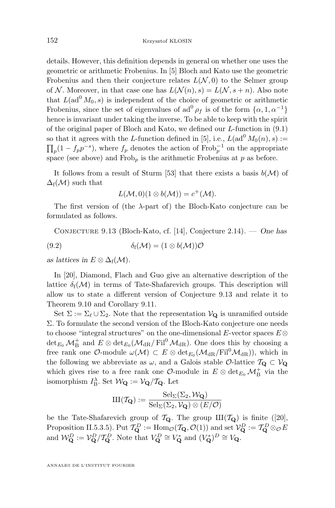<span id="page-72-0"></span>details. However, this definition depends in general on whether one uses the geometric or arithmetic Frobenius. In [\[5\]](#page-83-0) Bloch and Kato use the geometric Frobenius and then their conjecture relates  $L(\mathcal{N},0)$  to the Selmer group of N. Moreover, in that case one has  $L(\mathcal{N}(n), s) = L(\mathcal{N}, s + n)$ . Also note that  $L(\text{ad}^0 M_0, s)$  is independent of the choice of geometric or arithmetic Frobenius, since the set of eigenvalues of  $ad^0 \rho_f$  is of the form  $\{\alpha, 1, \alpha^{-1}\}$ hence is invariant under taking the inverse. To be able to keep with the spirit of the original paper of Bloch and Kato, we defined our L-function in [\(9.1\)](#page-71-0) so that it agrees with the L-function defined in [\[5\]](#page-83-0), i.e.,  $L(\text{ad}^0 M_0(n), s) :=$  $\prod_p(1-f_p p^{-s})$ , where  $f_p$  denotes the action of  $\text{Frob}_p^{-1}$  on the appropriate space (see above) and  $Frob_p$  is the arithmetic Frobenius at p as before.

It follows from a result of Sturm [\[53\]](#page-85-0) that there exists a basis  $b(\mathcal{M})$  of  $\Delta_f(\mathcal{M})$  such that

$$
L(\mathcal{M},0)(1\otimes b(\mathcal{M}))=c^{+}(\mathcal{M}).
$$

The first version of (the  $\lambda$ -part of) the Bloch-Kato conjecture can be formulated as follows.

Conjecture 9.13 (Bloch-Kato, cf. [\[14\]](#page-83-0), Conjecture 2.14). — *One has* (9.2)  $\delta_f(\mathcal{M}) = (1 \otimes b(\mathcal{M}))\mathcal{O}$ 

*as lattices in*  $E \otimes \Delta_f(\mathcal{M})$ .

In [\[20\]](#page-84-0), Diamond, Flach and Guo give an alternative description of the lattice  $\delta_f(\mathcal{M})$  in terms of Tate-Shafarevich groups. This description will allow us to state a different version of Conjecture 9.13 and relate it to Theorem [9.10](#page-69-0) and Corollary [9.11.](#page-69-0)

Set  $\Sigma := \Sigma_{\ell} \cup \Sigma_2$ . Note that the representation  $V_{\mathbf{Q}}$  is unramified outside Σ. To formulate the second version of the Bloch-Kato conjecture one needs to choose "integral structures" on the one-dimensional E-vector spaces  $E \otimes$  $\det_{E_0} \mathcal{M}_{\rm B}^+$  and  $E \otimes \det_{E_0} (\mathcal{M}_{\rm dR}/\mathrm{Fil}^0 \mathcal{M}_{\rm dR})$ . One does this by choosing a free rank one  $\mathcal{O}$ -module  $\omega(\mathcal{M}) \subset E \otimes \det_{E_0}(\mathcal{M}_{dR}/\mathrm{Fil}^0\mathcal{M}_{dR})$ , which in the following we abbreviate as  $\omega,$  and a Galois stable  $\mathcal{O}\textrm{-lattice } \mathcal{T}_{\mathbf{Q}} \subset \mathcal{V}_{\mathbf{Q}}$ which gives rise to a free rank one  $\mathcal{O}$ -module in  $E \otimes \det_{E_0} \mathcal{M}_{\mathrm{B}}^+$  via the isomorphism  $I_{\text{B}}^{\lambda}$ . Set  $\mathcal{W}_{\mathbf{Q}} := \mathcal{V}_{\mathbf{Q}} / \mathcal{T}_{\mathbf{Q}}$ . Let

$$
III(\mathcal{T}_{\mathbf{Q}}) := \frac{\mathrm{Sel}_{\Sigma}(\Sigma_2, \mathcal{W}_{\mathbf{Q}})}{\mathrm{Sel}_{\Sigma}(\Sigma_2, \mathcal{V}_{\mathbf{Q}}) \otimes (E/\mathcal{O})}
$$

be the Tate-Shafarevich group of  $\mathcal{T}_{\mathbf{Q}}$ . The group  $\text{III}(\mathcal{T}_{\mathbf{Q}})$  is finite ([\[20\]](#page-84-0), Proposition II.5.3.5). Put  $\mathcal{T}_{\mathbf{Q}}^D := \text{Hom}_{\mathcal{O}}(\mathcal{T}_{\mathbf{Q}}, \mathcal{O}(1))$  and set  $\mathcal{V}_{\mathbf{Q}}^D := \mathcal{T}_{\mathbf{Q}}^D \otimes_{\mathcal{O}} E$ and  $\mathcal{W}_{\mathbf{Q}}^D := \mathcal{V}_{\mathbf{Q}}^D / \mathcal{T}_{\mathbf{Q}}^D$ . Note that  $V_{\mathbf{Q}}^D \cong V_{\mathbf{Q}}^*$  and  $(V_{\mathbf{Q}}^*)^D \cong V_{\mathbf{Q}}$ .

ANNALES DE L'INSTITUT FOURIER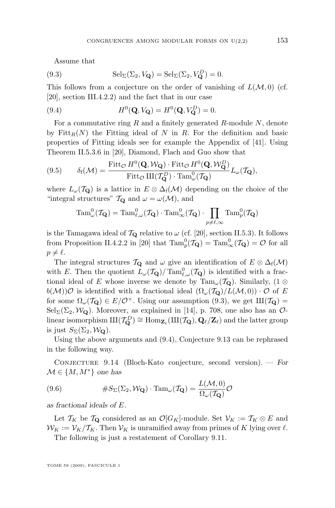<span id="page-73-0"></span>Assume that

(9.3) 
$$
\mathrm{Sel}_{\Sigma}(\Sigma_2, V_{\mathbf{Q}}) = \mathrm{Sel}_{\Sigma}(\Sigma_2, V_{\mathbf{Q}}^D) = 0.
$$

This follows from a conjecture on the order of vanishing of  $L(\mathcal{M}, 0)$  (cf. [\[20\]](#page-84-0), section III.4.2.2) and the fact that in our case

(9.4) 
$$
H^{0}(\mathbf{Q}, V_{\mathbf{Q}}) = H^{0}(\mathbf{Q}, V_{\mathbf{Q}}^{D}) = 0.
$$

For a commutative ring  $R$  and a finitely generated  $R$ -module  $N$ , denote by  $Fitt_R(N)$  the Fitting ideal of N in R. For the definition and basic properties of Fitting ideals see for example the Appendix of [\[41\]](#page-85-0). Using Theorem II.5.3.6 in [\[20\]](#page-84-0), Diamond, Flach and Guo show that

(9.5) 
$$
\delta_f(\mathcal{M}) = \frac{\text{Fitt}_{\mathcal{O}} H^0(\mathbf{Q}, \mathcal{W}_{\mathbf{Q}}) \cdot \text{Fitt}_{\mathcal{O}} H^0(\mathbf{Q}, \mathcal{W}_{\mathbf{Q}}^D)}{\text{Fitt}_{\mathcal{O}} \amalg (\mathcal{T}_{\mathbf{Q}}^D) \cdot \text{Tam}_{\omega}^0(\mathcal{T}_{\mathbf{Q}})} L_{\omega}(\mathcal{T}_{\mathbf{Q}}),
$$

where  $L_{\omega}(\mathcal{T}_{\mathbf{Q}})$  is a lattice in  $E \otimes \Delta_f(\mathcal{M})$  depending on the choice of the "integral structures"  $T_{\mathbf{Q}}$  and  $\omega = \omega(\mathcal{M})$ , and

$$
\mathrm{Tam}_{\omega}^0(\mathcal{T}_{\mathbf{Q}}) = \mathrm{Tam}_{\ell,\omega}^0(\mathcal{T}_{\mathbf{Q}}) \cdot \mathrm{Tam}_{\infty}^0(\mathcal{T}_{\mathbf{Q}}) \cdot \prod_{p \neq \ell,\infty} \mathrm{Tam}_p^0(\mathcal{T}_{\mathbf{Q}})
$$

is the Tamagawa ideal of  $T_{\mathbf{Q}}$  relative to  $\omega$  (cf. [\[20\]](#page-84-0), section II.5.3). It follows from Proposition II.4.2.2 in [\[20\]](#page-84-0) that  $\text{Tam}_p^0(\mathcal{T}_{\mathbf{Q}}) = \text{Tam}_{\infty}^0(\mathcal{T}_{\mathbf{Q}}) = \mathcal{O}$  for all  $p \neq \ell$ .

The integral structures  $\mathcal{T}_{\mathbf{Q}}$  and  $\omega$  give an identification of  $E \otimes \Delta_f(\mathcal{M})$ with E. Then the quotient  $L_{\omega}(\mathcal{T}_{\mathbf{Q}})/\operatorname{Tam}_{\ell,\omega}^0(\mathcal{T}_{\mathbf{Q}})$  is identified with a fractional ideal of E whose inverse we denote by Tam<sub> $\omega$ </sub>(T<sub>Q</sub>). Similarly, (1 ⊗  $b(\mathcal{M})\mathcal{O}$  is identified with a fractional ideal  $(\Omega_{\omega}(\mathcal{T}_{\mathbf{Q}})/L(\mathcal{M},0))\cdot\mathcal{O}$  of E for some  $\Omega_{\omega}(\mathcal{T}_{\mathbf{Q}}) \in E/\mathcal{O}^{\times}$ . Using our assumption (9.3), we get  $\text{III}(\mathcal{T}_{\mathbf{Q}})$  =  $Sel_{\Sigma}(\Sigma_2, \mathcal{W}_{\mathbf{Q}})$ . Moreover, as explained in [\[14\]](#page-83-0), p. 708, one also has an  $\mathcal{O}_{\Sigma}$ linear isomorphism  $III(\mathcal{T}_{\mathbf{Q}}^D) \cong \text{Hom}_{\mathbf{Z}_{\ell}}(III(\mathcal{T}_{\mathbf{Q}}), \mathbf{Q}_{\ell}/\mathbf{Z}_{\ell})$  and the latter group is just  $S_{\Sigma}(\Sigma_2, \mathcal{W}_{{\bf Q}})$ .

Using the above arguments and (9.4), Conjecture [9.13](#page-72-0) can be rephrased in the following way.

Conjecture 9.14 (Bloch-Kato conjecture, second version). — *For*  $\mathcal{M} \in \{M, M^*\}$  one has

(9.6) 
$$
\#S_{\Sigma}(\Sigma_2, \mathcal{W}_{\mathbf{Q}}) \cdot \mathrm{Tam}_{\omega}(\mathcal{T}_{\mathbf{Q}}) = \frac{L(\mathcal{M}, 0)}{\Omega_{\omega}(\mathcal{T}_{\mathbf{Q}})} \mathcal{O}
$$

*as fractional ideals of* E*.*

Let  $\mathcal{T}_K$  be  $\mathcal{T}_{\mathbf{Q}}$  considered as an  $\mathcal{O}[G_K]$ -module. Set  $\mathcal{V}_K := \mathcal{T}_K \otimes E$  and  $W_K := \mathcal{V}_K / \mathcal{T}_K$ . Then  $\mathcal{V}_K$  is unramified away from primes of K lying over  $\ell$ .

The following is just a restatement of Corollary [9.11.](#page-69-0)

TOME 59 (2009), FASCICULE 1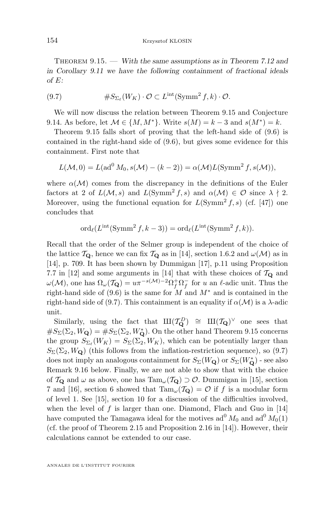Theorem 9.15. — *With the same assumptions as in Theorem [7.12](#page-55-0) and in Corollary [9.11](#page-69-0) we have the following containment of fractional ideals of* E*:*

(9.7) 
$$
\#S_{\Sigma_{\ell}}(W_K) \cdot \mathcal{O} \subset L^{\text{int}}(\text{Symm}^2 f, k) \cdot \mathcal{O}.
$$

We will now discuss the relation between Theorem [9.15](#page-73-0) and Conjecture [9.14.](#page-73-0) As before, let  $M \in \{M, M^*\}$ . Write  $s(M) = k - 3$  and  $s(M^*) = k$ .

Theorem [9.15](#page-73-0) falls short of proving that the left-hand side of [\(9.6\)](#page-73-0) is contained in the right-hand side of [\(9.6\)](#page-73-0), but gives some evidence for this containment. First note that

$$
L(\mathcal{M},0) = L(\text{ad}^0 M_0, s(\mathcal{M}) - (k-2)) = \alpha(\mathcal{M})L(\text{Symm}^2 f, s(\mathcal{M})),
$$

where  $\alpha(\mathcal{M})$  comes from the discrepancy in the definitions of the Euler factors at 2 of  $L(\mathcal{M}, s)$  and  $L(\mathrm{Symm}^2 f, s)$  and  $\alpha(\mathcal{M}) \in \mathcal{O}$  since  $\lambda \nmid 2$ . Moreover, using the functional equation for  $L(Symm^2 f, s)$  (cf. [\[47\]](#page-85-0)) one concludes that

$$
\operatorname{ord}_{\ell}(L^{\mathrm{int}}(\operatorname{Symm}^2 f, k-3)) = \operatorname{ord}_{\ell}(L^{\mathrm{int}}(\operatorname{Symm}^2 f, k)).
$$

Recall that the order of the Selmer group is independent of the choice of the lattice  $\mathcal{T}_{\mathbf{Q}}$ , hence we can fix  $\mathcal{T}_{\mathbf{Q}}$  as in [\[14\]](#page-83-0), section 1.6.2 and  $\omega(\mathcal{M})$  as in [\[14\]](#page-83-0), p. 709. It has been shown by Dummigan [\[17\]](#page-84-0), p.11 using Proposition 7.7 in [\[12\]](#page-83-0) and some arguments in [\[14\]](#page-83-0) that with these choices of  $\mathcal{T}_{\mathbf{Q}}$  and  $\omega(\mathcal{M})$ , one has  $\Omega_{\omega}(\mathcal{T}_{\mathbf{Q}}) = u\pi^{-s(\mathcal{M})-2}\Omega_f^+\Omega_f^-$  for u an  $\ell$ -adic unit. Thus the right-hand side of [\(9.6\)](#page-73-0) is the same for M and  $M^*$  and is contained in the right-hand side of (9.7). This containment is an equality if  $\alpha(\mathcal{M})$  is a  $\lambda$ -adic unit.

Similarly, using the fact that  $III(T_{\mathbf{Q}}^D) \cong III(T_{\mathbf{Q}})^{\vee}$  one sees that  $\#S_{\Sigma}(\Sigma_2, W_{\mathbf{Q}}) = \#S_{\Sigma}(\Sigma_2, W_{\mathbf{Q}}^*)$ . On the other hand Theorem [9.15](#page-73-0) concerns the group  $S_{\Sigma_{\ell}}(W_K) = S_{\Sigma}(\Sigma_2, W_K)$ , which can be potentially larger than  $S_{\Sigma}(\Sigma_2, W_{\mathbf{Q}})$  (this follows from the inflation-restriction sequence), so (9.7) does not imply an analogous containment for  $S_{\Sigma}(W_{\mathbf{Q}})$  or  $S_{\Sigma}(W_{\mathbf{Q}}^*)$  - see also Remark [9.16](#page-75-0) below. Finally, we are not able to show that with the choice of  $\mathcal{T}_{\mathbf{Q}}$  and  $\omega$  as above, one has  $\text{Tam}_{\omega}(\mathcal{T}_{\mathbf{Q}}) \supset \mathcal{O}$ . Dummigan in [\[15\]](#page-83-0), section 7 and [\[16\]](#page-83-0), section 6 showed that  $\text{Tam}_{\omega}(\mathcal{T}_{\mathbf{Q}}) = \mathcal{O}$  if f is a modular form of level 1. See [\[15\]](#page-83-0), section 10 for a discussion of the difficulties involved, when the level of  $f$  is larger than one. Diamond, Flach and Guo in [\[14\]](#page-83-0) have computed the Tamagawa ideal for the motives  $ad^0 M_0$  and  $ad^0 M_0(1)$ (cf. the proof of Theorem 2.15 and Proposition 2.16 in [\[14\]](#page-83-0)). However, their calculations cannot be extended to our case.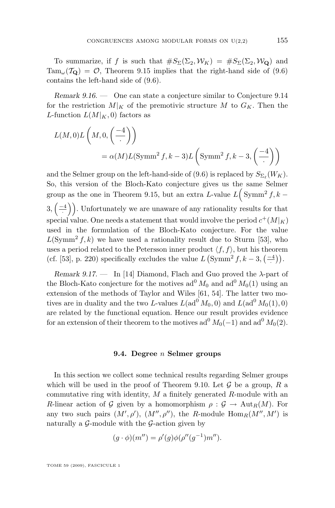<span id="page-75-0"></span>To summarize, if f is such that  $\#S_{\Sigma}(\Sigma_2, \mathcal{W}_K) = \#S_{\Sigma}(\Sigma_2, \mathcal{W}_{\mathbf{Q}})$  and  $\mathrm{Tam}_{\omega}(\mathcal{T}_{\mathbf{Q}}) = \mathcal{O}$ , Theorem [9.15](#page-73-0) implies that the right-hand side of [\(9.6\)](#page-73-0) contains the left-hand side of [\(9.6\)](#page-73-0).

*Remark 9.16. —* One can state a conjecture similar to Conjecture [9.14](#page-73-0) for the restriction  $M|_K$  of the premotivic structure M to  $G_K$ . Then the L-function  $L(M|_K, 0)$  factors as

$$
L(M,0)L(M,0, \left(\frac{-4}{\cdot}\right))
$$
  
=  $\alpha(M)L(\text{Symm}^2 f, k-3)L(\text{Symm}^2 f, k-3, \left(\frac{-4}{\cdot}\right))$ 

and the Selmer group on the left-hand-side of [\(9.6\)](#page-73-0) is replaced by  $S_{\Sigma_{\ell}}(W_K)$ . So, this version of the Bloch-Kato conjecture gives us the same Selmer group as the one in Theorem [9.15,](#page-73-0) but an extra L-value  $L(Symm^2 f, k 3, \left( \frac{-4}{\cdot} \right)$ . Unfortunately we are unaware of any rationality results for that special value. One needs a statement that would involve the period  $c^+(M|_K)$ used in the formulation of the Bloch-Kato conjecture. For the value  $L(\text{Symm}^2 f, k)$  we have used a rationality result due to Sturm [\[53\]](#page-85-0), who uses a period related to the Petersson inner product  $\langle f, f \rangle$ , but his theorem (cf. [\[53\]](#page-85-0), p. 220) specifically excludes the value  $L \left( \text{Symm}^2 f, k-3, \left( \frac{-4}{\cdot} \right) \right)$ .

*Remark 9.17. —* In [\[14\]](#page-83-0) Diamond, Flach and Guo proved the λ-part of the Bloch-Kato conjecture for the motives  $ad^{0} M_{0}$  and  $ad^{0} M_{0}(1)$  using an extension of the methods of Taylor and Wiles [\[61,](#page-86-0) [54\]](#page-85-0). The latter two motives are in duality and the two L-values  $L(\text{ad}^0 M_0, 0)$  and  $L(\text{ad}^0 M_0(1), 0)$ are related by the functional equation. Hence our result provides evidence for an extension of their theorem to the motives  $ad^0 M_0(-1)$  and  $ad^0 M_0(2)$ .

## **9.4. Degree** n **Selmer groups**

In this section we collect some technical results regarding Selmer groups which will be used in the proof of Theorem [9.10.](#page-69-0) Let  $\mathcal G$  be a group,  $R$  a commutative ring with identity,  $M$  a finitely generated  $R$ -module with an R-linear action of G given by a homomorphism  $\rho : \mathcal{G} \to \text{Aut}_R(M)$ . For any two such pairs  $(M', \rho'), (M'', \rho''),$  the R-module  $\text{Hom}_R(M'', M')$  is naturally a  $\mathcal{G}\text{-module with the }\mathcal{G}\text{-action given by}$ 

$$
(g \cdot \phi)(m'') = \rho'(g)\phi(\rho''(g^{-1})m'').
$$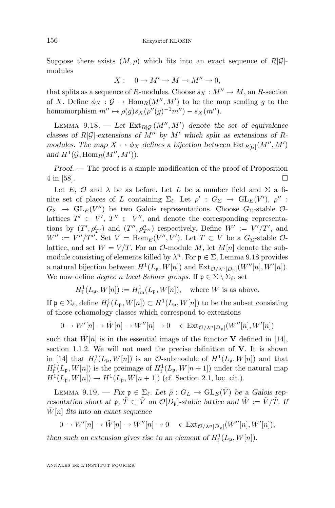<span id="page-76-0"></span>Suppose there exists  $(M, \rho)$  which fits into an exact sequence of R[G]modules

$$
X: \quad 0 \to M' \to M \to M'' \to 0,
$$

that splits as a sequence of R-modules. Choose  $s_X : M'' \to M$ , an R-section of X. Define  $\phi_X : \mathcal{G} \to \text{Hom}_R(M'', M')$  to be the map sending g to the homomorphism  $m'' \mapsto \rho(g)s_X(\rho''(g)^{-1}m'') - s_X(m'').$ 

LEMMA 9.18.  $\qquad$  Let  $\text{Ext}_{R[\mathcal{G}]}(M'',M')$  denote the set of equivalence *classes of*  $R[\mathcal{G}]$ -extensions of  $\tilde{M}''$  by  $M'$  which split as extensions of R*modules. The map*  $X \mapsto \phi_X$  *defines a bijection between*  $\text{Ext}_{R[\mathcal{G}]}(M'', M')$ and  $H^1(\mathcal{G}, \text{Hom}_R(M'', M')).$ 

*Proof.* — The proof is a simple modification of the proof of Proposition  $4 \text{ in } [58]$  $4 \text{ in } [58]$ .

Let E, O and  $\lambda$  be as before. Let L be a number field and  $\Sigma$  a finite set of places of L containing  $\Sigma_{\ell}$ . Let  $\rho' : G_{\Sigma} \to GL_E(V'), \rho''$ :  $G_{\Sigma} \rightarrow GL_E(V'')$  be two Galois representations. Choose  $G_{\Sigma}$ -stable  $\mathcal{O}$ lattices  $T' \subset V'$ ,  $T'' \subset V''$ , and denote the corresponding representations by  $(T', \rho'_{T'})$  and  $(T'', \rho''_{T''})$  respectively. Define  $W' := V'/T'$ , and  $W'' := V''/T''.$  Set  $V = \text{Hom}_E(V'', V')$ . Let  $T \subset V$  be a  $G_{\Sigma}$ -stable  $\mathcal{O}$ lattice, and set  $W = V/T$ . For an  $\mathcal{O}\text{-module }M$ , let  $M[n]$  denote the submodule consisting of elements killed by  $\lambda^n$ . For  $\mathfrak{p} \in \Sigma$ , Lemma 9.18 provides a natural bijection between  $H^1(L_{\mathfrak{p}}, W[n])$  and  $\text{Ext}_{\mathcal{O}/\lambda^n[D_{\mathfrak{p}}]}(W''[n], W'[n]).$ We now define *degree* n *local Selmer groups*. If  $\mathfrak{p} \in \Sigma \setminus \Sigma_{\ell}$ , set

$$
H^1_{\text{f}}(L_{\mathfrak{p}}, W[n]) := H^1_{\text{un}}(L_{\mathfrak{p}}, W[n]), \quad \text{where } W \text{ is as above.}
$$

If  $\mathfrak{p} \in \Sigma_{\ell}$ , define  $H^1_f(L_{\mathfrak{p}}, W[n]) \subset H^1(L_{\mathfrak{p}}, W[n])$  to be the subset consisting of those cohomology classes which correspond to extensions

$$
0 \to W'[n] \to \tilde{W}[n] \to W''[n] \to 0 \quad \in \text{Ext}_{\mathcal{O}/\lambda^n[D_\mathfrak{p}]}(W''[n], W'[n])
$$

such that  $\tilde{W}[n]$  is in the essential image of the functor **V** defined in [\[14\]](#page-83-0), section 1.1.2. We will not need the precise definition of  $V$ . It is shown in [\[14\]](#page-83-0) that  $H^1_f(L_{\mathfrak{p}}, W[n])$  is an  $\mathcal{O}\text{-submodule of } H^1(L_{\mathfrak{p}}, W[n])$  and that  $H^1_f(L_{\mathfrak{p}},W[n])$  is the preimage of  $H^1_f(L_{\mathfrak{p}},W[n+1])$  under the natural map  $H^1(L_{\mathfrak{p}}, W[n]) \to H^1(L_{\mathfrak{p}}, W[n+1])$  (cf. Section 2.1, loc. cit.).

LEMMA 9.19. — *Fix*  $\mathfrak{p} \in \Sigma_{\ell}$ . Let  $\tilde{\rho}: G_L \to \text{GL}_E(\tilde{V})$  be a Galois rep*resentation short at*  $\mathfrak{p}, \tilde{T} \subset \tilde{V}$  *an*  $\mathcal{O}[D_{\mathfrak{p}}]$ -stable lattice and  $\tilde{W} := \tilde{V}/\tilde{T}$ . If  $W[n]$  fits into an exact sequence

$$
0 \to W'[n] \to \tilde{W}[n] \to W''[n] \to 0 \quad \in \text{Ext}_{\mathcal{O}/\lambda^n[D_p]}(W''[n], W'[n]),
$$

then such an extension gives rise to an element of  $H^1_f(L_{\mathfrak{p}}, W[n])$ .

ANNALES DE L'INSTITUT FOURIER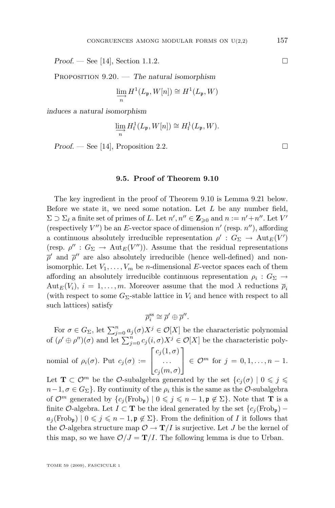<span id="page-77-0"></span>*Proof.* — See [\[14\]](#page-83-0), Section 1.1.2. □

Proposition 9.20. — *The natural isomorphism*

$$
\varinjlim_{n} H^{1}(L_{\mathfrak{p}}, W[n]) \cong H^{1}(L_{\mathfrak{p}}, W)
$$

*induces a natural isomorphism*

$$
\varinjlim_{n} H_{\mathrm{f}}^{1}(L_{\mathfrak{p}}, W[n]) \cong H_{\mathrm{f}}^{1}(L_{\mathfrak{p}}, W).
$$

*Proof.* − See [\[14\]](#page-83-0), Proposition 2.2.

## **9.5. Proof of Theorem [9.10](#page-69-0)**

The key ingredient in the proof of Theorem [9.10](#page-69-0) is Lemma 9.21 below. Before we state it, we need some notation. Let  $L$  be any number field,  $\Sigma \supset \Sigma_{\ell}$  a finite set of primes of L. Let  $n', n'' \in \mathbb{Z}_{\geqslant 0}$  and  $n := n' + n''$ . Let  $V'$ (respectively  $V''$ ) be an E-vector space of dimension  $n'$  (resp.  $n''$ ), affording a continuous absolutely irreducible representation  $\rho' : G_{\Sigma} \to \text{Aut}_{E}(V')$ (resp.  $\rho'': G_{\Sigma} \to \text{Aut}_{E}(V'')$ ). Assume that the residual representations  $\bar{\rho}'$  and  $\bar{\rho}''$  are also absolutely irreducible (hence well-defined) and nonisomorphic. Let  $V_1, \ldots, V_m$  be *n*-dimensional *E*-vector spaces each of them affording an absolutely irreducible continuous representation  $\rho_i : G_{\Sigma} \rightarrow$  $\text{Aut}_E(V_i), i = 1, \ldots, m.$  Moreover assume that the mod  $\lambda$  reductions  $\overline{\rho}_i$ (with respect to some  $G_{\Sigma}$ -stable lattice in  $V_i$  and hence with respect to all such lattices) satisfy

$$
\overline{\rho}^{\text{ss}}_i \cong \overline{\rho}' \oplus \overline{\rho}''.
$$

For  $\sigma \in G_{\Sigma}$ , let  $\sum_{j=0}^{n} a_j(\sigma) X^j \in \mathcal{O}[X]$  be the characteristic polynomial of  $(\rho' \oplus \rho'')(\sigma)$  and let  $\sum_{j=0}^n c_j(i,\sigma)X^j \in \mathcal{O}[X]$  be the characteristic poly- $\lceil c_j(1,\sigma) \rceil$ 

nomial of 
$$
\rho_i(\sigma)
$$
. Put  $c_j(\sigma) := \begin{bmatrix} 0 & \cdots & \cdots \\ \cdots & \cdots & \cdots \\ c_j(m, \sigma) & \cdots & \cdots \end{bmatrix} \in \mathcal{O}^m$  for  $j = 0, 1, \ldots, n-1$ .

Let  $\mathbf{T} \subset \mathcal{O}^m$  be the  $\mathcal{O}\text{-subalgebra generated by the set }\{c_i(\sigma) \mid 0 \leq j \leq \sigma\}$  $n-1, \sigma \in G_{\Sigma}$ . By continuity of the  $\rho_i$  this is the same as the  $\mathcal{O}$ -subalgebra of  $\mathcal{O}^m$  generated by  $\{c_j(\text{Frob}_{\mathfrak{p}}) \mid 0 \leq j \leq n-1, \mathfrak{p} \notin \Sigma\}$ . Note that **T** is a finite O-algebra. Let  $I \subset T$  be the ideal generated by the set  ${c_i(\text{Frob}_{\mathfrak{p}})}$  –  $a_j(\text{Frob}_{\mathfrak{p}}) \mid 0 \leqslant j \leqslant n-1, \mathfrak{p} \notin \Sigma$ . From the definition of I it follows that the O-algebra structure map  $\mathcal{O} \to \mathbf{T}/I$  is surjective. Let J be the kernel of this map, so we have  $\mathcal{O}/J = \mathbf{T}/I$ . The following lemma is due to Urban.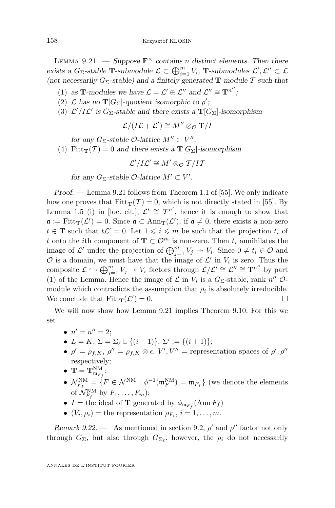<span id="page-78-0"></span>LEMMA 9.21. — *Suppose*  $\mathbf{F}^{\times}$  *contains n* distinct elements. Then there *exists a*  $G_{\Sigma}$ -*stable* **T**-*submodule*  $\mathcal{L} \subset \bigoplus_{i=1}^{m} V_i$ , **T**-*submodules*  $\mathcal{L}', \mathcal{L}'' \subset \mathcal{L}$ (not necessarily  $G_{\Sigma}$ -stable) and a finitely generated **T**-module T such that

- (1) as **T**-modules we have  $\mathcal{L} = \mathcal{L}' \oplus \mathcal{L}''$  and  $\mathcal{L}'' \cong \mathbf{T}^{n''}$ ;
- (2)  $\mathcal L$  has no  $\mathbf{T}[G_{\Sigma}]$ -quotient isomorphic to  $\overline{\rho}'$ ;
- (3)  $\mathcal{L}'/I\mathcal{L}'$  is  $G_{\Sigma}$ -stable and there exists a  $\mathbf{T}[G_{\Sigma}]$ -isomorphism

$$
\mathcal{L}/(I\mathcal{L} + \mathcal{L}') \cong M'' \otimes_{\mathcal{O}} \mathbf{T}/I
$$

*for any*  $G_{\Sigma}$ -stable  $\mathcal{O}$ -lattice  $M'' \subset V''$ .

(4) Fitt $_{\mathbf{T}}(\mathcal{T}) = 0$  and there exists a  $\mathbf{T}[G_{\Sigma}]$ -isomorphism

$$
\mathcal{L}'/I\mathcal{L}' \cong M' \otimes_{\mathcal{O}} T/I\mathcal{T}
$$

*for any*  $G_{\Sigma}$ -stable  $\mathcal{O}$ -lattice  $M' \subset V'$ .

*Proof. —* Lemma [9.21](#page-77-0) follows from Theorem 1.1 of [\[55\]](#page-85-0). We only indicate how one proves that  $Fitt_T(\mathcal{T}) = 0$ , which is not directly stated in [\[55\]](#page-85-0). By Lemma 1.5 (i) in [loc. cit.],  $\mathcal{L}' \cong \mathcal{T}^{n'}$ , hence it is enough to show that  $\mathfrak{a} := \text{Fitt}_{\mathbf{T}}(\mathcal{L}') = 0.$  Since  $\mathfrak{a} \subset \text{Ann}_{\mathbf{T}}(\mathcal{L}'),$  if  $\mathfrak{a} \neq 0$ , there exists a non-zero  $t \in \mathbf{T}$  such that  $t\mathcal{L}' = 0$ . Let  $1 \leqslant i \leqslant m$  be such that the projection  $t_i$  of t onto the *i*th component of  $\mathbf{T} \subset \mathcal{O}^m$  is non-zero. Then  $t_i$  annihilates the image of  $\mathcal{L}'$  under the projection of  $\bigoplus_{j=1}^m V_j \to V_i$ . Since  $0 \neq t_i \in \mathcal{O}$  and  $\mathcal O$  is a domain, we must have that the image of  $\mathcal L'$  in  $V_i$  is zero. Thus the composite  $\mathcal{L} \hookrightarrow \bigoplus_{j=1}^m V_j \twoheadrightarrow V_i$  factors through  $\mathcal{L}/\mathcal{L}' \cong \mathcal{L}'' \cong \mathbf{T}^{n''}$  by part (1) of the Lemma. Hence the image of  $\mathcal L$  in  $V_i$  is a  $G_{\Sigma}$ -stable, rank  $n''$   $\mathcal O$ module which contradicts the assumption that  $\rho_i$  is absolutely irreducible. We conclude that  $Fitt_T(\mathcal{L}')$  $) = 0.$ 

We will now show how Lemma [9.21](#page-77-0) implies Theorem [9.10.](#page-69-0) For this we set

- $n' = n'' = 2;$
- $L = K$ ,  $\Sigma = \Sigma_{\ell} \cup \{(i+1)\}, \Sigma' := \{(i+1)\};$
- $\rho' = \rho_{f,K}, \rho'' = \rho_{f,K} \otimes \epsilon, V', V''$  = representation spaces of  $\rho', \rho''$ respectively;
- $\bullet~~{\bf T}={\bf T}^{\rm NM}_{\mathfrak m_{F_f}};$
- $\mathcal{N}_{F_f}^{\text{NM}} = \{F \in \mathcal{N}^{\text{NM}} \mid \phi^{-1}(\mathfrak{m}_F^{\text{NM}}) = \mathfrak{m}_{F_f}\}\$  (we denote the elements of  $\mathcal{N}_{F_f}^{\text{NM}}$  by  $F_1, \ldots, F_m$ );
- $I =$  the ideal of **T** generated by  $\phi_{\mathfrak{m}_{F_f}}(\text{Ann } F_f)$
- $(V_i, \rho_i)$  = the representation  $\rho_{F_i}, i = 1, \ldots, m$ .

*Remark 9.22.* — As mentioned in section [9.2,](#page-67-0)  $\rho'$  and  $\rho''$  factor not only through  $G_{\Sigma}$ , but also through  $G_{\Sigma_{\ell}}$ , however, the  $\rho_i$  do not necessarily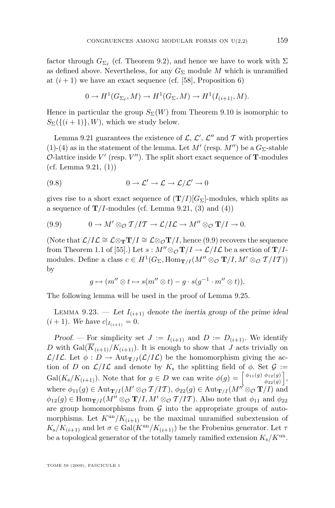<span id="page-79-0"></span>factor through  $G_{\Sigma_{\ell}}$  (cf. Theorem [9.2\)](#page-67-0), and hence we have to work with  $\Sigma$ as defined above. Nevertheless, for any  $G_{\Sigma}$  module M which is unramified at  $(i + 1)$  we have an exact sequence (cf. [\[58\]](#page-85-0), Proposition 6)

$$
0 \to H^1(G_{\Sigma_{\ell}}, M) \to H^1(G_{\Sigma}, M) \to H^1(I_{(i+1)}, M).
$$

Hence in particular the group  $S_{\Sigma}(W)$  from Theorem [9.10](#page-69-0) is isomorphic to  $S_{\Sigma}(\{(i+1)\},W)$ , which we study below.

Lemma [9.21](#page-77-0) guarantees the existence of  $\mathcal{L}, \mathcal{L}', \mathcal{L}''$  and  $\mathcal{T}$  with properties (1)-(4) as in the statement of the lemma. Let  $M'$  (resp.  $M'$ ) be a  $G_{\Sigma}$ -stable O-lattice inside  $V'$  (resp.  $V''$ ). The split short exact sequence of **T**-modules (cf. Lemma  $9.21, (1)$  $9.21, (1)$ )

(9.8) 
$$
0 \to \mathcal{L}' \to \mathcal{L} \to \mathcal{L}/\mathcal{L}' \to 0
$$

gives rise to a short exact sequence of  $(T/I)[G_{\Sigma}]$ -modules, which splits as a sequence of  $\mathbf{T}/I$ -modules (cf. Lemma [9.21,](#page-77-0) (3) and (4))

(9.9) 
$$
0 \to M' \otimes_{\mathcal{O}} T/IT \to \mathcal{L}/I\mathcal{L} \to M'' \otimes_{\mathcal{O}} T/I \to 0.
$$

(Note that  $\mathcal{L}/I\mathcal{L} \cong \mathcal{L} \otimes_{\mathbf{T}} \mathbf{T}/I \cong \mathcal{L} \otimes_{\mathcal{O}} \mathbf{T}/I$ , hence (9.9) recovers the sequence from Theorem 1.1 of [\[55\]](#page-85-0).) Let  $s : M'' \otimes_{\mathcal{O}} T/I \to \mathcal{L}/I\mathcal{L}$  be a section of  $T/I$ modules. Define a class  $c \in H^1(G_\Sigma, \text{Hom}_{\mathbf{T}/I}(M'' \otimes_{\mathcal{O}} \mathbf{T}/I, M' \otimes_{\mathcal{O}} \mathcal{T}/I\mathcal{T}))$ by

$$
g \mapsto (m'' \otimes t \mapsto s(m'' \otimes t) - g \cdot s(g^{-1} \cdot m'' \otimes t)).
$$

The following lemma will be used in the proof of Lemma [9.25.](#page-81-0)

LEMMA 9.23. — Let  $I_{(i+1)}$  denote the inertia group of the prime ideal  $(i + 1)$ *. We have*  $c|_{I_{(i+1)}} = 0$ *.* 

*Proof.* – For simplicity set  $J := I_{(i+1)}$  and  $D := D_{(i+1)}$ . We identify D with  $Gal(\overline{K}_{(i+1)}/K_{(i+1)})$ . It is enough to show that J acts trivially on  $\mathcal{L}/I\mathcal{L}$ . Let  $\phi: D \to \text{Aut}_{\mathbf{T}/I}(\mathcal{L}/I\mathcal{L})$  be the homomorphism giving the action of D on  $\mathcal{L}/I\mathcal{L}$  and denote by  $K_s$  the splitting field of  $\phi$ . Set  $\mathcal{G}$  :=  $Gal(K_s/K_{(i+1)})$ . Note that for  $g \in D$  we can write  $\phi(g) = \begin{bmatrix} \phi_{11}(g) & \phi_{12}(g) \\ \phi_{21}(g) & \phi_{22}(g) \end{bmatrix}$  $\begin{bmatrix} \phi_{12}(g) \\ \phi_{22}(g) \end{bmatrix}$ where  $\phi_{11}(g) \in \text{Aut}_{\mathbf{T}/I}(M' \otimes_{\mathcal{O}} \mathcal{T}/I\mathcal{T}), \ \phi_{22}(g) \in \text{Aut}_{\mathbf{T}/I}(M'' \otimes_{\mathcal{O}} \mathbf{T}/I)$  and  $\phi_{12}(g) \in \text{Hom}_{\mathbf{T}/I}(M'' \otimes_{\mathcal{O}} \mathbf{T}/I, M' \otimes_{\mathcal{O}} \mathcal{T}/I\mathcal{T})$ . Also note that  $\phi_{11}$  and  $\phi_{22}$ are group homomorphisms from  $G$  into the appropriate groups of automorphisms. Let  $K^{\text{un}}/K_{(i+1)}$  be the maximal unramified subextension of  $K_s/K_{(i+1)}$  and let  $\sigma \in \text{Gal}(K^{\text{un}}/K_{(i+1)})$  be the Frobenius generator. Let  $\tau$ be a topological generator of the totally tamely ramified extension  $K_s/K^{\text{un}}$ .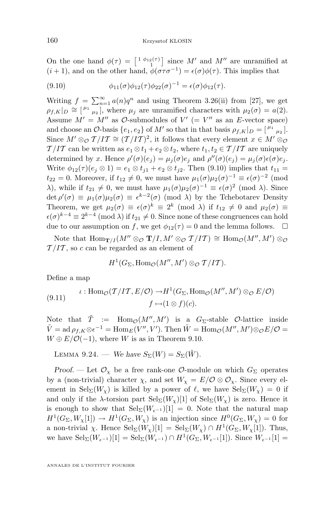<span id="page-80-0"></span>On the one hand  $\phi(\tau) = \begin{bmatrix} 1 & \phi_{12}(\tau) \\ 1 & 1 \end{bmatrix}$  since M' and M'' are unramified at  $(i + 1)$ , and on the other hand,  $\phi(\sigma \tau \sigma^{-1}) = \epsilon(\sigma) \phi(\tau)$ . This implies that

(9.10) 
$$
\phi_{11}(\sigma)\phi_{12}(\tau)\phi_{22}(\sigma)^{-1} = \epsilon(\sigma)\phi_{12}(\tau).
$$

Writing  $f = \sum_{n=1}^{\infty} a(n)q^n$  and using Theorem 3.26(ii) from [\[27\]](#page-84-0), we get  $\rho_{f,K}|_D \cong \left[\begin{smallmatrix} \mu_1 & & \\ & \mu_2 \end{smallmatrix}\right],$  where  $\mu_j$  are unramified characters with  $\mu_2(\sigma) = a(2)$ . Assume  $M' = M''$  as  $\mathcal{O}\text{-submodules of } V' (= V''$  as an E-vector space) and choose an  $\mathcal{O}$ -basis  $\{e_1, e_2\}$  of  $M'$  so that in that basis  $\rho_{f,K}|_D = \begin{bmatrix} \mu_1 & \mu_2 \end{bmatrix}$ . Since  $M' \otimes_{\mathcal{O}} T / I T \cong (T / I T)^2$ , it follows that every element  $x \in M' \otimes_{\mathcal{O}} T$  $T/IT$  can be written as  $e_1 \otimes t_1 + e_2 \otimes t_2$ , where  $t_1, t_2 \in T/IT$  are uniquely determined by x. Hence  $\rho'(\sigma)(e_j) = \mu_j(\sigma)e_j$  and  $\rho''(\sigma)(e_j) = \mu_j(\sigma)\epsilon(\sigma)e_j$ . Write  $\phi_{12}(\tau)(e_i \otimes 1) = e_1 \otimes t_{i1} + e_2 \otimes t_{i2}$ . Then (9.10) implies that  $t_{11} =$  $t_{22} = 0$ . Moreover, if  $t_{12} \neq 0$ , we must have  $\mu_1(\sigma) \mu_2(\sigma)^{-1} \equiv \epsilon(\sigma)^{-2}$  (mod λ), while if  $t_{21} \neq 0$ , we must have  $\mu_1(\sigma)\mu_2(\sigma)^{-1} \equiv \epsilon(\sigma)^2 \pmod{\lambda}$ . Since  $\det \rho'(\sigma) \equiv \mu_1(\sigma) \mu_2(\sigma) \equiv \epsilon^{k-2}(\sigma) \pmod{\lambda}$  by the Tchebotarev Density Theorem, we get  $\mu_2(\sigma) \equiv \epsilon(\sigma)^k \equiv 2^k \pmod{\lambda}$  if  $t_{12} \neq 0$  and  $\mu_2(\sigma) \equiv$  $\epsilon(\sigma)^{k-4} \equiv 2^{k-4} \pmod{\lambda}$  if  $t_{21} \neq 0$ . Since none of these congruences can hold due to our assumption on f, we get  $\phi_{12}(\tau) = 0$  and the lemma follows.  $\Box$ 

Note that  $\text{Hom}_{\mathbf{T}/I}(M'' \otimes_{\mathcal{O}} \mathbf{T}/I, M' \otimes_{\mathcal{O}} \mathcal{T}/I\mathcal{T}) \cong \text{Hom}_{\mathcal{O}}(M'', M') \otimes_{\mathcal{O}}$  $T/IT$ , so c can be regarded as an element of

$$
H^1(G_{\Sigma}, \mathrm{Hom}_{\mathcal{O}}(M'', M') \otimes_{\mathcal{O}} T/IT).
$$

Define a map

(9.11) 
$$
\iota: \text{Hom}_{\mathcal{O}}(\mathcal{T}/I\mathcal{T}, E/\mathcal{O}) \to H^1(G_{\Sigma}, \text{Hom}_{\mathcal{O}}(M'', M') \otimes_{\mathcal{O}} E/\mathcal{O})
$$

$$
f \mapsto (1 \otimes f)(c).
$$

Note that  $\tilde{T}$  :=  $\text{Hom}_{\mathcal{O}}(M'', M')$  is a  $G_{\Sigma}$ -stable  $\mathcal{O}$ -lattice inside  $\tilde{V} = \operatorname{ad} \rho_{f,K} \otimes \epsilon^{-1} = \operatorname{Hom}_E(V'',V').$  Then  $\tilde{W} = \operatorname{Hom}_{\mathcal{O}}(M'',M') \otimes_{\mathcal{O}} E/\mathcal{O} =$  $W \oplus E/\mathcal{O}(-1)$ , where W is as in Theorem [9.10.](#page-69-0)

LEMMA 9.24. — We have 
$$
S_{\Sigma}(W) = S_{\Sigma}(\tilde{W})
$$
.

*Proof.* — Let  $\mathcal{O}_\chi$  be a free rank-one  $\mathcal{O}\text{-module on which } G_\Sigma$  operates by a (non-trivial) character  $\chi$ , and set  $W_{\chi} = E/\mathcal{O} \otimes \mathcal{O}_{\chi}$ . Since every element in  $\text{Sel}_{\Sigma}(W_{\chi})$  is killed by a power of  $\ell$ , we have  $\text{Sel}_{\Sigma}(W_{\chi}) = 0$  if and only if the  $\lambda$ -torsion part  $\text{Sel}_{\Sigma}(W_{\chi})[1]$  of  $\text{Sel}_{\Sigma}(W_{\chi})$  is zero. Hence it is enough to show that  $\text{Sel}_{\Sigma}(W_{\epsilon^{-1}})[1] = 0$ . Note that the natural map  $H^1(G_\Sigma, W_\chi[1]) \to H^1(G_\Sigma, W_\chi)$  is an injection since  $H^0(G_\Sigma, W_\chi) = 0$  for a non-trivial  $\chi$ . Hence  $\text{Sel}_{\Sigma}(W_{\chi})[1] = \text{Sel}_{\Sigma}(W_{\chi}) \cap H^1(G_{\Sigma}, W_{\chi}[1])$ . Thus, we have  $\operatorname{Sel}_{\Sigma}(W_{\epsilon^{-1}})[1] = \operatorname{Sel}_{\Sigma}(W_{\epsilon^{-1}}) \cap H^1(G_{\Sigma}, W_{\epsilon^{-1}}[1])$ . Since  $W_{\epsilon^{-1}}[1] =$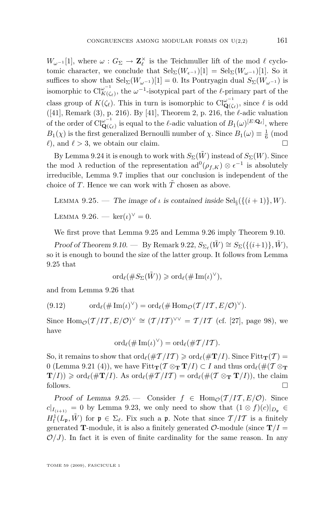<span id="page-81-0"></span> $W_{\omega^{-1}}[1]$ , where  $\omega$  :  $G_{\Sigma}$  →  $\mathbf{Z}_{\ell}^{\times}$  is the Teichmuller lift of the mod  $\ell$  cyclotomic character, we conclude that  $\text{Sel}_{\Sigma}(W_{\epsilon^{-1}})[1] = \text{Sel}_{\Sigma}(W_{\omega^{-1}})[1]$ . So it suffices to show that  $Sel_{\Sigma}(W_{\omega^{-1}})[1] = 0$ . Its Pontryagin dual  $S_{\Sigma}(W_{\omega^{-1}})$  is isomorphic to  $\text{Cl}_{K(\mathcal{C})}^{\omega^{-1}}$  $\sum_{K(\zeta_{\ell})}^{\omega^{-1}}$ , the  $\omega^{-1}$ -isotypical part of the  $\ell$ -primary part of the class group of  $K(\zeta_{\ell})$ . This in turn is isomorphic to  $\text{Cl}_{\mathbf{Q}(\zeta)}^{\omega^{-1}}$  $\mathbf{Q}(\zeta_{\ell}),$  since  $\ell$  is odd  $([41],$  $([41],$  $([41],$  Remark  $(3),$  p. 216). By [41], Theorem 2, p. 216, the  $\ell$ -adic valuation of the order of  $\text{Cl}_{\mathbf{Q}(\zeta)}^{\omega^{-1}}$  $\mathbf{Q}^{(-1)}_{\mathbf{Q}(\zeta_{\ell})}$  is equal to the  $\ell$ -adic valuation of  $B_1(\omega)^{[E:\mathbf{Q}_{\ell}]}$ , where  $B_1(\chi)$  is the first generalized Bernoulli number of  $\chi$ . Since  $B_1(\omega) \equiv \frac{1}{6}$  (mod  $\ell$ , and  $\ell > 3$ , we obtain our claim.

By Lemma [9.24](#page-80-0) it is enough to work with  $S_{\Sigma}(\tilde{W})$  instead of  $S_{\Sigma}(W)$ . Since the mod  $\lambda$  reduction of the representation  $\text{ad}^0(\rho_{f,K}) \otimes \epsilon^{-1}$  is absolutely irreducible, Lemma [9.7](#page-69-0) implies that our conclusion is independent of the choice of T. Hence we can work with  $\tilde{T}$  chosen as above.

LEMMA 9.25. — The image of  $\iota$  is contained inside  $\text{Sel}_{\S}(\{(i+1)\}, W)$ . LEMMA 9.26. —  $\ker(\iota)^{\vee} = 0$ .

We first prove that Lemma 9.25 and Lemma 9.26 imply Theorem [9.10.](#page-69-0)

*Proof of Theorem [9.10.](#page-69-0)* — By Remark [9.22,](#page-78-0)  $S_{\Sigma_{\ell}}(\tilde{W}) \cong S_{\Sigma}(\{(i+1)\}, \tilde{W})$ , so it is enough to bound the size of the latter group. It follows from Lemma 9.25 that

$$
\mathrm{ord}_{\ell}(\#S_{\Sigma}(\tilde{W}))\geqslant \mathrm{ord}_{\ell}(\# \operatorname{Im}(\iota)^{\vee}),
$$

and from Lemma 9.26 that

(9.12) 
$$
\operatorname{ord}_{\ell}(\# \operatorname{Im}(\iota)^{\vee}) = \operatorname{ord}_{\ell}(\# \operatorname{Hom}_{\mathcal{O}}(T/IT, E/\mathcal{O})^{\vee}).
$$

Since  $\text{Hom}_{\mathcal{O}}(\mathcal{T}/I\mathcal{T}, E/\mathcal{O})^{\vee} \cong (\mathcal{T}/I\mathcal{T})^{\vee\vee} = \mathcal{T}/I\mathcal{T}$  (cf. [\[27\]](#page-84-0), page 98), we have

$$
\mathrm{ord}_{\ell}(\# \mathrm{Im}(\iota)^{\vee}) = \mathrm{ord}_{\ell}(\# \mathcal{T} / I \mathcal{T}).
$$

So, it remains to show that  $\text{ord}_{\ell}(\#T /IT) \geq \text{ord}_{\ell}(\#T /I)$ . Since Fitt $_{T}(T) =$ 0 (Lemma [9.21](#page-77-0) (4)), we have  $Fitt_T(\mathcal{T} \otimes_{\mathbf{T}} \mathbf{T}/I) \subset I$  and thus  $\text{ord}_{\ell}(\#(\mathcal{T} \otimes_{\mathbf{T}} \mathbf{T}/I))$  $\mathbf{T}(I) \geq \text{ord}_{\ell}(\#\mathbf{T}/I)$ . As  $\text{ord}_{\ell}(\#\mathcal{T}/IT) = \text{ord}_{\ell}(\#(\mathcal{T} \otimes_{\mathbf{T}} \mathbf{T}/I)),$  the claim follows.

*Proof of Lemma 9.25.* — Consider  $f \in \text{Hom}_{\mathcal{O}}(T/IT, E/\mathcal{O})$ . Since  $c|_{I_{(i+1)}} = 0$  by Lemma [9.23,](#page-79-0) we only need to show that  $(1 \otimes f)(c)|_{D_p} \in$  $H^1_f(L_p, \tilde{W})$  for  $\mathfrak{p} \in \Sigma_{\ell}$ . Fix such a p. Note that since  $\mathcal{T}/IT$  is a finitely generated **T**-module, it is also a finitely generated  $\mathcal{O}$ -module (since  $\mathbf{T}/I =$  $\mathcal{O}/J$ ). In fact it is even of finite cardinality for the same reason. In any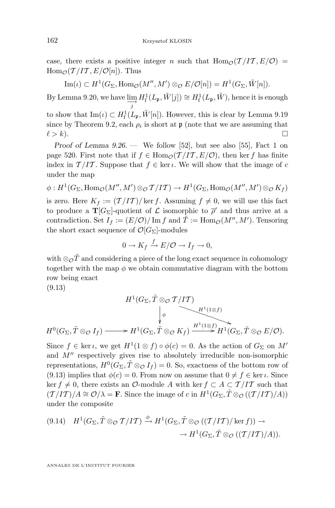case, there exists a positive integer n such that  $\text{Hom}_{\mathcal{O}}(T/IT, E/\mathcal{O})$  $\text{Hom}_{\mathcal{O}}(\mathcal{T}/I\mathcal{T}, E/\mathcal{O}[n])$ . Thus

 $\text{Im}(\iota) \subset H^1(G_{\Sigma}, \text{Hom}_{\mathcal{O}}(M'', M') \otimes_{\mathcal{O}} E/\mathcal{O}[n]) = H^1(G_{\Sigma}, \tilde{W}[n]).$ 

By Lemma [9.20,](#page-77-0) we have  $\varinjlim_{j} H_{f}^{1}(L_{\mathfrak{p}}, \tilde{W}[j]) \cong H_{f}^{1}(L_{\mathfrak{p}}, \tilde{W})$ , hence it is enough

to show that  $\text{Im}(\iota) \subset H^1_f(L_{\mathfrak{p}}, \tilde{W}[n])$ . However, this is clear by Lemma [9.19](#page-76-0) since by Theorem [9.2,](#page-67-0) each  $\rho_i$  is short at  $\mathfrak p$  (note that we are assuming that  $\ell > k$ ).

*Proof of Lemma [9.26.](#page-81-0) —* We follow [\[52\]](#page-85-0), but see also [\[55\]](#page-85-0), Fact 1 on page 520. First note that if  $f \in \text{Hom}_{\mathcal{O}}(\mathcal{T}/I\mathcal{T}, E/\mathcal{O})$ , then ker f has finite index in  $T/IT$ . Suppose that  $f \in \text{ker } \iota$ . We will show that the image of c under the map

 $\phi: H^1(G_{\Sigma}, \text{Hom}_{\mathcal{O}}(M'', M')\otimes_{\mathcal{O}} \mathcal{T}/IT) \to H^1(G_{\Sigma}, \text{Hom}_{\mathcal{O}}(M'', M')\otimes_{\mathcal{O}} K_f)$ is zero. Here  $K_f := (\mathcal{T}/I\mathcal{T})/\ker f$ . Assuming  $f \neq 0$ , we will use this fact to produce a  $\mathbf{T}[G_{\Sigma}]$ -quotient of  $\mathcal L$  isomorphic to  $\overline{\rho}'$  and thus arrive at a contradiction. Set  $I_f := (E/\mathcal{O})/\operatorname{Im} f$  and  $\tilde{T} := \operatorname{Hom}_{\mathcal{O}}(M'', M')$ . Tensoring the short exact sequence of  $\mathcal{O}[G_{\Sigma}]$ -modules

$$
0 \to K_f \xrightarrow{f} E/\mathcal{O} \to I_f \to 0,
$$

with ⊗ $\phi \tilde{T}$  and considering a piece of the long exact sequence in cohomology together with the map  $\phi$  we obtain commutative diagram with the bottom row being exact

(9.13)

$$
H^1(G_{\Sigma}, \tilde{T} \otimes_{\mathcal{O}} T / IT)
$$
\n
$$
\downarrow \qquad H^1(1 \otimes f)
$$
\n
$$
H^0(G_{\Sigma}, \tilde{T} \otimes_{\mathcal{O}} I_f) \longrightarrow H^1(G_{\Sigma}, \tilde{T} \otimes_{\mathcal{O}} K_f) \xrightarrow{H^1(1 \otimes f)} H^1(G_{\Sigma}, \tilde{T} \otimes_{\mathcal{O}} E / \mathcal{O}).
$$

Since  $f \in \ker \iota$ , we get  $H^1(1 \otimes f) \circ \phi(c) = 0$ . As the action of  $G_{\Sigma}$  on  $M'$ and  $M''$  respectively gives rise to absolutely irreducible non-isomorphic representations,  $H^0(G_{\Sigma}, \tilde{T} \otimes_{\mathcal{O}} I_f) = 0$ . So, exactness of the bottom row of (9.13) implies that  $\phi(c) = 0$ . From now on assume that  $0 \neq f \in \text{ker } \iota$ . Since ker f ≠ 0, there exists an  $\mathcal{O}\text{-module } A$  with ker  $f \subset A \subset \mathcal{T}/I\mathcal{T}$  such that  $(T/IT)/A \cong \mathcal{O}/\lambda = \mathbf{F}$ . Since the image of c in  $H^1(G_{\Sigma}, \tilde{T} \otimes_{\mathcal{O}}((T/IT)/A))$ under the composite

$$
(9.14) \quad H^1(G_{\Sigma}, \tilde{T} \otimes_{\mathcal{O}} T/I\mathcal{T}) \xrightarrow{\phi} H^1(G_{\Sigma}, \tilde{T} \otimes_{\mathcal{O}} ((\mathcal{T}/IT)/\ker f)) \to
$$

$$
\to H^1(G_{\Sigma}, \tilde{T} \otimes_{\mathcal{O}} ((\mathcal{T}/IT)/A)).
$$

ANNALES DE L'INSTITUT FOURIER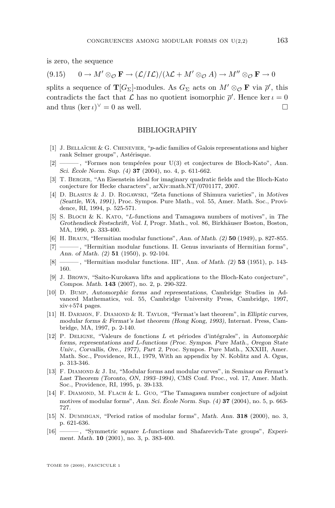<span id="page-83-0"></span>is zero, the sequence

 $(9.15)$  0 →  $M' \otimes_{\mathcal{O}} \mathbf{F} \to (\mathcal{L}/I\mathcal{L})/(\lambda \mathcal{L} + M' \otimes_{\mathcal{O}} A) \to M'' \otimes_{\mathcal{O}} \mathbf{F} \to 0$ 

splits a sequence of  $T[G_{\Sigma}]$ -modules. As  $G_{\Sigma}$  acts on  $M' \otimes_{\mathcal{O}} \mathbf{F}$  via  $\overline{\rho}'$ , this contradicts the fact that  $\mathcal L$  has no quotient isomorphic  $\bar{\rho}'$ . Hence ker  $\iota = 0$ and thus  $(\ker \iota)^\vee = 0$  as well.

## BIBLIOGRAPHY

- [1] J. Bellaïche & G. Chenevier, "p-adic families of Galois representations and higher rank Selmer groups", Astérisque.
- [2] ——— , "Formes non tempérées pour U(3) et conjectures de Bloch-Kato", *Ann. Sci. École Norm. Sup. (4)* **37** (2004), no. 4, p. 611-662.
- [3] T. Berger, "An Eisenstein ideal for imaginary quadratic fields and the Bloch-Kato conjecture for Hecke characters", arXiv:math.NT/0701177, 2007.
- [4] D. Blasius & J. D. Rogawski, "Zeta functions of Shimura varieties", in *Motives (Seattle, WA, 1991)*, Proc. Sympos. Pure Math., vol. 55, Amer. Math. Soc., Providence, RI, 1994, p. 525-571.
- [5] S. Bloch & K. Kato, "L-functions and Tamagawa numbers of motives", in *The Grothendieck Festschrift, Vol. I*, Progr. Math., vol. 86, Birkhäuser Boston, Boston, MA, 1990, p. 333-400.
- [6] H. Braun, "Hermitian modular functions", *Ann. of Math. (2)* **50** (1949), p. 827-855.
- [7] ——— , "Hermitian modular functions. II. Genus invariants of Hermitian forms", *Ann. of Math. (2)* **51** (1950), p. 92-104.
- [8] ——— , "Hermitian modular functions. III", *Ann. of Math. (2)* **53** (1951), p. 143- 160.
- [9] J. Brown, "Saito-Kurokawa lifts and applications to the Bloch-Kato conjecture", *Compos. Math.* **143** (2007), no. 2, p. 290-322.
- [10] D. Bump, *Automorphic forms and representations*, Cambridge Studies in Advanced Mathematics, vol. 55, Cambridge University Press, Cambridge, 1997,  $xiv+574$  pages.
- [11] H. Darmon, F. Diamond & R. Taylor, "Fermat's last theorem", in *Elliptic curves, modular forms & Fermat's last theorem (Hong Kong, 1993)*, Internat. Press, Cambridge, MA, 1997, p. 2-140.
- [12] P. Deligne, "Valeurs de fonctions L et périodes d'intégrales", in *Automorphic forms, representations and* L*-functions (Proc. Sympos. Pure Math., Oregon State Univ., Corvallis, Ore., 1977), Part 2*, Proc. Sympos. Pure Math., XXXIII, Amer. Math. Soc., Providence, R.I., 1979, With an appendix by N. Koblitz and A. Ogus, p. 313-346.
- [13] F. Diamond & J. Im, "Modular forms and modular curves", in *Seminar on Fermat's Last Theorem (Toronto, ON, 1993–1994)*, CMS Conf. Proc., vol. 17, Amer. Math. Soc., Providence, RI, 1995, p. 39-133.
- [14] F. DIAMOND, M. FLACH & L. GUO, "The Tamagawa number conjecture of adjoint motives of modular forms", *Ann. Sci. École Norm. Sup. (4)* **37** (2004), no. 5, p. 663- 727.
- [15] N. Dummigan, "Period ratios of modular forms", *Math. Ann.* **318** (2000), no. 3, p. 621-636.
- [16] ——— , "Symmetric square L-functions and Shafarevich-Tate groups", *Experiment. Math.* **10** (2001), no. 3, p. 383-400.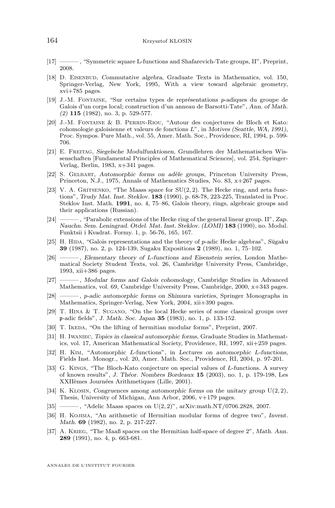- <span id="page-84-0"></span>[17] ——— , "Symmetric square L-functions and Shafarevich-Tate groups, II", Preprint, 2008.
- [18] D. Eisenbud, *Commutative algebra*, Graduate Texts in Mathematics, vol. 150, Springer-Verlag, New York, 1995, With a view toward algebraic geometry, xvi+785 pages.
- [19] J.-M. Fontaine, "Sur certains types de représentations p-adiques du groupe de Galois d'un corps local; construction d'un anneau de Barsotti-Tate", *Ann. of Math. (2)* **115** (1982), no. 3, p. 529-577.
- [20] J.-M. Fontaine & B. Perrin-Riou, "Autour des conjectures de Bloch et Kato: cohomologie galoisienne et valeurs de fonctions L", in *Motives (Seattle, WA, 1991)*, Proc. Sympos. Pure Math., vol. 55, Amer. Math. Soc., Providence, RI, 1994, p. 599- 706.
- [21] E. Freitag, *Siegelsche Modulfunktionen*, Grundlehren der Mathematischen Wissenschaften [Fundamental Principles of Mathematical Sciences], vol. 254, Springer-Verlag, Berlin, 1983, x+341 pages.
- [22] S. Gelbart, *Automorphic forms on adèle groups*, Princeton University Press, Princeton, N.J., 1975, Annals of Mathematics Studies, No. 83, x+267 pages.
- [23] V. A. GRITSENKO, "The Maass space for  $SU(2, 2)$ . The Hecke ring, and zeta functions", *Trudy Mat. Inst. Steklov.* **183** (1990), p. 68-78, 223-225, Translated in Proc. Steklov Inst. Math. **1991**, no. 4, 75–86, Galois theory, rings, algebraic groups and their applications (Russian).
- [24] ——— , "Parabolic extensions of the Hecke ring of the general linear group. II", *Zap. Nauchn. Sem. Leningrad. Otdel. Mat. Inst. Steklov. (LOMI)* **183** (1990), no. Modul. Funktsii i Kvadrat. Formy. 1, p. 56-76, 165, 167.
- [25] H. HIDA, "Galois representations and the theory of p-adic Hecke algebras", *Sūgaku* **39** (1987), no. 2, p. 124-139, Sugaku Expositions **2** (1989), no. 1, 75–102.
- [26] ——— , *Elementary theory of* L*-functions and Eisenstein series*, London Mathematical Society Student Texts, vol. 26, Cambridge University Press, Cambridge, 1993, xii+386 pages.
- [27] ——— , *Modular forms and Galois cohomology*, Cambridge Studies in Advanced Mathematics, vol. 69, Cambridge University Press, Cambridge, 2000, x+343 pages.
- [28] ——— , p*-adic automorphic forms on Shimura varieties*, Springer Monographs in Mathematics, Springer-Verlag, New York, 2004, xii+390 pages.
- [29] T. Hina & T. Sugano, "On the local Hecke series of some classical groups over p-adic fields", *J. Math. Soc. Japan* **35** (1983), no. 1, p. 133-152.
- [30] T. IKEDA, "On the lifting of hermitian modular forms", Preprint, 2007.
- [31] H. Iwaniec, *Topics in classical automorphic forms*, Graduate Studies in Mathematics, vol. 17, American Mathematical Society, Providence, RI, 1997, xii+259 pages.
- [32] H. Kim, "Automorphic L-functions", in *Lectures on automorphic* L*-functions*, Fields Inst. Monogr., vol. 20, Amer. Math. Soc., Providence, RI, 2004, p. 97-201.
- [33] G. Kings, "The Bloch-Kato conjecture on special values of L-functions. A survey of known results", *J. Théor. Nombres Bordeaux* **15** (2003), no. 1, p. 179-198, Les XXIIèmes Journées Arithmetiques (Lille, 2001).
- [34] K. Klosin, *Congruences among automorphic forms on the unitary group* U(2, 2), Thesis, University of Michigan, Ann Arbor, 2006, v+179 pages.
- $[35]$  ———, "Adelic Maass spaces on U(2, 2)", arXiv:math.NT/0706.2828, 2007.
- [36] H. Kojima, "An arithmetic of Hermitian modular forms of degree two", *Invent. Math.* **69** (1982), no. 2, p. 217-227.
- [37] A. Krieg, "The Maaß spaces on the Hermitian half-space of degree 2", *Math. Ann.* **289** (1991), no. 4, p. 663-681.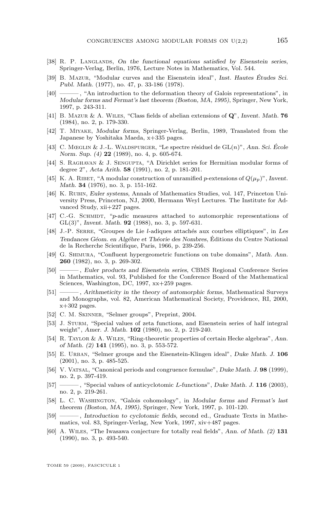- <span id="page-85-0"></span>[38] R. P. Langlands, *On the functional equations satisfied by Eisenstein series*, Springer-Verlag, Berlin, 1976, Lecture Notes in Mathematics, Vol. 544.
- [39] B. Mazur, "Modular curves and the Eisenstein ideal", *Inst. Hautes Études Sci. Publ. Math.* (1977), no. 47, p. 33-186 (1978).
- [40] ——— , "An introduction to the deformation theory of Galois representations", in *Modular forms and Fermat's last theorem (Boston, MA, 1995)*, Springer, New York, 1997, p. 243-311.
- [41] B. Mazur & A. Wiles, "Class fields of abelian extensions of Q", *Invent. Math.* **76** (1984), no. 2, p. 179-330.
- [42] T. Miyake, *Modular forms*, Springer-Verlag, Berlin, 1989, Translated from the Japanese by Yoshitaka Maeda, x+335 pages.
- [43] C. Mœglin & J.-L. Waldspurger, "Le spectre résiduel de GL(n)", *Ann. Sci. École Norm. Sup. (4)* **22** (1989), no. 4, p. 605-674.
- [44] S. Raghavan & J. Sengupta, "A Dirichlet series for Hermitian modular forms of degree 2", *Acta Arith.* **58** (1991), no. 2, p. 181-201.
- [45] K. A. RIBET, "A modular construction of unramified p-extensions of  $Q(\mu_n)$ ", *Invent. Math.* **34** (1976), no. 3, p. 151-162.
- [46] K. Rubin, *Euler systems*, Annals of Mathematics Studies, vol. 147, Princeton University Press, Princeton, NJ, 2000, Hermann Weyl Lectures. The Institute for Advanced Study, xii+227 pages.
- [47] C.-G. SCHMIDT, "p-adic measures attached to automorphic representations of GL(3)", *Invent. Math.* **92** (1988), no. 3, p. 597-631.
- [48] J.-P. Serre, "Groupes de Lie l-adiques attachés aux courbes elliptiques", in *Les Tendances Géom. en Algébre et Théorie des Nombres*, Éditions du Centre National de la Recherche Scientifique, Paris, 1966, p. 239-256.
- [49] G. Shimura, "Confluent hypergeometric functions on tube domains", *Math. Ann.* **260** (1982), no. 3, p. 269-302.
- [50] ——— , *Euler products and Eisenstein series*, CBMS Regional Conference Series in Mathematics, vol. 93, Published for the Conference Board of the Mathematical Sciences, Washington, DC, 1997, xx+259 pages.
- [51] ——— , *Arithmeticity in the theory of automorphic forms*, Mathematical Surveys and Monographs, vol. 82, American Mathematical Society, Providence, RI, 2000,  $x+302$  pages.
- [52] C. M. Skinner, "Selmer groups", Preprint, 2004.
- [53] J. Sturm, "Special values of zeta functions, and Eisenstein series of half integral weight", *Amer. J. Math.* **102** (1980), no. 2, p. 219-240.
- [54] R. Taylor & A. Wiles, "Ring-theoretic properties of certain Hecke algebras", *Ann. of Math. (2)* **141** (1995), no. 3, p. 553-572.
- [55] E. Urban, "Selmer groups and the Eisenstein-Klingen ideal", *Duke Math. J.* **106** (2001), no. 3, p. 485-525.
- [56] V. Vatsal, "Canonical periods and congruence formulae", *Duke Math. J.* **98** (1999), no. 2, p. 397-419.
- [57] ——— , "Special values of anticyclotomic L-functions", *Duke Math. J.* **116** (2003), no. 2, p. 219-261.
- [58] L. C. Washington, "Galois cohomology", in *Modular forms and Fermat's last theorem (Boston, MA, 1995)*, Springer, New York, 1997, p. 101-120.
- [59] ——— , *Introduction to cyclotomic fields*, second ed., Graduate Texts in Mathematics, vol. 83, Springer-Verlag, New York, 1997, xiv+487 pages.
- [60] A. Wiles, "The Iwasawa conjecture for totally real fields", *Ann. of Math. (2)* **131** (1990), no. 3, p. 493-540.